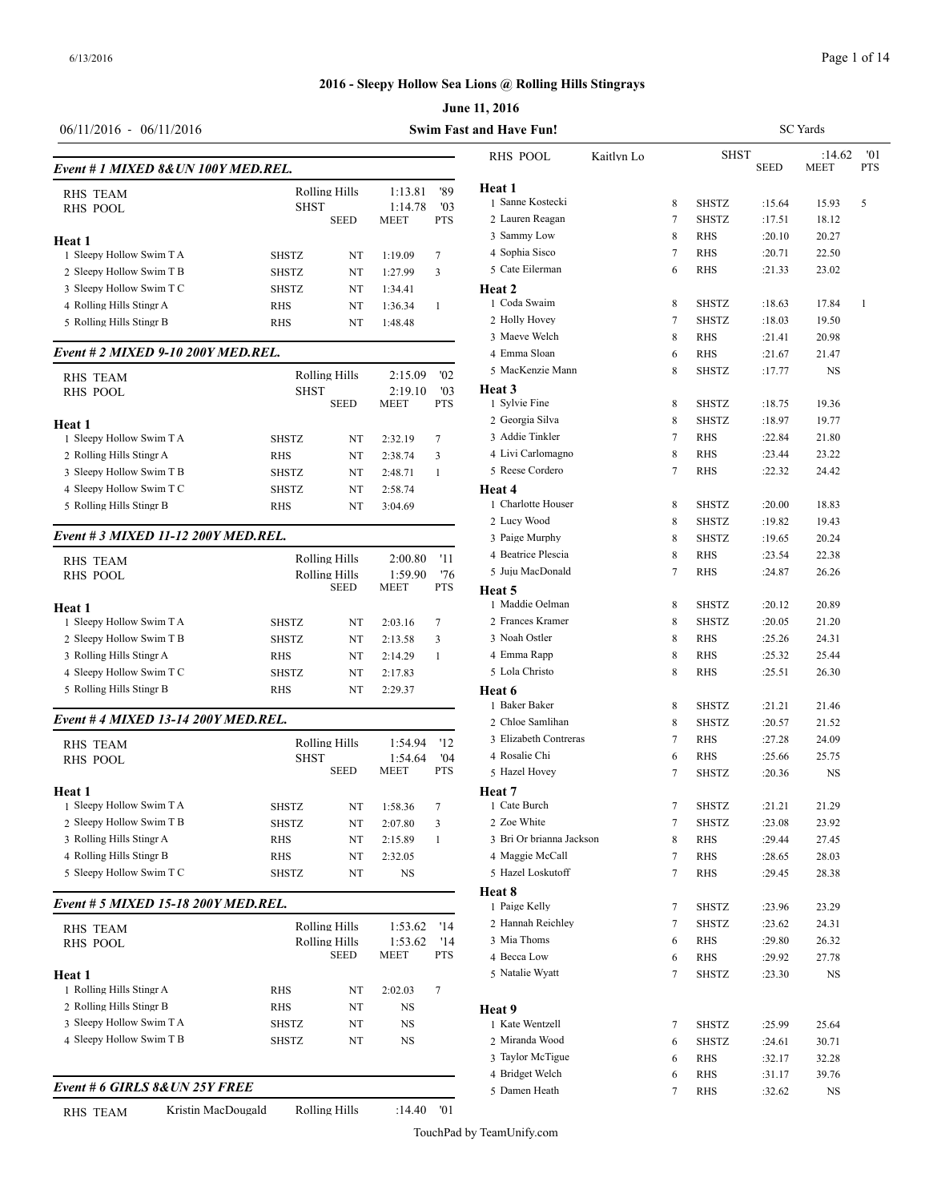# **June 11, 2016 2016 - Sleepy Hollow Sea Lions @ Rolling Hills Stingrays**

| <b>SHST</b><br>:14.62<br><b>RHS POOL</b><br>Kaitlyn Lo<br><b>PTS</b><br><b>SEED</b><br><b>MEET</b><br>Event # 1 MIXED 8& UN 100Y MED.REL.<br>Heat 1<br>Rolling Hills<br>1:13.81<br>'89<br>1 Sanne Kostecki<br>5<br>8<br><b>SHSTZ</b><br>15.93<br>:15.64<br><b>SHST</b><br>1:14.78<br>'03<br>2 Lauren Reagan<br><b>SHSTZ</b><br><b>PTS</b><br>7<br>18.12<br><b>SEED</b><br><b>MEET</b><br>:17.51<br>3 Sammy Low<br>8<br>RHS<br>:20.10<br>20.27<br>4 Sophia Sisco<br>7<br><b>RHS</b><br>22.50<br>:20.71<br>1 Sleepy Hollow Swim T A<br>SHSTZ<br>1:19.09<br>7<br>NT<br>5 Cate Eilerman<br>RHS<br>:21.33<br>6<br>23.02<br>2 Sleepy Hollow Swim T B<br>$\overline{3}$<br>SHSTZ<br>1:27.99<br>NT<br>Heat 2<br>3 Sleepy Hollow Swim T C<br><b>SHSTZ</b><br>NT<br>1:34.41<br>1 Coda Swaim<br><b>SHSTZ</b><br>17.84<br>8<br>:18.63<br>4 Rolling Hills Stingr A<br>-1<br>RHS<br>1:36.34<br>NT<br>1<br>2 Holly Hovey<br>7<br><b>SHSTZ</b><br>19.50<br>:18.03<br>5 Rolling Hills Stingr B<br>RHS<br>NT<br>1:48.48<br>3 Maeve Welch<br>8<br><b>RHS</b><br>20.98<br>:21.41<br>Event # 2 MIXED 9-10 200Y MED.REL.<br>4 Emma Sloan<br><b>RHS</b><br>:21.67<br>21.47<br>6<br>5 MacKenzie Mann<br>8<br><b>SHSTZ</b><br>NS<br>:17.77<br>Rolling Hills<br>2:15.09<br>'02<br>Heat 3<br><b>SHST</b><br>2:19.10<br>'03<br>1 Sylvie Fine<br><b>SEED</b><br><b>PTS</b><br><b>MEET</b><br><b>SHSTZ</b><br>8<br>:18.75<br>19.36<br>2 Georgia Silva<br>8<br><b>SHSTZ</b><br>:18.97<br>19.77<br>3 Addie Tinkler<br><b>RHS</b><br>7<br>:22.84<br>21.80<br>SHSTZ<br>2:32.19<br>7<br>NT<br>4 Livi Carlomagno<br>8<br>23.22<br>RHS<br>:23.44<br><b>RHS</b><br>NT<br>2:38.74<br>3<br>5 Reese Cordero<br>7<br><b>RHS</b><br>:22.32<br>24.42<br>SHSTZ<br>NT<br>2:48.71<br>-1<br><b>SHSTZ</b><br>2:58.74<br>Heat 4<br>NT<br>1 Charlotte Houser<br>8<br>SHSTZ<br>:20.00<br>18.83<br><b>RHS</b><br>NT<br>3:04.69<br>2 Lucy Wood<br>8<br><b>SHSTZ</b><br>:19.82<br>19.43<br>Event # 3 MIXED 11-12 200Y MED.REL.<br>3 Paige Murphy<br><b>SHSTZ</b><br>8<br>20.24<br>:19.65<br>4 Beatrice Plescia<br>8<br>RHS<br>:23.54<br>22.38<br>Rolling Hills<br>2:00.80<br>-11<br><b>RHS TEAM</b><br>5 Juju MacDonald<br>7<br>RHS<br>:24.87<br>26.26<br>'76<br>Rolling Hills<br>1:59.90<br><b>RHS POOL</b><br><b>SEED</b><br><b>MEET</b><br>PTS<br>Heat 5<br>1 Maddie Oelman<br><b>SHSTZ</b><br>20.89<br>8<br>:20.12<br>Heat 1<br>2 Frances Kramer<br>1 Sleepy Hollow Swim T A<br>8<br><b>SHSTZ</b><br>:20.05<br>21.20<br>SHSTZ<br>7<br>NT<br>2:03.16<br>3 Noah Ostler<br>2 Sleepy Hollow Swim T B<br>8<br>RHS<br>:25.26<br>24.31<br>SHSTZ<br>3<br>NT<br>2:13.58<br>4 Emma Rapp<br>3 Rolling Hills Stingr A<br>8<br>RHS<br>:25.32<br>25.44<br>RHS<br>2:14.29<br>$\mathbf{1}$<br>NT<br>5 Lola Christo<br>4 Sleepy Hollow Swim T C<br>8<br><b>RHS</b><br>:25.51<br>SHSTZ<br>26.30<br>NT<br>2:17.83<br>5 Rolling Hills Stingr B<br><b>RHS</b><br>2:29.37<br>NT<br>Heat 6<br>1 Baker Baker<br>8<br><b>SHSTZ</b><br>:21.21<br>21.46<br>Event #4 MIXED 13-14 200Y MED.REL.<br>2 Chloe Samlihan<br>8<br><b>SHSTZ</b><br>21.52<br>:20.57<br>3 Elizabeth Contreras<br>RHS<br>:27.28<br>24.09<br>7<br>Rolling Hills<br>1:54.94<br>'12<br>4 Rosalie Chi<br><b>RHS</b><br>:25.66<br>25.75<br>6<br>04'<br><b>SHST</b><br>1:54.64<br><b>SEED</b><br><b>PTS</b><br><b>MEET</b><br>5 Hazel Hovey<br>7<br><b>SHSTZ</b><br>NS<br>:20.36<br>Heat 7<br>1 Sleepy Hollow Swim T A<br><b>SHSTZ</b><br>$\tau$<br>1 Cate Burch<br>7<br><b>SHSTZ</b><br>:21.21<br>21.29<br>1:58.36<br>NT<br>2 Zoe White<br>2 Sleepy Hollow Swim T B<br>SHSTZ<br>7<br>SHSTZ<br>23.92<br>NT<br>2:07.80<br>3<br>:23.08<br>3 Rolling Hills Stingr A<br>3 Bri Or brianna Jackson<br>8<br>RHS<br>:29.44<br>27.45<br>RHS<br>2:15.89<br>NT<br>1<br>4 Rolling Hills Stingr B<br>4 Maggie McCall<br>RHS<br>2:32.05<br>RHS<br>:28.65<br>28.03<br>NT<br>7<br>5 Hazel Loskutoff<br>NS<br>7<br>SHSTZ<br>NT<br>RHS<br>:29.45<br>28.38<br>Heat 8<br>Event # 5 MIXED 15-18 200Y MED.REL.<br>1 Paige Kelly<br><b>SHSTZ</b><br>:23.96<br>23.29<br>7<br>2 Hannah Reichley<br>SHSTZ<br>24.31<br>7<br>:23.62<br>Rolling Hills<br>1:53.62<br>'14<br>3 Mia Thoms<br>RHS<br>:29.80<br>26.32<br>Rolling Hills<br>1:53.62<br>'14<br>6<br><b>SEED</b><br><b>MEET</b><br>PTS<br>4 Becca Low<br><b>RHS</b><br>:29.92<br>27.78<br>6<br>5 Natalie Wyatt<br><b>SHSTZ</b><br>NS<br>7<br>:23.30<br>$\tau$<br>RHS<br>2:02.03<br>NT<br>RHS<br>NT<br>NS<br>Heat 9<br>SHSTZ<br>1 Kate Wentzell<br>NT<br>NS<br><b>SHSTZ</b><br>:25.99<br>25.64<br>7<br>SHSTZ<br>NT<br>NS<br>2 Miranda Wood<br><b>SHSTZ</b><br>30.71<br>:24.61<br>6<br>3 Taylor McTigue<br>:32.17<br>32.28<br>RHS<br>6<br>4 Bridget Welch<br>RHS<br>:31.17<br>39.76<br>6 | $06/11/2016 - 06/11/2016$      |  |  | Swim Fast and Have Fun! |   |     |        | <b>SC</b> Yards |     |
|--------------------------------------------------------------------------------------------------------------------------------------------------------------------------------------------------------------------------------------------------------------------------------------------------------------------------------------------------------------------------------------------------------------------------------------------------------------------------------------------------------------------------------------------------------------------------------------------------------------------------------------------------------------------------------------------------------------------------------------------------------------------------------------------------------------------------------------------------------------------------------------------------------------------------------------------------------------------------------------------------------------------------------------------------------------------------------------------------------------------------------------------------------------------------------------------------------------------------------------------------------------------------------------------------------------------------------------------------------------------------------------------------------------------------------------------------------------------------------------------------------------------------------------------------------------------------------------------------------------------------------------------------------------------------------------------------------------------------------------------------------------------------------------------------------------------------------------------------------------------------------------------------------------------------------------------------------------------------------------------------------------------------------------------------------------------------------------------------------------------------------------------------------------------------------------------------------------------------------------------------------------------------------------------------------------------------------------------------------------------------------------------------------------------------------------------------------------------------------------------------------------------------------------------------------------------------------------------------------------------------------------------------------------------------------------------------------------------------------------------------------------------------------------------------------------------------------------------------------------------------------------------------------------------------------------------------------------------------------------------------------------------------------------------------------------------------------------------------------------------------------------------------------------------------------------------------------------------------------------------------------------------------------------------------------------------------------------------------------------------------------------------------------------------------------------------------------------------------------------------------------------------------------------------------------------------------------------------------------------------------------------------------------------------------------------------------------------------------------------------------------------------------------------------------------------------------------------------------------------------------------------------------------------------------------------------------------------------------------------------------------------------------------------------------------------------------------------------------------------------------------------------------------------------------------------------------------------------------------------------------------------------------------------------------------------------------------------------------------------------------------------------------------------------------------------------------------------------------------------------------------------------------------------------------------------------------------------------------------------------------------------------------------------------------------------------------|--------------------------------|--|--|-------------------------|---|-----|--------|-----------------|-----|
|                                                                                                                                                                                                                                                                                                                                                                                                                                                                                                                                                                                                                                                                                                                                                                                                                                                                                                                                                                                                                                                                                                                                                                                                                                                                                                                                                                                                                                                                                                                                                                                                                                                                                                                                                                                                                                                                                                                                                                                                                                                                                                                                                                                                                                                                                                                                                                                                                                                                                                                                                                                                                                                                                                                                                                                                                                                                                                                                                                                                                                                                                                                                                                                                                                                                                                                                                                                                                                                                                                                                                                                                                                                                                                                                                                                                                                                                                                                                                                                                                                                                                                                                                                                                                                                                                                                                                                                                                                                                                                                                                                                                                                                                                                  |                                |  |  |                         |   |     |        |                 | '01 |
|                                                                                                                                                                                                                                                                                                                                                                                                                                                                                                                                                                                                                                                                                                                                                                                                                                                                                                                                                                                                                                                                                                                                                                                                                                                                                                                                                                                                                                                                                                                                                                                                                                                                                                                                                                                                                                                                                                                                                                                                                                                                                                                                                                                                                                                                                                                                                                                                                                                                                                                                                                                                                                                                                                                                                                                                                                                                                                                                                                                                                                                                                                                                                                                                                                                                                                                                                                                                                                                                                                                                                                                                                                                                                                                                                                                                                                                                                                                                                                                                                                                                                                                                                                                                                                                                                                                                                                                                                                                                                                                                                                                                                                                                                                  |                                |  |  |                         |   |     |        |                 |     |
|                                                                                                                                                                                                                                                                                                                                                                                                                                                                                                                                                                                                                                                                                                                                                                                                                                                                                                                                                                                                                                                                                                                                                                                                                                                                                                                                                                                                                                                                                                                                                                                                                                                                                                                                                                                                                                                                                                                                                                                                                                                                                                                                                                                                                                                                                                                                                                                                                                                                                                                                                                                                                                                                                                                                                                                                                                                                                                                                                                                                                                                                                                                                                                                                                                                                                                                                                                                                                                                                                                                                                                                                                                                                                                                                                                                                                                                                                                                                                                                                                                                                                                                                                                                                                                                                                                                                                                                                                                                                                                                                                                                                                                                                                                  | <b>RHS TEAM</b>                |  |  |                         |   |     |        |                 |     |
|                                                                                                                                                                                                                                                                                                                                                                                                                                                                                                                                                                                                                                                                                                                                                                                                                                                                                                                                                                                                                                                                                                                                                                                                                                                                                                                                                                                                                                                                                                                                                                                                                                                                                                                                                                                                                                                                                                                                                                                                                                                                                                                                                                                                                                                                                                                                                                                                                                                                                                                                                                                                                                                                                                                                                                                                                                                                                                                                                                                                                                                                                                                                                                                                                                                                                                                                                                                                                                                                                                                                                                                                                                                                                                                                                                                                                                                                                                                                                                                                                                                                                                                                                                                                                                                                                                                                                                                                                                                                                                                                                                                                                                                                                                  | <b>RHS POOL</b>                |  |  |                         |   |     |        |                 |     |
|                                                                                                                                                                                                                                                                                                                                                                                                                                                                                                                                                                                                                                                                                                                                                                                                                                                                                                                                                                                                                                                                                                                                                                                                                                                                                                                                                                                                                                                                                                                                                                                                                                                                                                                                                                                                                                                                                                                                                                                                                                                                                                                                                                                                                                                                                                                                                                                                                                                                                                                                                                                                                                                                                                                                                                                                                                                                                                                                                                                                                                                                                                                                                                                                                                                                                                                                                                                                                                                                                                                                                                                                                                                                                                                                                                                                                                                                                                                                                                                                                                                                                                                                                                                                                                                                                                                                                                                                                                                                                                                                                                                                                                                                                                  |                                |  |  |                         |   |     |        |                 |     |
|                                                                                                                                                                                                                                                                                                                                                                                                                                                                                                                                                                                                                                                                                                                                                                                                                                                                                                                                                                                                                                                                                                                                                                                                                                                                                                                                                                                                                                                                                                                                                                                                                                                                                                                                                                                                                                                                                                                                                                                                                                                                                                                                                                                                                                                                                                                                                                                                                                                                                                                                                                                                                                                                                                                                                                                                                                                                                                                                                                                                                                                                                                                                                                                                                                                                                                                                                                                                                                                                                                                                                                                                                                                                                                                                                                                                                                                                                                                                                                                                                                                                                                                                                                                                                                                                                                                                                                                                                                                                                                                                                                                                                                                                                                  | Heat 1                         |  |  |                         |   |     |        |                 |     |
|                                                                                                                                                                                                                                                                                                                                                                                                                                                                                                                                                                                                                                                                                                                                                                                                                                                                                                                                                                                                                                                                                                                                                                                                                                                                                                                                                                                                                                                                                                                                                                                                                                                                                                                                                                                                                                                                                                                                                                                                                                                                                                                                                                                                                                                                                                                                                                                                                                                                                                                                                                                                                                                                                                                                                                                                                                                                                                                                                                                                                                                                                                                                                                                                                                                                                                                                                                                                                                                                                                                                                                                                                                                                                                                                                                                                                                                                                                                                                                                                                                                                                                                                                                                                                                                                                                                                                                                                                                                                                                                                                                                                                                                                                                  |                                |  |  |                         |   |     |        |                 |     |
|                                                                                                                                                                                                                                                                                                                                                                                                                                                                                                                                                                                                                                                                                                                                                                                                                                                                                                                                                                                                                                                                                                                                                                                                                                                                                                                                                                                                                                                                                                                                                                                                                                                                                                                                                                                                                                                                                                                                                                                                                                                                                                                                                                                                                                                                                                                                                                                                                                                                                                                                                                                                                                                                                                                                                                                                                                                                                                                                                                                                                                                                                                                                                                                                                                                                                                                                                                                                                                                                                                                                                                                                                                                                                                                                                                                                                                                                                                                                                                                                                                                                                                                                                                                                                                                                                                                                                                                                                                                                                                                                                                                                                                                                                                  |                                |  |  |                         |   |     |        |                 |     |
|                                                                                                                                                                                                                                                                                                                                                                                                                                                                                                                                                                                                                                                                                                                                                                                                                                                                                                                                                                                                                                                                                                                                                                                                                                                                                                                                                                                                                                                                                                                                                                                                                                                                                                                                                                                                                                                                                                                                                                                                                                                                                                                                                                                                                                                                                                                                                                                                                                                                                                                                                                                                                                                                                                                                                                                                                                                                                                                                                                                                                                                                                                                                                                                                                                                                                                                                                                                                                                                                                                                                                                                                                                                                                                                                                                                                                                                                                                                                                                                                                                                                                                                                                                                                                                                                                                                                                                                                                                                                                                                                                                                                                                                                                                  |                                |  |  |                         |   |     |        |                 |     |
|                                                                                                                                                                                                                                                                                                                                                                                                                                                                                                                                                                                                                                                                                                                                                                                                                                                                                                                                                                                                                                                                                                                                                                                                                                                                                                                                                                                                                                                                                                                                                                                                                                                                                                                                                                                                                                                                                                                                                                                                                                                                                                                                                                                                                                                                                                                                                                                                                                                                                                                                                                                                                                                                                                                                                                                                                                                                                                                                                                                                                                                                                                                                                                                                                                                                                                                                                                                                                                                                                                                                                                                                                                                                                                                                                                                                                                                                                                                                                                                                                                                                                                                                                                                                                                                                                                                                                                                                                                                                                                                                                                                                                                                                                                  |                                |  |  |                         |   |     |        |                 |     |
|                                                                                                                                                                                                                                                                                                                                                                                                                                                                                                                                                                                                                                                                                                                                                                                                                                                                                                                                                                                                                                                                                                                                                                                                                                                                                                                                                                                                                                                                                                                                                                                                                                                                                                                                                                                                                                                                                                                                                                                                                                                                                                                                                                                                                                                                                                                                                                                                                                                                                                                                                                                                                                                                                                                                                                                                                                                                                                                                                                                                                                                                                                                                                                                                                                                                                                                                                                                                                                                                                                                                                                                                                                                                                                                                                                                                                                                                                                                                                                                                                                                                                                                                                                                                                                                                                                                                                                                                                                                                                                                                                                                                                                                                                                  |                                |  |  |                         |   |     |        |                 |     |
|                                                                                                                                                                                                                                                                                                                                                                                                                                                                                                                                                                                                                                                                                                                                                                                                                                                                                                                                                                                                                                                                                                                                                                                                                                                                                                                                                                                                                                                                                                                                                                                                                                                                                                                                                                                                                                                                                                                                                                                                                                                                                                                                                                                                                                                                                                                                                                                                                                                                                                                                                                                                                                                                                                                                                                                                                                                                                                                                                                                                                                                                                                                                                                                                                                                                                                                                                                                                                                                                                                                                                                                                                                                                                                                                                                                                                                                                                                                                                                                                                                                                                                                                                                                                                                                                                                                                                                                                                                                                                                                                                                                                                                                                                                  |                                |  |  |                         |   |     |        |                 |     |
|                                                                                                                                                                                                                                                                                                                                                                                                                                                                                                                                                                                                                                                                                                                                                                                                                                                                                                                                                                                                                                                                                                                                                                                                                                                                                                                                                                                                                                                                                                                                                                                                                                                                                                                                                                                                                                                                                                                                                                                                                                                                                                                                                                                                                                                                                                                                                                                                                                                                                                                                                                                                                                                                                                                                                                                                                                                                                                                                                                                                                                                                                                                                                                                                                                                                                                                                                                                                                                                                                                                                                                                                                                                                                                                                                                                                                                                                                                                                                                                                                                                                                                                                                                                                                                                                                                                                                                                                                                                                                                                                                                                                                                                                                                  |                                |  |  |                         |   |     |        |                 |     |
|                                                                                                                                                                                                                                                                                                                                                                                                                                                                                                                                                                                                                                                                                                                                                                                                                                                                                                                                                                                                                                                                                                                                                                                                                                                                                                                                                                                                                                                                                                                                                                                                                                                                                                                                                                                                                                                                                                                                                                                                                                                                                                                                                                                                                                                                                                                                                                                                                                                                                                                                                                                                                                                                                                                                                                                                                                                                                                                                                                                                                                                                                                                                                                                                                                                                                                                                                                                                                                                                                                                                                                                                                                                                                                                                                                                                                                                                                                                                                                                                                                                                                                                                                                                                                                                                                                                                                                                                                                                                                                                                                                                                                                                                                                  | <b>RHS TEAM</b>                |  |  |                         |   |     |        |                 |     |
|                                                                                                                                                                                                                                                                                                                                                                                                                                                                                                                                                                                                                                                                                                                                                                                                                                                                                                                                                                                                                                                                                                                                                                                                                                                                                                                                                                                                                                                                                                                                                                                                                                                                                                                                                                                                                                                                                                                                                                                                                                                                                                                                                                                                                                                                                                                                                                                                                                                                                                                                                                                                                                                                                                                                                                                                                                                                                                                                                                                                                                                                                                                                                                                                                                                                                                                                                                                                                                                                                                                                                                                                                                                                                                                                                                                                                                                                                                                                                                                                                                                                                                                                                                                                                                                                                                                                                                                                                                                                                                                                                                                                                                                                                                  | <b>RHS POOL</b>                |  |  |                         |   |     |        |                 |     |
|                                                                                                                                                                                                                                                                                                                                                                                                                                                                                                                                                                                                                                                                                                                                                                                                                                                                                                                                                                                                                                                                                                                                                                                                                                                                                                                                                                                                                                                                                                                                                                                                                                                                                                                                                                                                                                                                                                                                                                                                                                                                                                                                                                                                                                                                                                                                                                                                                                                                                                                                                                                                                                                                                                                                                                                                                                                                                                                                                                                                                                                                                                                                                                                                                                                                                                                                                                                                                                                                                                                                                                                                                                                                                                                                                                                                                                                                                                                                                                                                                                                                                                                                                                                                                                                                                                                                                                                                                                                                                                                                                                                                                                                                                                  |                                |  |  |                         |   |     |        |                 |     |
|                                                                                                                                                                                                                                                                                                                                                                                                                                                                                                                                                                                                                                                                                                                                                                                                                                                                                                                                                                                                                                                                                                                                                                                                                                                                                                                                                                                                                                                                                                                                                                                                                                                                                                                                                                                                                                                                                                                                                                                                                                                                                                                                                                                                                                                                                                                                                                                                                                                                                                                                                                                                                                                                                                                                                                                                                                                                                                                                                                                                                                                                                                                                                                                                                                                                                                                                                                                                                                                                                                                                                                                                                                                                                                                                                                                                                                                                                                                                                                                                                                                                                                                                                                                                                                                                                                                                                                                                                                                                                                                                                                                                                                                                                                  | Heat 1                         |  |  |                         |   |     |        |                 |     |
|                                                                                                                                                                                                                                                                                                                                                                                                                                                                                                                                                                                                                                                                                                                                                                                                                                                                                                                                                                                                                                                                                                                                                                                                                                                                                                                                                                                                                                                                                                                                                                                                                                                                                                                                                                                                                                                                                                                                                                                                                                                                                                                                                                                                                                                                                                                                                                                                                                                                                                                                                                                                                                                                                                                                                                                                                                                                                                                                                                                                                                                                                                                                                                                                                                                                                                                                                                                                                                                                                                                                                                                                                                                                                                                                                                                                                                                                                                                                                                                                                                                                                                                                                                                                                                                                                                                                                                                                                                                                                                                                                                                                                                                                                                  | 1 Sleepy Hollow Swim T A       |  |  |                         |   |     |        |                 |     |
|                                                                                                                                                                                                                                                                                                                                                                                                                                                                                                                                                                                                                                                                                                                                                                                                                                                                                                                                                                                                                                                                                                                                                                                                                                                                                                                                                                                                                                                                                                                                                                                                                                                                                                                                                                                                                                                                                                                                                                                                                                                                                                                                                                                                                                                                                                                                                                                                                                                                                                                                                                                                                                                                                                                                                                                                                                                                                                                                                                                                                                                                                                                                                                                                                                                                                                                                                                                                                                                                                                                                                                                                                                                                                                                                                                                                                                                                                                                                                                                                                                                                                                                                                                                                                                                                                                                                                                                                                                                                                                                                                                                                                                                                                                  | 2 Rolling Hills Stingr A       |  |  |                         |   |     |        |                 |     |
|                                                                                                                                                                                                                                                                                                                                                                                                                                                                                                                                                                                                                                                                                                                                                                                                                                                                                                                                                                                                                                                                                                                                                                                                                                                                                                                                                                                                                                                                                                                                                                                                                                                                                                                                                                                                                                                                                                                                                                                                                                                                                                                                                                                                                                                                                                                                                                                                                                                                                                                                                                                                                                                                                                                                                                                                                                                                                                                                                                                                                                                                                                                                                                                                                                                                                                                                                                                                                                                                                                                                                                                                                                                                                                                                                                                                                                                                                                                                                                                                                                                                                                                                                                                                                                                                                                                                                                                                                                                                                                                                                                                                                                                                                                  | 3 Sleepy Hollow Swim T B       |  |  |                         |   |     |        |                 |     |
|                                                                                                                                                                                                                                                                                                                                                                                                                                                                                                                                                                                                                                                                                                                                                                                                                                                                                                                                                                                                                                                                                                                                                                                                                                                                                                                                                                                                                                                                                                                                                                                                                                                                                                                                                                                                                                                                                                                                                                                                                                                                                                                                                                                                                                                                                                                                                                                                                                                                                                                                                                                                                                                                                                                                                                                                                                                                                                                                                                                                                                                                                                                                                                                                                                                                                                                                                                                                                                                                                                                                                                                                                                                                                                                                                                                                                                                                                                                                                                                                                                                                                                                                                                                                                                                                                                                                                                                                                                                                                                                                                                                                                                                                                                  | 4 Sleepy Hollow Swim T C       |  |  |                         |   |     |        |                 |     |
|                                                                                                                                                                                                                                                                                                                                                                                                                                                                                                                                                                                                                                                                                                                                                                                                                                                                                                                                                                                                                                                                                                                                                                                                                                                                                                                                                                                                                                                                                                                                                                                                                                                                                                                                                                                                                                                                                                                                                                                                                                                                                                                                                                                                                                                                                                                                                                                                                                                                                                                                                                                                                                                                                                                                                                                                                                                                                                                                                                                                                                                                                                                                                                                                                                                                                                                                                                                                                                                                                                                                                                                                                                                                                                                                                                                                                                                                                                                                                                                                                                                                                                                                                                                                                                                                                                                                                                                                                                                                                                                                                                                                                                                                                                  | 5 Rolling Hills Stingr B       |  |  |                         |   |     |        |                 |     |
|                                                                                                                                                                                                                                                                                                                                                                                                                                                                                                                                                                                                                                                                                                                                                                                                                                                                                                                                                                                                                                                                                                                                                                                                                                                                                                                                                                                                                                                                                                                                                                                                                                                                                                                                                                                                                                                                                                                                                                                                                                                                                                                                                                                                                                                                                                                                                                                                                                                                                                                                                                                                                                                                                                                                                                                                                                                                                                                                                                                                                                                                                                                                                                                                                                                                                                                                                                                                                                                                                                                                                                                                                                                                                                                                                                                                                                                                                                                                                                                                                                                                                                                                                                                                                                                                                                                                                                                                                                                                                                                                                                                                                                                                                                  |                                |  |  |                         |   |     |        |                 |     |
|                                                                                                                                                                                                                                                                                                                                                                                                                                                                                                                                                                                                                                                                                                                                                                                                                                                                                                                                                                                                                                                                                                                                                                                                                                                                                                                                                                                                                                                                                                                                                                                                                                                                                                                                                                                                                                                                                                                                                                                                                                                                                                                                                                                                                                                                                                                                                                                                                                                                                                                                                                                                                                                                                                                                                                                                                                                                                                                                                                                                                                                                                                                                                                                                                                                                                                                                                                                                                                                                                                                                                                                                                                                                                                                                                                                                                                                                                                                                                                                                                                                                                                                                                                                                                                                                                                                                                                                                                                                                                                                                                                                                                                                                                                  |                                |  |  |                         |   |     |        |                 |     |
|                                                                                                                                                                                                                                                                                                                                                                                                                                                                                                                                                                                                                                                                                                                                                                                                                                                                                                                                                                                                                                                                                                                                                                                                                                                                                                                                                                                                                                                                                                                                                                                                                                                                                                                                                                                                                                                                                                                                                                                                                                                                                                                                                                                                                                                                                                                                                                                                                                                                                                                                                                                                                                                                                                                                                                                                                                                                                                                                                                                                                                                                                                                                                                                                                                                                                                                                                                                                                                                                                                                                                                                                                                                                                                                                                                                                                                                                                                                                                                                                                                                                                                                                                                                                                                                                                                                                                                                                                                                                                                                                                                                                                                                                                                  |                                |  |  |                         |   |     |        |                 |     |
|                                                                                                                                                                                                                                                                                                                                                                                                                                                                                                                                                                                                                                                                                                                                                                                                                                                                                                                                                                                                                                                                                                                                                                                                                                                                                                                                                                                                                                                                                                                                                                                                                                                                                                                                                                                                                                                                                                                                                                                                                                                                                                                                                                                                                                                                                                                                                                                                                                                                                                                                                                                                                                                                                                                                                                                                                                                                                                                                                                                                                                                                                                                                                                                                                                                                                                                                                                                                                                                                                                                                                                                                                                                                                                                                                                                                                                                                                                                                                                                                                                                                                                                                                                                                                                                                                                                                                                                                                                                                                                                                                                                                                                                                                                  |                                |  |  |                         |   |     |        |                 |     |
|                                                                                                                                                                                                                                                                                                                                                                                                                                                                                                                                                                                                                                                                                                                                                                                                                                                                                                                                                                                                                                                                                                                                                                                                                                                                                                                                                                                                                                                                                                                                                                                                                                                                                                                                                                                                                                                                                                                                                                                                                                                                                                                                                                                                                                                                                                                                                                                                                                                                                                                                                                                                                                                                                                                                                                                                                                                                                                                                                                                                                                                                                                                                                                                                                                                                                                                                                                                                                                                                                                                                                                                                                                                                                                                                                                                                                                                                                                                                                                                                                                                                                                                                                                                                                                                                                                                                                                                                                                                                                                                                                                                                                                                                                                  |                                |  |  |                         |   |     |        |                 |     |
|                                                                                                                                                                                                                                                                                                                                                                                                                                                                                                                                                                                                                                                                                                                                                                                                                                                                                                                                                                                                                                                                                                                                                                                                                                                                                                                                                                                                                                                                                                                                                                                                                                                                                                                                                                                                                                                                                                                                                                                                                                                                                                                                                                                                                                                                                                                                                                                                                                                                                                                                                                                                                                                                                                                                                                                                                                                                                                                                                                                                                                                                                                                                                                                                                                                                                                                                                                                                                                                                                                                                                                                                                                                                                                                                                                                                                                                                                                                                                                                                                                                                                                                                                                                                                                                                                                                                                                                                                                                                                                                                                                                                                                                                                                  |                                |  |  |                         |   |     |        |                 |     |
|                                                                                                                                                                                                                                                                                                                                                                                                                                                                                                                                                                                                                                                                                                                                                                                                                                                                                                                                                                                                                                                                                                                                                                                                                                                                                                                                                                                                                                                                                                                                                                                                                                                                                                                                                                                                                                                                                                                                                                                                                                                                                                                                                                                                                                                                                                                                                                                                                                                                                                                                                                                                                                                                                                                                                                                                                                                                                                                                                                                                                                                                                                                                                                                                                                                                                                                                                                                                                                                                                                                                                                                                                                                                                                                                                                                                                                                                                                                                                                                                                                                                                                                                                                                                                                                                                                                                                                                                                                                                                                                                                                                                                                                                                                  |                                |  |  |                         |   |     |        |                 |     |
|                                                                                                                                                                                                                                                                                                                                                                                                                                                                                                                                                                                                                                                                                                                                                                                                                                                                                                                                                                                                                                                                                                                                                                                                                                                                                                                                                                                                                                                                                                                                                                                                                                                                                                                                                                                                                                                                                                                                                                                                                                                                                                                                                                                                                                                                                                                                                                                                                                                                                                                                                                                                                                                                                                                                                                                                                                                                                                                                                                                                                                                                                                                                                                                                                                                                                                                                                                                                                                                                                                                                                                                                                                                                                                                                                                                                                                                                                                                                                                                                                                                                                                                                                                                                                                                                                                                                                                                                                                                                                                                                                                                                                                                                                                  |                                |  |  |                         |   |     |        |                 |     |
|                                                                                                                                                                                                                                                                                                                                                                                                                                                                                                                                                                                                                                                                                                                                                                                                                                                                                                                                                                                                                                                                                                                                                                                                                                                                                                                                                                                                                                                                                                                                                                                                                                                                                                                                                                                                                                                                                                                                                                                                                                                                                                                                                                                                                                                                                                                                                                                                                                                                                                                                                                                                                                                                                                                                                                                                                                                                                                                                                                                                                                                                                                                                                                                                                                                                                                                                                                                                                                                                                                                                                                                                                                                                                                                                                                                                                                                                                                                                                                                                                                                                                                                                                                                                                                                                                                                                                                                                                                                                                                                                                                                                                                                                                                  |                                |  |  |                         |   |     |        |                 |     |
|                                                                                                                                                                                                                                                                                                                                                                                                                                                                                                                                                                                                                                                                                                                                                                                                                                                                                                                                                                                                                                                                                                                                                                                                                                                                                                                                                                                                                                                                                                                                                                                                                                                                                                                                                                                                                                                                                                                                                                                                                                                                                                                                                                                                                                                                                                                                                                                                                                                                                                                                                                                                                                                                                                                                                                                                                                                                                                                                                                                                                                                                                                                                                                                                                                                                                                                                                                                                                                                                                                                                                                                                                                                                                                                                                                                                                                                                                                                                                                                                                                                                                                                                                                                                                                                                                                                                                                                                                                                                                                                                                                                                                                                                                                  |                                |  |  |                         |   |     |        |                 |     |
|                                                                                                                                                                                                                                                                                                                                                                                                                                                                                                                                                                                                                                                                                                                                                                                                                                                                                                                                                                                                                                                                                                                                                                                                                                                                                                                                                                                                                                                                                                                                                                                                                                                                                                                                                                                                                                                                                                                                                                                                                                                                                                                                                                                                                                                                                                                                                                                                                                                                                                                                                                                                                                                                                                                                                                                                                                                                                                                                                                                                                                                                                                                                                                                                                                                                                                                                                                                                                                                                                                                                                                                                                                                                                                                                                                                                                                                                                                                                                                                                                                                                                                                                                                                                                                                                                                                                                                                                                                                                                                                                                                                                                                                                                                  |                                |  |  |                         |   |     |        |                 |     |
|                                                                                                                                                                                                                                                                                                                                                                                                                                                                                                                                                                                                                                                                                                                                                                                                                                                                                                                                                                                                                                                                                                                                                                                                                                                                                                                                                                                                                                                                                                                                                                                                                                                                                                                                                                                                                                                                                                                                                                                                                                                                                                                                                                                                                                                                                                                                                                                                                                                                                                                                                                                                                                                                                                                                                                                                                                                                                                                                                                                                                                                                                                                                                                                                                                                                                                                                                                                                                                                                                                                                                                                                                                                                                                                                                                                                                                                                                                                                                                                                                                                                                                                                                                                                                                                                                                                                                                                                                                                                                                                                                                                                                                                                                                  |                                |  |  |                         |   |     |        |                 |     |
|                                                                                                                                                                                                                                                                                                                                                                                                                                                                                                                                                                                                                                                                                                                                                                                                                                                                                                                                                                                                                                                                                                                                                                                                                                                                                                                                                                                                                                                                                                                                                                                                                                                                                                                                                                                                                                                                                                                                                                                                                                                                                                                                                                                                                                                                                                                                                                                                                                                                                                                                                                                                                                                                                                                                                                                                                                                                                                                                                                                                                                                                                                                                                                                                                                                                                                                                                                                                                                                                                                                                                                                                                                                                                                                                                                                                                                                                                                                                                                                                                                                                                                                                                                                                                                                                                                                                                                                                                                                                                                                                                                                                                                                                                                  |                                |  |  |                         |   |     |        |                 |     |
|                                                                                                                                                                                                                                                                                                                                                                                                                                                                                                                                                                                                                                                                                                                                                                                                                                                                                                                                                                                                                                                                                                                                                                                                                                                                                                                                                                                                                                                                                                                                                                                                                                                                                                                                                                                                                                                                                                                                                                                                                                                                                                                                                                                                                                                                                                                                                                                                                                                                                                                                                                                                                                                                                                                                                                                                                                                                                                                                                                                                                                                                                                                                                                                                                                                                                                                                                                                                                                                                                                                                                                                                                                                                                                                                                                                                                                                                                                                                                                                                                                                                                                                                                                                                                                                                                                                                                                                                                                                                                                                                                                                                                                                                                                  |                                |  |  |                         |   |     |        |                 |     |
|                                                                                                                                                                                                                                                                                                                                                                                                                                                                                                                                                                                                                                                                                                                                                                                                                                                                                                                                                                                                                                                                                                                                                                                                                                                                                                                                                                                                                                                                                                                                                                                                                                                                                                                                                                                                                                                                                                                                                                                                                                                                                                                                                                                                                                                                                                                                                                                                                                                                                                                                                                                                                                                                                                                                                                                                                                                                                                                                                                                                                                                                                                                                                                                                                                                                                                                                                                                                                                                                                                                                                                                                                                                                                                                                                                                                                                                                                                                                                                                                                                                                                                                                                                                                                                                                                                                                                                                                                                                                                                                                                                                                                                                                                                  | <b>RHS TEAM</b>                |  |  |                         |   |     |        |                 |     |
|                                                                                                                                                                                                                                                                                                                                                                                                                                                                                                                                                                                                                                                                                                                                                                                                                                                                                                                                                                                                                                                                                                                                                                                                                                                                                                                                                                                                                                                                                                                                                                                                                                                                                                                                                                                                                                                                                                                                                                                                                                                                                                                                                                                                                                                                                                                                                                                                                                                                                                                                                                                                                                                                                                                                                                                                                                                                                                                                                                                                                                                                                                                                                                                                                                                                                                                                                                                                                                                                                                                                                                                                                                                                                                                                                                                                                                                                                                                                                                                                                                                                                                                                                                                                                                                                                                                                                                                                                                                                                                                                                                                                                                                                                                  | <b>RHS POOL</b>                |  |  |                         |   |     |        |                 |     |
|                                                                                                                                                                                                                                                                                                                                                                                                                                                                                                                                                                                                                                                                                                                                                                                                                                                                                                                                                                                                                                                                                                                                                                                                                                                                                                                                                                                                                                                                                                                                                                                                                                                                                                                                                                                                                                                                                                                                                                                                                                                                                                                                                                                                                                                                                                                                                                                                                                                                                                                                                                                                                                                                                                                                                                                                                                                                                                                                                                                                                                                                                                                                                                                                                                                                                                                                                                                                                                                                                                                                                                                                                                                                                                                                                                                                                                                                                                                                                                                                                                                                                                                                                                                                                                                                                                                                                                                                                                                                                                                                                                                                                                                                                                  |                                |  |  |                         |   |     |        |                 |     |
|                                                                                                                                                                                                                                                                                                                                                                                                                                                                                                                                                                                                                                                                                                                                                                                                                                                                                                                                                                                                                                                                                                                                                                                                                                                                                                                                                                                                                                                                                                                                                                                                                                                                                                                                                                                                                                                                                                                                                                                                                                                                                                                                                                                                                                                                                                                                                                                                                                                                                                                                                                                                                                                                                                                                                                                                                                                                                                                                                                                                                                                                                                                                                                                                                                                                                                                                                                                                                                                                                                                                                                                                                                                                                                                                                                                                                                                                                                                                                                                                                                                                                                                                                                                                                                                                                                                                                                                                                                                                                                                                                                                                                                                                                                  | Heat 1                         |  |  |                         |   |     |        |                 |     |
|                                                                                                                                                                                                                                                                                                                                                                                                                                                                                                                                                                                                                                                                                                                                                                                                                                                                                                                                                                                                                                                                                                                                                                                                                                                                                                                                                                                                                                                                                                                                                                                                                                                                                                                                                                                                                                                                                                                                                                                                                                                                                                                                                                                                                                                                                                                                                                                                                                                                                                                                                                                                                                                                                                                                                                                                                                                                                                                                                                                                                                                                                                                                                                                                                                                                                                                                                                                                                                                                                                                                                                                                                                                                                                                                                                                                                                                                                                                                                                                                                                                                                                                                                                                                                                                                                                                                                                                                                                                                                                                                                                                                                                                                                                  |                                |  |  |                         |   |     |        |                 |     |
|                                                                                                                                                                                                                                                                                                                                                                                                                                                                                                                                                                                                                                                                                                                                                                                                                                                                                                                                                                                                                                                                                                                                                                                                                                                                                                                                                                                                                                                                                                                                                                                                                                                                                                                                                                                                                                                                                                                                                                                                                                                                                                                                                                                                                                                                                                                                                                                                                                                                                                                                                                                                                                                                                                                                                                                                                                                                                                                                                                                                                                                                                                                                                                                                                                                                                                                                                                                                                                                                                                                                                                                                                                                                                                                                                                                                                                                                                                                                                                                                                                                                                                                                                                                                                                                                                                                                                                                                                                                                                                                                                                                                                                                                                                  |                                |  |  |                         |   |     |        |                 |     |
|                                                                                                                                                                                                                                                                                                                                                                                                                                                                                                                                                                                                                                                                                                                                                                                                                                                                                                                                                                                                                                                                                                                                                                                                                                                                                                                                                                                                                                                                                                                                                                                                                                                                                                                                                                                                                                                                                                                                                                                                                                                                                                                                                                                                                                                                                                                                                                                                                                                                                                                                                                                                                                                                                                                                                                                                                                                                                                                                                                                                                                                                                                                                                                                                                                                                                                                                                                                                                                                                                                                                                                                                                                                                                                                                                                                                                                                                                                                                                                                                                                                                                                                                                                                                                                                                                                                                                                                                                                                                                                                                                                                                                                                                                                  |                                |  |  |                         |   |     |        |                 |     |
|                                                                                                                                                                                                                                                                                                                                                                                                                                                                                                                                                                                                                                                                                                                                                                                                                                                                                                                                                                                                                                                                                                                                                                                                                                                                                                                                                                                                                                                                                                                                                                                                                                                                                                                                                                                                                                                                                                                                                                                                                                                                                                                                                                                                                                                                                                                                                                                                                                                                                                                                                                                                                                                                                                                                                                                                                                                                                                                                                                                                                                                                                                                                                                                                                                                                                                                                                                                                                                                                                                                                                                                                                                                                                                                                                                                                                                                                                                                                                                                                                                                                                                                                                                                                                                                                                                                                                                                                                                                                                                                                                                                                                                                                                                  |                                |  |  |                         |   |     |        |                 |     |
|                                                                                                                                                                                                                                                                                                                                                                                                                                                                                                                                                                                                                                                                                                                                                                                                                                                                                                                                                                                                                                                                                                                                                                                                                                                                                                                                                                                                                                                                                                                                                                                                                                                                                                                                                                                                                                                                                                                                                                                                                                                                                                                                                                                                                                                                                                                                                                                                                                                                                                                                                                                                                                                                                                                                                                                                                                                                                                                                                                                                                                                                                                                                                                                                                                                                                                                                                                                                                                                                                                                                                                                                                                                                                                                                                                                                                                                                                                                                                                                                                                                                                                                                                                                                                                                                                                                                                                                                                                                                                                                                                                                                                                                                                                  | 5 Sleepy Hollow Swim T C       |  |  |                         |   |     |        |                 |     |
|                                                                                                                                                                                                                                                                                                                                                                                                                                                                                                                                                                                                                                                                                                                                                                                                                                                                                                                                                                                                                                                                                                                                                                                                                                                                                                                                                                                                                                                                                                                                                                                                                                                                                                                                                                                                                                                                                                                                                                                                                                                                                                                                                                                                                                                                                                                                                                                                                                                                                                                                                                                                                                                                                                                                                                                                                                                                                                                                                                                                                                                                                                                                                                                                                                                                                                                                                                                                                                                                                                                                                                                                                                                                                                                                                                                                                                                                                                                                                                                                                                                                                                                                                                                                                                                                                                                                                                                                                                                                                                                                                                                                                                                                                                  |                                |  |  |                         |   |     |        |                 |     |
|                                                                                                                                                                                                                                                                                                                                                                                                                                                                                                                                                                                                                                                                                                                                                                                                                                                                                                                                                                                                                                                                                                                                                                                                                                                                                                                                                                                                                                                                                                                                                                                                                                                                                                                                                                                                                                                                                                                                                                                                                                                                                                                                                                                                                                                                                                                                                                                                                                                                                                                                                                                                                                                                                                                                                                                                                                                                                                                                                                                                                                                                                                                                                                                                                                                                                                                                                                                                                                                                                                                                                                                                                                                                                                                                                                                                                                                                                                                                                                                                                                                                                                                                                                                                                                                                                                                                                                                                                                                                                                                                                                                                                                                                                                  |                                |  |  |                         |   |     |        |                 |     |
|                                                                                                                                                                                                                                                                                                                                                                                                                                                                                                                                                                                                                                                                                                                                                                                                                                                                                                                                                                                                                                                                                                                                                                                                                                                                                                                                                                                                                                                                                                                                                                                                                                                                                                                                                                                                                                                                                                                                                                                                                                                                                                                                                                                                                                                                                                                                                                                                                                                                                                                                                                                                                                                                                                                                                                                                                                                                                                                                                                                                                                                                                                                                                                                                                                                                                                                                                                                                                                                                                                                                                                                                                                                                                                                                                                                                                                                                                                                                                                                                                                                                                                                                                                                                                                                                                                                                                                                                                                                                                                                                                                                                                                                                                                  | RHS TEAM                       |  |  |                         |   |     |        |                 |     |
|                                                                                                                                                                                                                                                                                                                                                                                                                                                                                                                                                                                                                                                                                                                                                                                                                                                                                                                                                                                                                                                                                                                                                                                                                                                                                                                                                                                                                                                                                                                                                                                                                                                                                                                                                                                                                                                                                                                                                                                                                                                                                                                                                                                                                                                                                                                                                                                                                                                                                                                                                                                                                                                                                                                                                                                                                                                                                                                                                                                                                                                                                                                                                                                                                                                                                                                                                                                                                                                                                                                                                                                                                                                                                                                                                                                                                                                                                                                                                                                                                                                                                                                                                                                                                                                                                                                                                                                                                                                                                                                                                                                                                                                                                                  | <b>RHS POOL</b>                |  |  |                         |   |     |        |                 |     |
|                                                                                                                                                                                                                                                                                                                                                                                                                                                                                                                                                                                                                                                                                                                                                                                                                                                                                                                                                                                                                                                                                                                                                                                                                                                                                                                                                                                                                                                                                                                                                                                                                                                                                                                                                                                                                                                                                                                                                                                                                                                                                                                                                                                                                                                                                                                                                                                                                                                                                                                                                                                                                                                                                                                                                                                                                                                                                                                                                                                                                                                                                                                                                                                                                                                                                                                                                                                                                                                                                                                                                                                                                                                                                                                                                                                                                                                                                                                                                                                                                                                                                                                                                                                                                                                                                                                                                                                                                                                                                                                                                                                                                                                                                                  |                                |  |  |                         |   |     |        |                 |     |
|                                                                                                                                                                                                                                                                                                                                                                                                                                                                                                                                                                                                                                                                                                                                                                                                                                                                                                                                                                                                                                                                                                                                                                                                                                                                                                                                                                                                                                                                                                                                                                                                                                                                                                                                                                                                                                                                                                                                                                                                                                                                                                                                                                                                                                                                                                                                                                                                                                                                                                                                                                                                                                                                                                                                                                                                                                                                                                                                                                                                                                                                                                                                                                                                                                                                                                                                                                                                                                                                                                                                                                                                                                                                                                                                                                                                                                                                                                                                                                                                                                                                                                                                                                                                                                                                                                                                                                                                                                                                                                                                                                                                                                                                                                  | Heat 1                         |  |  |                         |   |     |        |                 |     |
|                                                                                                                                                                                                                                                                                                                                                                                                                                                                                                                                                                                                                                                                                                                                                                                                                                                                                                                                                                                                                                                                                                                                                                                                                                                                                                                                                                                                                                                                                                                                                                                                                                                                                                                                                                                                                                                                                                                                                                                                                                                                                                                                                                                                                                                                                                                                                                                                                                                                                                                                                                                                                                                                                                                                                                                                                                                                                                                                                                                                                                                                                                                                                                                                                                                                                                                                                                                                                                                                                                                                                                                                                                                                                                                                                                                                                                                                                                                                                                                                                                                                                                                                                                                                                                                                                                                                                                                                                                                                                                                                                                                                                                                                                                  | 1 Rolling Hills Stingr A       |  |  |                         |   |     |        |                 |     |
|                                                                                                                                                                                                                                                                                                                                                                                                                                                                                                                                                                                                                                                                                                                                                                                                                                                                                                                                                                                                                                                                                                                                                                                                                                                                                                                                                                                                                                                                                                                                                                                                                                                                                                                                                                                                                                                                                                                                                                                                                                                                                                                                                                                                                                                                                                                                                                                                                                                                                                                                                                                                                                                                                                                                                                                                                                                                                                                                                                                                                                                                                                                                                                                                                                                                                                                                                                                                                                                                                                                                                                                                                                                                                                                                                                                                                                                                                                                                                                                                                                                                                                                                                                                                                                                                                                                                                                                                                                                                                                                                                                                                                                                                                                  | 2 Rolling Hills Stingr B       |  |  |                         |   |     |        |                 |     |
|                                                                                                                                                                                                                                                                                                                                                                                                                                                                                                                                                                                                                                                                                                                                                                                                                                                                                                                                                                                                                                                                                                                                                                                                                                                                                                                                                                                                                                                                                                                                                                                                                                                                                                                                                                                                                                                                                                                                                                                                                                                                                                                                                                                                                                                                                                                                                                                                                                                                                                                                                                                                                                                                                                                                                                                                                                                                                                                                                                                                                                                                                                                                                                                                                                                                                                                                                                                                                                                                                                                                                                                                                                                                                                                                                                                                                                                                                                                                                                                                                                                                                                                                                                                                                                                                                                                                                                                                                                                                                                                                                                                                                                                                                                  | 3 Sleepy Hollow Swim T A       |  |  |                         |   |     |        |                 |     |
|                                                                                                                                                                                                                                                                                                                                                                                                                                                                                                                                                                                                                                                                                                                                                                                                                                                                                                                                                                                                                                                                                                                                                                                                                                                                                                                                                                                                                                                                                                                                                                                                                                                                                                                                                                                                                                                                                                                                                                                                                                                                                                                                                                                                                                                                                                                                                                                                                                                                                                                                                                                                                                                                                                                                                                                                                                                                                                                                                                                                                                                                                                                                                                                                                                                                                                                                                                                                                                                                                                                                                                                                                                                                                                                                                                                                                                                                                                                                                                                                                                                                                                                                                                                                                                                                                                                                                                                                                                                                                                                                                                                                                                                                                                  | 4 Sleepy Hollow Swim T B       |  |  |                         |   |     |        |                 |     |
|                                                                                                                                                                                                                                                                                                                                                                                                                                                                                                                                                                                                                                                                                                                                                                                                                                                                                                                                                                                                                                                                                                                                                                                                                                                                                                                                                                                                                                                                                                                                                                                                                                                                                                                                                                                                                                                                                                                                                                                                                                                                                                                                                                                                                                                                                                                                                                                                                                                                                                                                                                                                                                                                                                                                                                                                                                                                                                                                                                                                                                                                                                                                                                                                                                                                                                                                                                                                                                                                                                                                                                                                                                                                                                                                                                                                                                                                                                                                                                                                                                                                                                                                                                                                                                                                                                                                                                                                                                                                                                                                                                                                                                                                                                  |                                |  |  |                         |   |     |        |                 |     |
|                                                                                                                                                                                                                                                                                                                                                                                                                                                                                                                                                                                                                                                                                                                                                                                                                                                                                                                                                                                                                                                                                                                                                                                                                                                                                                                                                                                                                                                                                                                                                                                                                                                                                                                                                                                                                                                                                                                                                                                                                                                                                                                                                                                                                                                                                                                                                                                                                                                                                                                                                                                                                                                                                                                                                                                                                                                                                                                                                                                                                                                                                                                                                                                                                                                                                                                                                                                                                                                                                                                                                                                                                                                                                                                                                                                                                                                                                                                                                                                                                                                                                                                                                                                                                                                                                                                                                                                                                                                                                                                                                                                                                                                                                                  |                                |  |  |                         |   |     |        |                 |     |
|                                                                                                                                                                                                                                                                                                                                                                                                                                                                                                                                                                                                                                                                                                                                                                                                                                                                                                                                                                                                                                                                                                                                                                                                                                                                                                                                                                                                                                                                                                                                                                                                                                                                                                                                                                                                                                                                                                                                                                                                                                                                                                                                                                                                                                                                                                                                                                                                                                                                                                                                                                                                                                                                                                                                                                                                                                                                                                                                                                                                                                                                                                                                                                                                                                                                                                                                                                                                                                                                                                                                                                                                                                                                                                                                                                                                                                                                                                                                                                                                                                                                                                                                                                                                                                                                                                                                                                                                                                                                                                                                                                                                                                                                                                  | Event # 6 GIRLS 8& UN 25Y FREE |  |  | 5 Damen Heath           | 7 | RHS | :32.62 | NS              |     |

# RHS TEAM Kristin MacDougald Rolling Hills :14.40 '01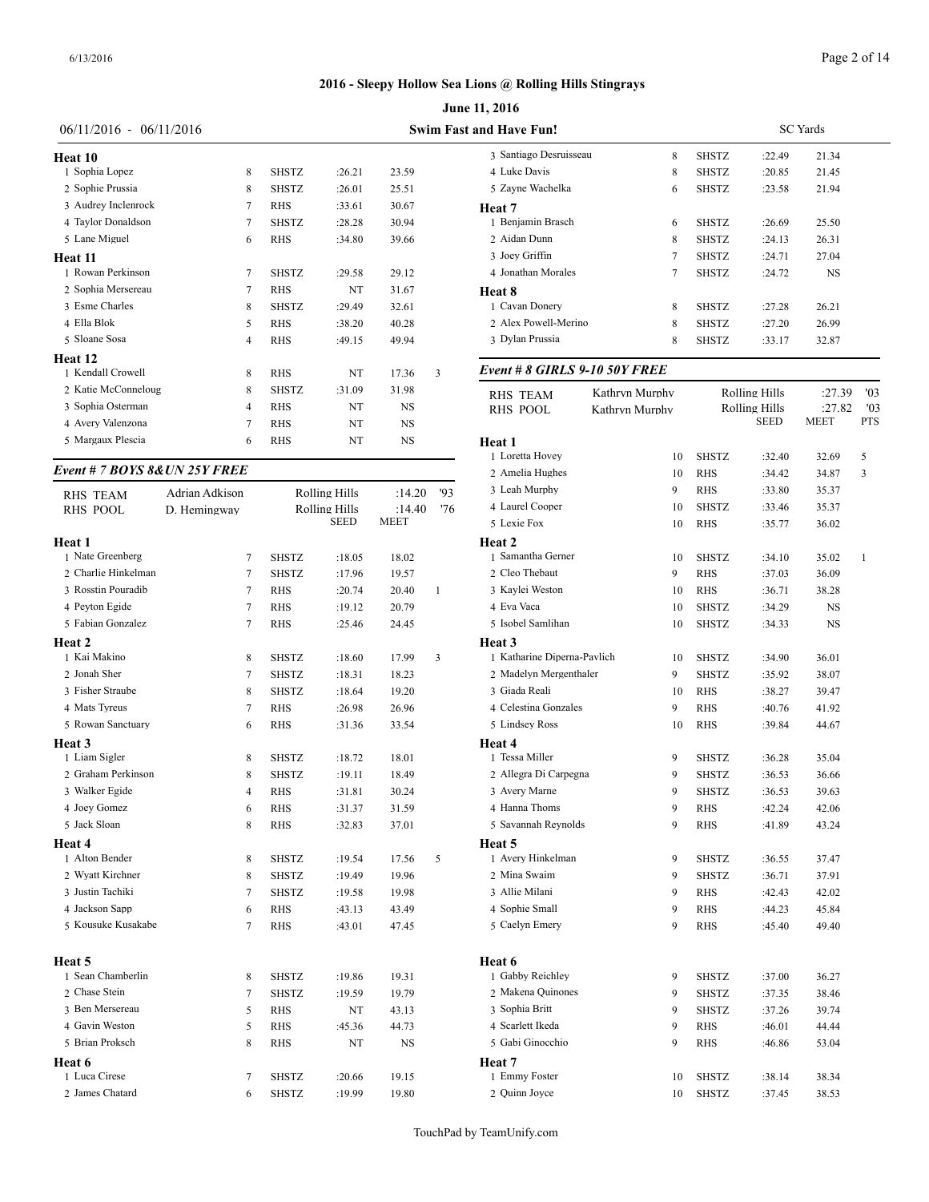|                           |                |              |        |           |   | <b>June 11, 2016</b>           |                |              |               |                 |
|---------------------------|----------------|--------------|--------|-----------|---|--------------------------------|----------------|--------------|---------------|-----------------|
| $06/11/2016 - 06/11/2016$ |                |              |        |           |   | <b>Swim Fast and Have Fun!</b> |                |              |               | <b>SC</b> Yards |
| Heat 10                   |                |              |        |           |   | 3 Santiago Desruisseau         | 8              | <b>SHSTZ</b> | :22.49        | 21.34           |
| 1 Sophia Lopez            | 8              | <b>SHSTZ</b> | :26.21 | 23.59     |   | 4 Luke Davis                   | 8              | <b>SHSTZ</b> | :20.85        | 21.4            |
| 2 Sophie Prussia          | 8              | <b>SHSTZ</b> | :26.01 | 25.51     |   | 5 Zayne Wachelka               | 6              | <b>SHSTZ</b> | :23.58        | 21.94           |
| 3 Audrey Inclenrock       | 7              | <b>RHS</b>   | :33.61 | 30.67     |   | Heat 7                         |                |              |               |                 |
| 4 Taylor Donaldson        | 7              | <b>SHSTZ</b> | :28.28 | 30.94     |   | 1 Benjamin Brasch              | 6              | <b>SHSTZ</b> | :26.69        | 25.50           |
| 5 Lane Miguel             | 6              | <b>RHS</b>   | :34.80 | 39.66     |   | 2 Aidan Dunn                   | 8              | <b>SHSTZ</b> | :24.13        | 26.31           |
| Heat 11                   |                |              |        |           |   | 3 Joey Griffin                 |                | <b>SHSTZ</b> | :24.71        | 27.04           |
| 1 Rowan Perkinson         | 7              | <b>SHSTZ</b> | :29.58 | 29.12     |   | 4 Jonathan Morales             |                | <b>SHSTZ</b> | :24.72        | N.              |
| 2 Sophia Mersereau        | 7              | <b>RHS</b>   | NT     | 31.67     |   | Heat 8                         |                |              |               |                 |
| 3 Esme Charles            | 8              | <b>SHSTZ</b> | :29.49 | 32.61     |   | 1 Cavan Donerv                 | 8              | <b>SHSTZ</b> | :27.28        | 26.21           |
| 4 Ella Blok               | 5              | <b>RHS</b>   | :38.20 | 40.28     |   | 2 Alex Powell-Merino           | 8              | <b>SHSTZ</b> | :27.20        | 26.99           |
| 5 Sloane Sosa             | $\overline{4}$ | <b>RHS</b>   | :49.15 | 49.94     |   | 3 Dylan Prussia                | 8              | <b>SHSTZ</b> | :33.17        | 32.87           |
| <b>Heat 12</b>            |                |              |        |           |   |                                |                |              |               |                 |
| 1 Kendall Crowell         | 8              | <b>RHS</b>   | NT     | 17.36     | 3 | Event # 8 GIRLS 9-10 50Y FREE  |                |              |               |                 |
| 2 Katie McConneloug       | 8              | <b>SHSTZ</b> | :31.09 | 31.98     |   | <b>RHS TEAM</b>                | Kathryn Murphy |              | Rolling Hills | :27             |
| 3 Sophia Osterman         | $\overline{4}$ | <b>RHS</b>   | NT     | <b>NS</b> |   | <b>RHS POOL</b>                | Kathryn Murphy |              | Rolling Hills | :27             |
| 4 Avery Valenzona         | 7              | <b>RHS</b>   | NT     | <b>NS</b> |   |                                |                |              | <b>SEED</b>   | <b>MEET</b>     |
| 5 Margaux Plescia         | 6              | <b>RHS</b>   | NT     | <b>NS</b> |   | Heat 1                         |                |              |               |                 |

#### *Event # 7 BOYS 8&UN 25Y FREE*

| <b>RHS TEAM</b>     | Adrian Adkison |              | <b>Rolling Hills</b> | :14.20 | 93           | 3 Leah Murphy     |
|---------------------|----------------|--------------|----------------------|--------|--------------|-------------------|
| <b>RHS POOL</b>     | D. Hemingway   |              | <b>Rolling Hills</b> | :14.40 | '76          | 4 Laurel Cooper   |
|                     |                |              | <b>SEED</b>          | MEET   |              | 5 Lexie Fox       |
| Heat 1              |                |              |                      |        |              | Heat 2            |
| 1 Nate Greenberg    | 7              | <b>SHSTZ</b> | :18.05               | 18.02  |              | 1 Samantha Gerne  |
| 2 Charlie Hinkelman | $\tau$         | <b>SHSTZ</b> | :17.96               | 19.57  |              | 2 Cleo Thebaut    |
| 3 Rosstin Pouradib  | 7              | <b>RHS</b>   | :20.74               | 20.40  | $\mathbf{1}$ | 3 Kaylei Weston   |
| 4 Peyton Egide      | $\overline{7}$ | <b>RHS</b>   | :19.12               | 20.79  |              | 4 Eva Vaca        |
| 5 Fabian Gonzalez   | $\tau$         | <b>RHS</b>   | :25.46               | 24.45  |              | 5 Isobel Samlihan |
| Heat 2              |                |              |                      |        |              | Heat 3            |
| 1 Kai Makino        | 8              | <b>SHSTZ</b> | :18.60               | 17.99  | 3            | 1 Katharine Diper |
| 2 Jonah Sher        | 7              | <b>SHSTZ</b> | :18.31               | 18.23  |              | 2 Madelyn Merge:  |
| 3 Fisher Straube    | 8              | <b>SHSTZ</b> | :18.64               | 19.20  |              | 3 Giada Reali     |
| 4 Mats Tyreus       | 7              | <b>RHS</b>   | :26.98               | 26.96  |              | 4 Celestina Gonza |
| 5 Rowan Sanctuary   | 6              | <b>RHS</b>   | :31.36               | 33.54  |              | 5 Lindsey Ross    |
| Heat 3              |                |              |                      |        |              | Heat 4            |
| 1 Liam Sigler       | 8              | <b>SHSTZ</b> | :18.72               | 18.01  |              | 1 Tessa Miller    |
| 2 Graham Perkinson  | 8              | <b>SHSTZ</b> | :19.11               | 18.49  |              | 2 Allegra Di Carp |
| 3 Walker Egide      | 4              | <b>RHS</b>   | :31.81               | 30.24  |              | 3 Avery Marne     |
| 4 Joey Gomez        | 6              | <b>RHS</b>   | :31.37               | 31.59  |              | 4 Hanna Thoms     |
| 5 Jack Sloan        | 8              | <b>RHS</b>   | :32.83               | 37.01  |              | 5 Savannah Reyno  |
| Heat 4              |                |              |                      |        |              | Heat 5            |
| 1 Alton Bender      | 8              | SHSTZ        | :19.54               | 17.56  | 5            | 1 Avery Hinkelma  |
| 2 Wyatt Kirchner    | 8              | <b>SHSTZ</b> | :19.49               | 19.96  |              | 2 Mina Swaim      |
| 3 Justin Tachiki    | 7              | <b>SHSTZ</b> | :19.58               | 19.98  |              | 3 Allie Milani    |
| 4 Jackson Sapp      | 6              | <b>RHS</b>   | :43.13               | 43.49  |              | 4 Sophie Small    |
| 5 Kousuke Kusakabe  | 7              | <b>RHS</b>   | :43.01               | 47.45  |              | 5 Caelyn Emery    |
| Heat 5              |                |              |                      |        |              | Heat 6            |
| 1 Sean Chamberlin   | 8              | <b>SHSTZ</b> | :19.86               | 19.31  |              | 1 Gabby Reichley  |
| 2 Chase Stein       | $\tau$         | <b>SHSTZ</b> | :19.59               | 19.79  |              | 2 Makena Quinon   |
| 3 Ben Mersereau     | 5              | <b>RHS</b>   | NT                   | 43.13  |              | 3 Sophia Britt    |
| 4 Gavin Weston      | 5              | <b>RHS</b>   | :45.36               | 44.73  |              | 4 Scarlett Ikeda  |
| 5 Brian Proksch     | 8              | <b>RHS</b>   | NT                   | NS     |              | 5 Gabi Ginocchio  |
| Heat 6              |                |              |                      |        |              | Heat 7            |
| 1 Luca Cirese       | 7              | <b>SHSTZ</b> | :20.66               | 19.15  |              | 1 Emmy Foster     |
| 2 James Chatard     | 6              | <b>SHSTZ</b> | :19.99               | 19.80  |              | 2 Quinn Joyce     |

| <b>nd Have Fun!</b>    |   |              | <b>SC</b> Yards |           |  |
|------------------------|---|--------------|-----------------|-----------|--|
| 3 Santiago Desruisseau | 8 | <b>SHSTZ</b> | :22.49          | 21.34     |  |
| 4 Luke Davis           | 8 | <b>SHSTZ</b> | :20.85          | 21.45     |  |
| 5 Zavne Wachelka       | 6 | <b>SHSTZ</b> | :23.58          | 21.94     |  |
| Heat 7                 |   |              |                 |           |  |
| 1 Benjamin Brasch      | 6 | <b>SHSTZ</b> | :26.69          | 25.50     |  |
| 2 Aidan Dunn           | 8 | <b>SHSTZ</b> | :24.13          | 26.31     |  |
| 3 Joey Griffin         | 7 | <b>SHSTZ</b> | :24.71          | 27.04     |  |
| 4 Jonathan Morales     | 7 | <b>SHSTZ</b> | :24.72          | <b>NS</b> |  |
| Heat 8                 |   |              |                 |           |  |
| 1 Cavan Donery         | 8 | <b>SHSTZ</b> | :27.28          | 26.21     |  |
| 2 Alex Powell-Merino   | 8 | <b>SHSTZ</b> | :27.20          | 26.99     |  |
| 3 Dylan Prussia        | 8 | <b>SHSTZ</b> | :33.17          | 32.87     |  |
|                        |   |              |                 |           |  |

| RHS TEAM                    | Kathryn Murphy |    |              | <b>Rolling Hills</b>                | :27.39 | '03          |
|-----------------------------|----------------|----|--------------|-------------------------------------|--------|--------------|
| RHS POOL                    | Kathryn Murphy |    |              | <b>Rolling Hills</b><br><b>SEED</b> | :27.82 | '03<br>PTS   |
|                             |                |    |              |                                     | MEET   |              |
| Heat 1<br>1 Loretta Hovey   |                | 10 | <b>SHSTZ</b> | :32.40                              | 32.69  | 5            |
| 2 Amelia Hughes             |                | 10 | <b>RHS</b>   | :34.42                              | 34.87  | 3            |
| 3 Leah Murphy               |                | 9  | <b>RHS</b>   | :33.80                              | 35.37  |              |
| 4 Laurel Cooper             |                | 10 | <b>SHSTZ</b> | :33.46                              | 35.37  |              |
| 5 Lexie Fox                 |                | 10 | <b>RHS</b>   | :35.77                              | 36.02  |              |
| Heat 2                      |                |    |              |                                     |        |              |
| 1 Samantha Gerner           |                | 10 | <b>SHSTZ</b> | :34.10                              | 35.02  | $\mathbf{1}$ |
| 2 Cleo Thebaut              |                | 9  | <b>RHS</b>   | :37.03                              | 36.09  |              |
| 3 Kaylei Weston             |                | 10 | <b>RHS</b>   | :36.71                              | 38.28  |              |
| 4 Eva Vaca                  |                | 10 | <b>SHSTZ</b> | :34.29                              | NS     |              |
| 5 Isobel Samlihan           |                | 10 | <b>SHSTZ</b> | :34.33                              | NS     |              |
| Heat 3                      |                |    |              |                                     |        |              |
| 1 Katharine Diperna-Pavlich |                | 10 | <b>SHSTZ</b> | :34.90                              | 36.01  |              |
| 2 Madelyn Mergenthaler      |                | 9  | <b>SHSTZ</b> | :35.92                              | 38.07  |              |
| 3 Giada Reali               |                | 10 | <b>RHS</b>   | :38.27                              | 39.47  |              |
| 4 Celestina Gonzales        |                | 9  | <b>RHS</b>   | :40.76                              | 41.92  |              |
| 5 Lindsey Ross              |                | 10 | <b>RHS</b>   | :39.84                              | 44.67  |              |
| Heat 4                      |                |    |              |                                     |        |              |
| 1 Tessa Miller              |                | 9  | <b>SHSTZ</b> | :36.28                              | 35.04  |              |
| 2 Allegra Di Carpegna       |                | 9  | <b>SHSTZ</b> | :36.53                              | 36.66  |              |
| 3 Avery Marne               |                | 9  | <b>SHSTZ</b> | :36.53                              | 39.63  |              |
| 4 Hanna Thoms               |                | 9  | RHS          | :42.24                              | 42.06  |              |
| 5 Savannah Reynolds         |                | 9  | <b>RHS</b>   | :41.89                              | 43.24  |              |
| Heat 5                      |                |    |              |                                     |        |              |
| 1 Avery Hinkelman           |                | 9  | <b>SHSTZ</b> | :36.55                              | 37.47  |              |
| 2 Mina Swaim                |                | 9  | <b>SHSTZ</b> | :36.71                              | 37.91  |              |
| 3 Allie Milani              |                | 9  | <b>RHS</b>   | :42.43                              | 42.02  |              |
| 4 Sophie Small              |                | 9  | <b>RHS</b>   | :44.23                              | 45.84  |              |
| 5 Caelyn Emery              |                | 9  | <b>RHS</b>   | :45.40                              | 49.40  |              |
| Heat 6                      |                |    |              |                                     |        |              |
| 1 Gabby Reichley            |                | 9  | <b>SHSTZ</b> | :37.00                              | 36.27  |              |
| 2 Makena Quinones           |                | 9  | <b>SHSTZ</b> | :37.35                              | 38.46  |              |
| 3 Sophia Britt              |                | 9  | <b>SHSTZ</b> | :37.26                              | 39.74  |              |
| 4 Scarlett Ikeda            |                | 9  | <b>RHS</b>   | :46.01                              | 44.44  |              |
| 5 Gabi Ginocchio            |                | 9  | <b>RHS</b>   | :46.86                              | 53.04  |              |
| Heat 7                      |                |    |              |                                     |        |              |
| 1 Emmy Foster               |                | 10 | <b>SHSTZ</b> | :38.14                              | 38.34  |              |
| 2 Ouinn Joyce               |                | 10 | <b>SHSTZ</b> | :37.45                              | 38.53  |              |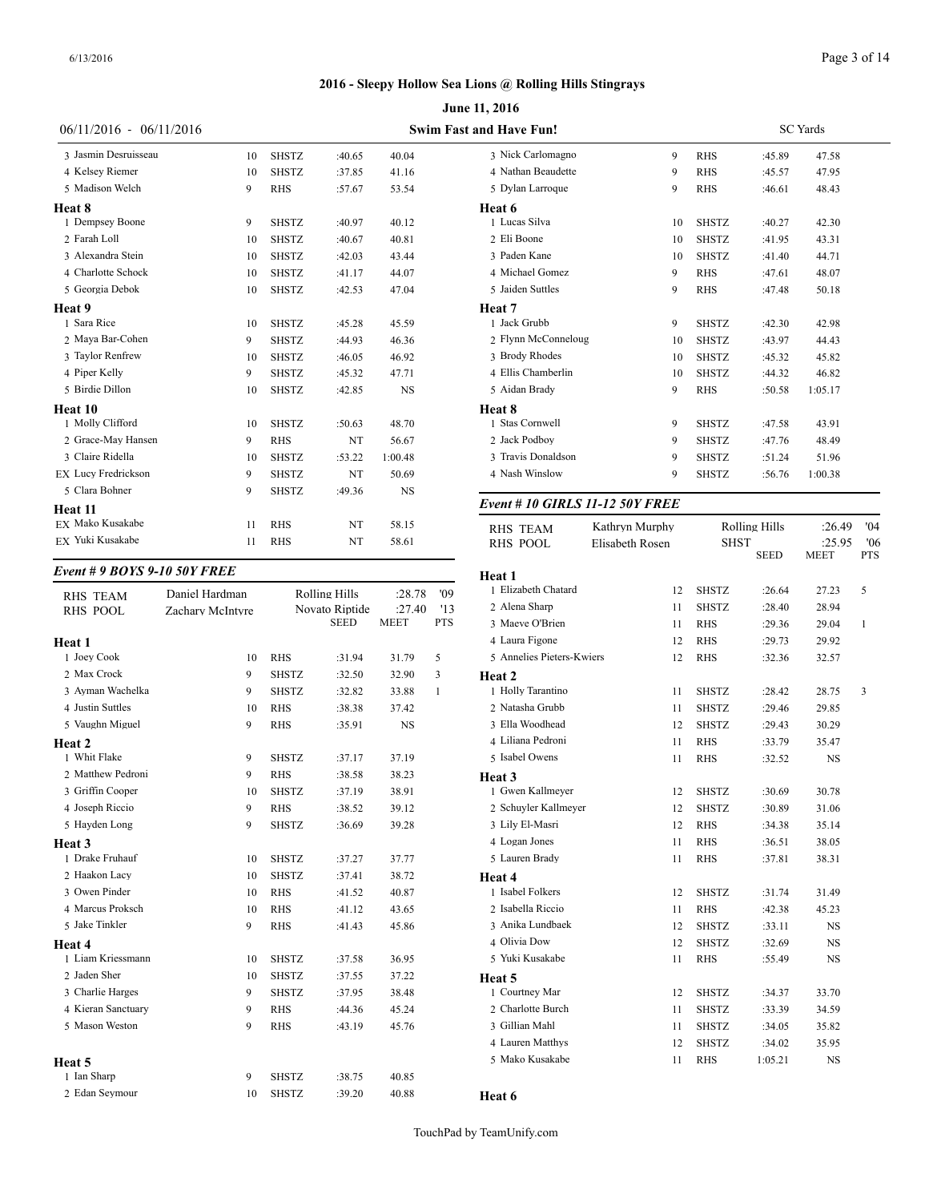|                            |    |              |        |           | <b>June 11, 2016</b>           |
|----------------------------|----|--------------|--------|-----------|--------------------------------|
| $06/11/2016 - 06/11/2016$  |    |              |        |           | <b>Swim Fast and Have Fun!</b> |
| 3 Jasmin Desruisseau       | 10 | <b>SHSTZ</b> | :40.65 | 40.04     | 3 Nick Carloma                 |
| 4 Kelsey Riemer            | 10 | <b>SHSTZ</b> | :37.85 | 41.16     | 4 Nathan Beaud                 |
| 5 Madison Welch            | 9  | <b>RHS</b>   | :57.67 | 53.54     | 5 Dylan Larroq                 |
| Heat 8                     |    |              |        |           | Heat 6                         |
| 1 Dempsey Boone            | 9  | <b>SHSTZ</b> | :40.97 | 40.12     | 1 Lucas Silva                  |
| 2 Farah Loll               | 10 | <b>SHSTZ</b> | :40.67 | 40.81     | 2 Eli Boone                    |
| 3 Alexandra Stein          | 10 | <b>SHSTZ</b> | :42.03 | 43.44     | 3 Paden Kane                   |
| 4 Charlotte Schock         | 10 | <b>SHSTZ</b> | :41.17 | 44.07     | 4 Michael Gom                  |
| 5 Georgia Debok            | 10 | <b>SHSTZ</b> | :42.53 | 47.04     | 5 Jaiden Suttles               |
| Heat 9                     |    |              |        |           | Heat 7                         |
| 1 Sara Rice                | 10 | <b>SHSTZ</b> | :45.28 | 45.59     | 1 Jack Grubb                   |
| 2 Maya Bar-Cohen           | 9  | <b>SHSTZ</b> | :44.93 | 46.36     | 2 Flynn McCon                  |
| 3 Taylor Renfrew           | 10 | <b>SHSTZ</b> | :46.05 | 46.92     | 3 Brody Rhodes                 |
| 4 Piper Kelly              | 9  | <b>SHSTZ</b> | :45.32 | 47.71     | 4 Ellis Chamber                |
| 5 Birdie Dillon            | 10 | <b>SHSTZ</b> | :42.85 | <b>NS</b> | 5 Aidan Brady                  |
| Heat 10                    |    |              |        |           | Heat 8                         |
| 1 Molly Clifford           | 10 | <b>SHSTZ</b> | :50.63 | 48.70     | 1 Stas Cornwell                |
| 2 Grace-May Hansen         | 9  | <b>RHS</b>   | NT     | 56.67     | 2 Jack Podboy                  |
| 3 Claire Ridella           | 10 | <b>SHSTZ</b> | :53.22 | 1:00.48   | 3 Travis Donald                |
| <b>EX Lucy Fredrickson</b> | 9  | <b>SHSTZ</b> | NT     | 50.69     | 4 Nash Winslov                 |
| 5 Clara Bohner             | 9  | <b>SHSTZ</b> | :49.36 | NS        |                                |
| Heat 11                    |    |              |        |           | Event # $10$ GL                |
| EX Mako Kusakabe           | 11 | <b>RHS</b>   | NT     | 58.15     | <b>RHS TEAM</b>                |
| EX Yuki Kusakabe           | 11 | <b>RHS</b>   | NT     | 58.61     | RHS POOL                       |

#### *Event # 9 BOYS 9-10 50Y FREE*

| <b>RHS TEAM</b>    | Daniel Hardman   |              | <b>Rolling Hills</b> | :28.78      | '09        | 1 Elizabeth Chatar |
|--------------------|------------------|--------------|----------------------|-------------|------------|--------------------|
| <b>RHS POOL</b>    | Zachary McIntyre |              | Novato Riptide       | :27.40      | '13        | 2 Alena Sharp      |
|                    |                  |              | <b>SEED</b>          | <b>MEET</b> | <b>PTS</b> | 3 Maeve O'Brien    |
| Heat 1             |                  |              |                      |             |            | 4 Laura Figone     |
| 1 Joey Cook        | 10               | <b>RHS</b>   | :31.94               | 31.79       | 5          | 5 Annelies Pieters |
| 2 Max Crock        | 9                | <b>SHSTZ</b> | :32.50               | 32.90       | 3          | Heat 2             |
| 3 Ayman Wachelka   | 9                | <b>SHSTZ</b> | :32.82               | 33.88       | 1          | 1 Holly Tarantino  |
| 4 Justin Suttles   | 10               | <b>RHS</b>   | :38.38               | 37.42       |            | 2 Natasha Grubb    |
| 5 Vaughn Miguel    | 9                | <b>RHS</b>   | :35.91               | <b>NS</b>   |            | 3 Ella Woodhead    |
| <b>Heat 2</b>      |                  |              |                      |             |            | 4 Liliana Pedroni  |
| 1 Whit Flake       | 9                | <b>SHSTZ</b> | :37.17               | 37.19       |            | 5 Isabel Owens     |
| 2 Matthew Pedroni  | 9                | <b>RHS</b>   | :38.58               | 38.23       |            | Heat 3             |
| 3 Griffin Cooper   | 10               | <b>SHSTZ</b> | :37.19               | 38.91       |            | 1 Gwen Kallmeye    |
| 4 Joseph Riccio    | 9                | <b>RHS</b>   | :38.52               | 39.12       |            | 2 Schuyler Kallme  |
| 5 Hayden Long      | 9                | <b>SHSTZ</b> | :36.69               | 39.28       |            | 3 Lily El-Masri    |
| Heat 3             |                  |              |                      |             |            | 4 Logan Jones      |
| 1 Drake Fruhauf    | 10               | <b>SHSTZ</b> | :37.27               | 37.77       |            | 5 Lauren Brady     |
| 2 Haakon Lacy      | 10               | <b>SHSTZ</b> | :37.41               | 38.72       |            | Heat 4             |
| 3 Owen Pinder      | 10               | <b>RHS</b>   | :41.52               | 40.87       |            | 1 Isabel Folkers   |
| 4 Marcus Proksch   | 10               | <b>RHS</b>   | :41.12               | 43.65       |            | 2 Isabella Riccio  |
| 5 Jake Tinkler     | 9                | <b>RHS</b>   | :41.43               | 45.86       |            | 3 Anika Lundbaek   |
| Heat 4             |                  |              |                      |             |            | 4 Olivia Dow       |
| 1 Liam Kriessmann  | 10               | <b>SHSTZ</b> | :37.58               | 36.95       |            | 5 Yuki Kusakabe    |
| 2 Jaden Sher       | 10               | <b>SHSTZ</b> | :37.55               | 37.22       |            | Heat 5             |
| 3 Charlie Harges   | 9                | <b>SHSTZ</b> | :37.95               | 38.48       |            | 1 Courtney Mar     |
| 4 Kieran Sanctuary | 9                | <b>RHS</b>   | :44.36               | 45.24       |            | 2 Charlotte Burch  |
| 5 Mason Weston     | 9                | <b>RHS</b>   | :43.19               | 45.76       |            | 3 Gillian Mahl     |
|                    |                  |              |                      |             |            | 4 Lauren Matthys   |
| Heat 5             |                  |              |                      |             |            | 5 Mako Kusakabe    |
| 1 Ian Sharp        | 9                | <b>SHSTZ</b> | :38.75               | 40.85       |            |                    |
| 2 Edan Seymour     | 10               | <b>SHSTZ</b> | :39.20               | 40.88       |            | Heat 6             |
|                    |                  |              |                      |             |            |                    |

 Nathan Beaudette 9 RHS :45.57 47.95 Dylan Larroque 9 RHS :46.61 48.43 **Heat 6** 1 Lucas Silva 10 SHSTZ :40.27 42.30 2 Eli Boone 10 SHSTZ :41.95 43.31 Paden Kane 10 SHSTZ :41.40 44.71 Michael Gomez 9 RHS :47.61 48.07 Jaiden Suttles 9 RHS :47.48 50.18 **Heat 7** Jack Grubb 9 SHSTZ :42.30 42.98 Flynn McConneloug 10 SHSTZ :43.97 44.43 Brody Rhodes 10 SHSTZ :45.32 45.82 Ellis Chamberlin 10 SHSTZ :44.32 46.82 Aidan Brady 9 RHS :50.58 1:05.17 **Heat 8** Stas Cornwell 9 SHSTZ :47.58 43.91 2 Jack Podboy 9 SHSTZ :47.76 48.49 Travis Donaldson 9 SHSTZ :51.24 51.96 Nash Winslow 9 SHSTZ :56.76 1:00.38

Nick Carlomagno 9 RHS :45.89 47.58

#### *Event # 10 GIRLS 11-12 50Y FREE*

| <b>RHS TEAM</b>           | Kathryn Murphy  |              | <b>Rolling Hills</b> | :26.49         | '04               |
|---------------------------|-----------------|--------------|----------------------|----------------|-------------------|
| <b>RHS POOL</b>           | Elisabeth Rosen | <b>SHST</b>  | <b>SEED</b>          | :25.95<br>MEET | '06<br><b>PTS</b> |
| Heat 1                    |                 |              |                      |                |                   |
| 1 Elizabeth Chatard       | 12              | <b>SHSTZ</b> | :26.64               | 27.23          | 5                 |
| 2 Alena Sharp             | 11              | <b>SHSTZ</b> | :28.40               | 28.94          |                   |
| 3 Maeve O'Brien           | 11              | <b>RHS</b>   | :29.36               | 29.04          | $\mathbf{1}$      |
| 4 Laura Figone            | 12              | <b>RHS</b>   | :29.73               | 29.92          |                   |
| 5 Annelies Pieters-Kwiers | 12              | <b>RHS</b>   | :32.36               | 32.57          |                   |
| Heat 2                    |                 |              |                      |                |                   |
| 1 Holly Tarantino         | 11              | <b>SHSTZ</b> | :28.42               | 28.75          | 3                 |
| 2 Natasha Grubb           | 11              | <b>SHSTZ</b> | :29.46               | 29.85          |                   |
| 3 Ella Woodhead           | 12              | <b>SHSTZ</b> | :29.43               | 30.29          |                   |
| 4 Liliana Pedroni         | 11              | <b>RHS</b>   | :33.79               | 35.47          |                   |
| 5 Isabel Owens            | 11              | <b>RHS</b>   | :32.52               | $_{\rm NS}$    |                   |
| Heat 3                    |                 |              |                      |                |                   |
| 1 Gwen Kallmeyer          | 12              | <b>SHSTZ</b> | :30.69               | 30.78          |                   |
| 2 Schuyler Kallmeyer      | 12              | <b>SHSTZ</b> | :30.89               | 31.06          |                   |
| 3 Lily El-Masri           | 12              | <b>RHS</b>   | :34.38               | 35.14          |                   |
| 4 Logan Jones             | 11              | RHS          | :36.51               | 38.05          |                   |
| 5 Lauren Brady            | 11              | <b>RHS</b>   | :37.81               | 38.31          |                   |
| Heat 4                    |                 |              |                      |                |                   |
| 1 Isabel Folkers          | 12              | <b>SHSTZ</b> | :31.74               | 31.49          |                   |
| 2 Isabella Riccio         | 11              | <b>RHS</b>   | :42.38               | 45.23          |                   |
| 3 Anika Lundbaek          | 12              | <b>SHSTZ</b> | :33.11               | $_{\rm NS}$    |                   |
| 4 Olivia Dow              | 12              | <b>SHSTZ</b> | :32.69               | $_{\rm NS}$    |                   |
| 5 Yuki Kusakabe           | 11              | <b>RHS</b>   | :55.49               | $_{\rm NS}$    |                   |
| Heat 5                    |                 |              |                      |                |                   |
| 1 Courtney Mar            | 12              | <b>SHSTZ</b> | :34.37               | 33.70          |                   |
| 2 Charlotte Burch         | 11              | <b>SHSTZ</b> | :33.39               | 34.59          |                   |
| 3 Gillian Mahl            | 11              | <b>SHSTZ</b> | :34.05               | 35.82          |                   |
| 4 Lauren Matthys          | 12              | <b>SHSTZ</b> | :34.02               | 35.95          |                   |
| 5 Mako Kusakabe           | 11              | <b>RHS</b>   | 1:05.21              | <b>NS</b>      |                   |
|                           |                 |              |                      |                |                   |

SC Yards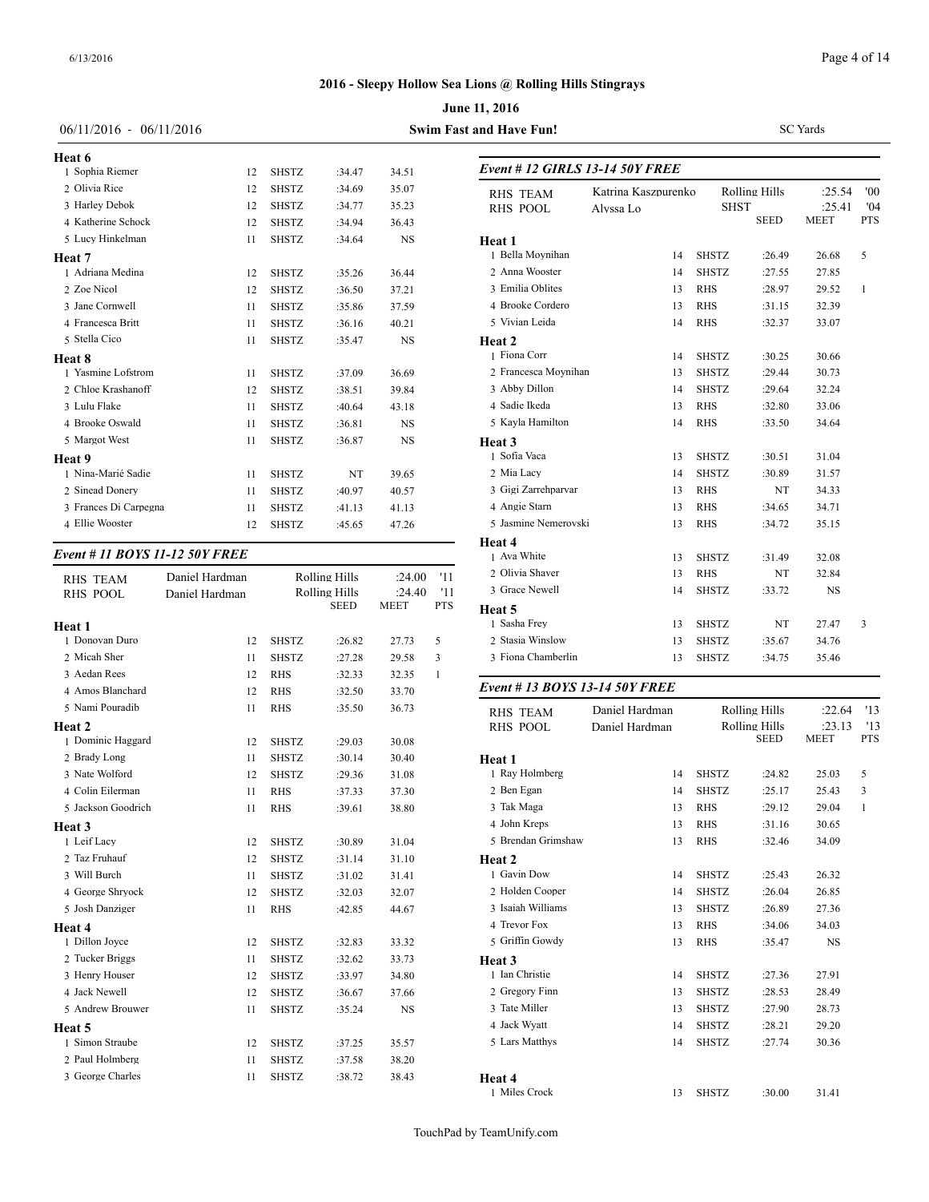|                                   |                |              |                              |                       |                   | June 11, 2016                  |  |
|-----------------------------------|----------------|--------------|------------------------------|-----------------------|-------------------|--------------------------------|--|
| 06/11/2016 - 06/11/2016           |                |              |                              |                       |                   | <b>Swim Fast and Have Fun!</b> |  |
| Heat 6                            |                |              |                              |                       |                   |                                |  |
| 1 Sophia Riemer                   | 12             | <b>SHSTZ</b> | :34.47                       | 34.51                 |                   | Event # 12 GIRLS 13-14 50Y     |  |
| 2 Olivia Rice                     | 12             | <b>SHSTZ</b> | :34.69                       | 35.07                 |                   | Katrina K<br><b>RHS TEAM</b>   |  |
| 3 Harley Debok                    | 12             | <b>SHSTZ</b> | :34.77                       | 35.23                 |                   | <b>RHS POOL</b><br>Alvssa Lo   |  |
| 4 Katherine Schock                | 12             | <b>SHSTZ</b> | :34.94                       | 36.43                 |                   |                                |  |
| 5 Lucy Hinkelman                  | 11             | <b>SHSTZ</b> | :34.64                       | <b>NS</b>             |                   | Heat 1<br>1 Bella Moynihan     |  |
| <b>Heat 7</b><br>1 Adriana Medina |                |              |                              |                       |                   | 2 Anna Wooster                 |  |
| 2 Zoe Nicol                       | 12             | <b>SHSTZ</b> | :35.26                       | 36.44                 |                   | 3 Emilia Oblites               |  |
|                                   | 12             | <b>SHSTZ</b> | :36.50                       | 37.21                 |                   | 4 Brooke Cordero               |  |
| 3 Jane Cornwell                   | 11             | <b>SHSTZ</b> | :35.86                       | 37.59                 |                   | 5 Vivian Leida                 |  |
| 4 Francesca Britt                 | 11             | <b>SHSTZ</b> | :36.16                       | 40.21                 |                   |                                |  |
| 5 Stella Cico                     | 11             | <b>SHSTZ</b> | :35.47                       | <b>NS</b>             |                   | Heat 2<br>1 Fiona Corr         |  |
| <b>Heat 8</b>                     |                |              |                              |                       |                   |                                |  |
| 1 Yasmine Lofstrom                | 11             | <b>SHSTZ</b> | :37.09                       | 36.69                 |                   | 2 Francesca Moynihan           |  |
| 2 Chloe Krashanoff                | 12             | <b>SHSTZ</b> | :38.51                       | 39.84                 |                   | 3 Abby Dillon                  |  |
| 3 Lulu Flake                      | 11             | <b>SHSTZ</b> | :40.64                       | 43.18                 |                   | 4 Sadie Ikeda                  |  |
| 4 Brooke Oswald                   | 11             | <b>SHSTZ</b> | :36.81                       | <b>NS</b>             |                   | 5 Kayla Hamilton               |  |
| 5 Margot West                     | 11             | <b>SHSTZ</b> | :36.87                       | <b>NS</b>             |                   | Heat 3<br>1 Sofia Vaca         |  |
| Heat 9<br>1 Nina-Marié Sadie      | 11             | <b>SHSTZ</b> | NT                           | 39.65                 |                   | 2 Mia Lacy                     |  |
| 2 Sinead Donery                   | 11             | <b>SHSTZ</b> | :40.97                       | 40.57                 |                   | 3 Gigi Zarrehparvar            |  |
| 3 Frances Di Carpegna             | 11             | <b>SHSTZ</b> | :41.13                       | 41.13                 |                   | 4 Angie Starn                  |  |
| 4 Ellie Wooster                   | 12             | <b>SHSTZ</b> | :45.65                       | 47.26                 |                   | 5 Jasmine Nemerovski           |  |
|                                   |                |              |                              |                       |                   | Heat 4                         |  |
| Event # 11 BOYS 11-12 50Y FREE    |                |              |                              |                       |                   | 1 Ava White                    |  |
| <b>RHS TEAM</b>                   | Daniel Hardman |              | <b>Rolling Hills</b>         | :24.00                | '11               | 2 Olivia Shaver                |  |
| <b>RHS POOL</b>                   | Daniel Hardman |              | Rolling Hills<br><b>OFFD</b> | :24.40<br><b>MEDE</b> | '11<br><b>DTC</b> | 3 Grace Newell                 |  |

| RHS PUUL           | Daniel Hardman |              | <b>ROHILLY</b> | .24.40      | 11         |                        |
|--------------------|----------------|--------------|----------------|-------------|------------|------------------------|
|                    |                |              | <b>SEED</b>    | <b>MEET</b> | <b>PTS</b> | Heat 5                 |
| Heat 1             |                |              |                |             |            | 1 Sasha Frey           |
| 1 Donovan Duro     | 12             | <b>SHSTZ</b> | :26.82         | 27.73       | 5          | 2 Stasia Winslow       |
| 2 Micah Sher       | 11             | <b>SHSTZ</b> | :27.28         | 29.58       | 3          | 3 Fiona Chamber        |
| 3 Aedan Rees       | 12             | <b>RHS</b>   | :32.33         | 32.35       | 1          |                        |
| 4 Amos Blanchard   | 12             | <b>RHS</b>   | :32.50         | 33.70       |            | Event # 13 <b>BO</b> Y |
| 5 Nami Pouradib    | 11             | <b>RHS</b>   | :35.50         | 36.73       |            | <b>RHS TEAM</b>        |
| Heat 2             |                |              |                |             |            | <b>RHS POOL</b>        |
| 1 Dominic Haggard  | 12             | <b>SHSTZ</b> | :29.03         | 30.08       |            |                        |
| 2 Brady Long       | 11             | <b>SHSTZ</b> | :30.14         | 30.40       |            | Heat 1                 |
| 3 Nate Wolford     | 12             | <b>SHSTZ</b> | :29.36         | 31.08       |            | 1 Ray Holmberg         |
| 4 Colin Eilerman   | 11             | <b>RHS</b>   | :37.33         | 37.30       |            | 2 Ben Egan             |
| 5 Jackson Goodrich | 11             | <b>RHS</b>   | :39.61         | 38.80       |            | 3 Tak Maga             |
| <b>Heat 3</b>      |                |              |                |             |            | 4 John Kreps           |
| 1 Leif Lacy        | 12             | <b>SHSTZ</b> | :30.89         | 31.04       |            | 5 Brendan Grims        |
| 2 Taz Fruhauf      | 12             | <b>SHSTZ</b> | :31.14         | 31.10       |            | Heat 2                 |
| 3 Will Burch       | 11             | <b>SHSTZ</b> | :31.02         | 31.41       |            | 1 Gavin Dow            |
| 4 George Shryock   | 12             | <b>SHSTZ</b> | :32.03         | 32.07       |            | 2 Holden Cooper        |
| 5 Josh Danziger    | 11             | <b>RHS</b>   | :42.85         | 44.67       |            | 3 Isaiah Williams      |
| Heat 4             |                |              |                |             |            | 4 Trevor Fox           |
| 1 Dillon Joyce     | 12             | <b>SHSTZ</b> | :32.83         | 33.32       |            | 5 Griffin Gowdy        |
| 2 Tucker Briggs    | 11             | <b>SHSTZ</b> | :32.62         | 33.73       |            | Heat 3                 |
| 3 Henry Houser     | 12             | <b>SHSTZ</b> | :33.97         | 34.80       |            | 1 Ian Christie         |
| 4 Jack Newell      | 12             | <b>SHSTZ</b> | :36.67         | 37.66       |            | 2 Gregory Finn         |
| 5 Andrew Brouwer   | 11             | <b>SHSTZ</b> | :35.24         | <b>NS</b>   |            | 3 Tate Miller          |
| Heat 5             |                |              |                |             |            | 4 Jack Wyatt           |
| 1 Simon Straube    | 12             | <b>SHSTZ</b> | :37.25         | 35.57       |            | 5 Lars Matthys         |
| 2 Paul Holmberg    | 11             | <b>SHSTZ</b> | :37.58         | 38.20       |            |                        |
| 3 George Charles   | 11             | <b>SHSTZ</b> | :38.72         | 38.43       |            | Heat 4                 |
|                    |                |              |                |             |            |                        |

| and Have Fun!                   |                     |                     |                              | <b>SC</b> Yards       |                   |
|---------------------------------|---------------------|---------------------|------------------------------|-----------------------|-------------------|
|                                 |                     |                     |                              |                       |                   |
| Event # 12 GIRLS 13-14 50Y FREE |                     |                     |                              |                       |                   |
| <b>RHS TEAM</b>                 | Katrina Kaszpurenko |                     | Rolling Hills                | :25.54                | '00               |
| <b>RHS POOL</b>                 | Alyssa Lo           |                     | <b>SHST</b><br>SEED          | :25.41<br>MEET        | '04<br>PTS        |
| Heat 1                          |                     |                     |                              |                       |                   |
| 1 Bella Moynihan                | 14                  | SHSTZ               | :26.49                       | 26.68                 | 5                 |
| 2 Anna Wooster                  | 14                  | <b>SHSTZ</b>        | :27.55                       | 27.85                 |                   |
| 3 Emilia Oblites                | 13                  | <b>RHS</b>          | :28.97                       | 29.52                 | $\mathbf{1}$      |
| 4 Brooke Cordero                | 13                  | <b>RHS</b>          | :31.15                       | 32.39                 |                   |
| 5 Vivian Leida                  | 14                  | <b>RHS</b>          | :32.37                       | 33.07                 |                   |
| Heat 2                          |                     |                     |                              |                       |                   |
| 1 Fiona Corr                    | 14                  | SHSTZ               | :30.25                       | 30.66                 |                   |
| 2 Francesca Moynihan            | 13                  | <b>SHSTZ</b>        | :29.44                       | 30.73                 |                   |
| 3 Abby Dillon                   | 14                  | SHSTZ               | :29.64                       | 32.24                 |                   |
| 4 Sadie Ikeda                   | 13                  | <b>RHS</b>          | :32.80                       | 33.06                 |                   |
| 5 Kayla Hamilton                | 14                  | <b>RHS</b>          | :33.50                       | 34.64                 |                   |
| Heat 3                          |                     |                     |                              |                       |                   |
| 1 Sofia Vaca                    | 13                  | SHSTZ               | :30.51                       | 31.04                 |                   |
| 2 Mia Lacy                      | 14                  | <b>SHSTZ</b>        | :30.89                       | 31.57                 |                   |
| 3 Gigi Zarrehparvar             | 13                  | RHS                 | NT                           | 34.33                 |                   |
| 4 Angie Starn                   | 13                  | <b>RHS</b>          | :34.65                       | 34.71                 |                   |
| 5 Jasmine Nemerovski            | 13                  | <b>RHS</b>          | :34.72                       | 35.15                 |                   |
| Heat 4<br>1 Ava White           |                     |                     |                              |                       |                   |
| 2 Olivia Shaver                 | 13                  | <b>SHSTZ</b>        | :31.49                       | 32.08                 |                   |
| 3 Grace Newell                  | 13                  | RHS<br><b>SHSTZ</b> | NT                           | 32.84                 |                   |
|                                 | 14                  |                     | :33.72                       | NS                    |                   |
| Heat 5<br>1 Sasha Frey          | 13                  | SHSTZ               | NT                           | 27.47                 | 3                 |
| 2 Stasia Winslow                | 13                  | SHSTZ               | :35.67                       | 34.76                 |                   |
| 3 Fiona Chamberlin              | 13                  | SHSTZ               | :34.75                       | 35.46                 |                   |
|                                 |                     |                     |                              |                       |                   |
| Event # 13 BOYS 13-14 50Y FREE  |                     |                     |                              |                       |                   |
| <b>RHS TEAM</b>                 | Daniel Hardman      |                     | Rolling Hills                | :22.64                | '13               |
| <b>RHS POOL</b>                 | Daniel Hardman      |                     | Rolling Hills<br><b>SEED</b> | :23.13<br><b>MEET</b> | '13<br><b>PTS</b> |
|                                 |                     |                     |                              |                       |                   |
| Heat 1<br>1 Ray Holmberg        | 14                  | SHSTZ               | :24.82                       | 25.03                 | 5                 |
| 2 Ben Egan                      | 14                  | SHSTZ               | :25.17                       | 25.43                 | 3                 |
| 3 Tak Maga                      | 13                  | <b>RHS</b>          | :29.12                       | 29.04                 | 1                 |
| 4 John Kreps                    | 13                  | RHS                 | :31.16                       | 30.65                 |                   |
| 5 Brendan Grimshaw              | 13                  | <b>RHS</b>          | :32.46                       | 34.09                 |                   |
| Heat 2                          |                     |                     |                              |                       |                   |
| 1 Gavin Dow                     | 14                  | SHSTZ               | :25.43                       | 26.32                 |                   |
| 2 Holden Cooper                 | 14                  | SHSTZ               | :26.04                       | 26.85                 |                   |
| 3 Isaiah Williams               | 13                  | SHSTZ               | :26.89                       | 27.36                 |                   |
| 4 Trevor Fox                    | 13                  | RHS                 | :34.06                       | 34.03                 |                   |
| 5 Griffin Gowdy                 | 13                  | <b>RHS</b>          | :35.47                       | NS                    |                   |
|                                 |                     |                     |                              |                       |                   |
| Heat 3<br>1 Ian Christie        | 14                  | SHSTZ               | :27.36                       | 27.91                 |                   |
| 2 Gregory Finn                  | 13                  | <b>SHSTZ</b>        | :28.53                       | 28.49                 |                   |
| 3 Tate Miller                   | 13                  | SHSTZ               | :27.90                       | 28.73                 |                   |
| 4 Jack Wyatt                    | 14                  | SHSTZ               | :28.21                       | 29.20                 |                   |
| 5 Lars Matthys                  | 14                  | SHSTZ               | :27.74                       | 30.36                 |                   |
|                                 |                     |                     |                              |                       |                   |

13 SHSTZ :30.00 31.41

TouchPad by TeamUnify.com

**Heat 4**<br>1 Miles Crock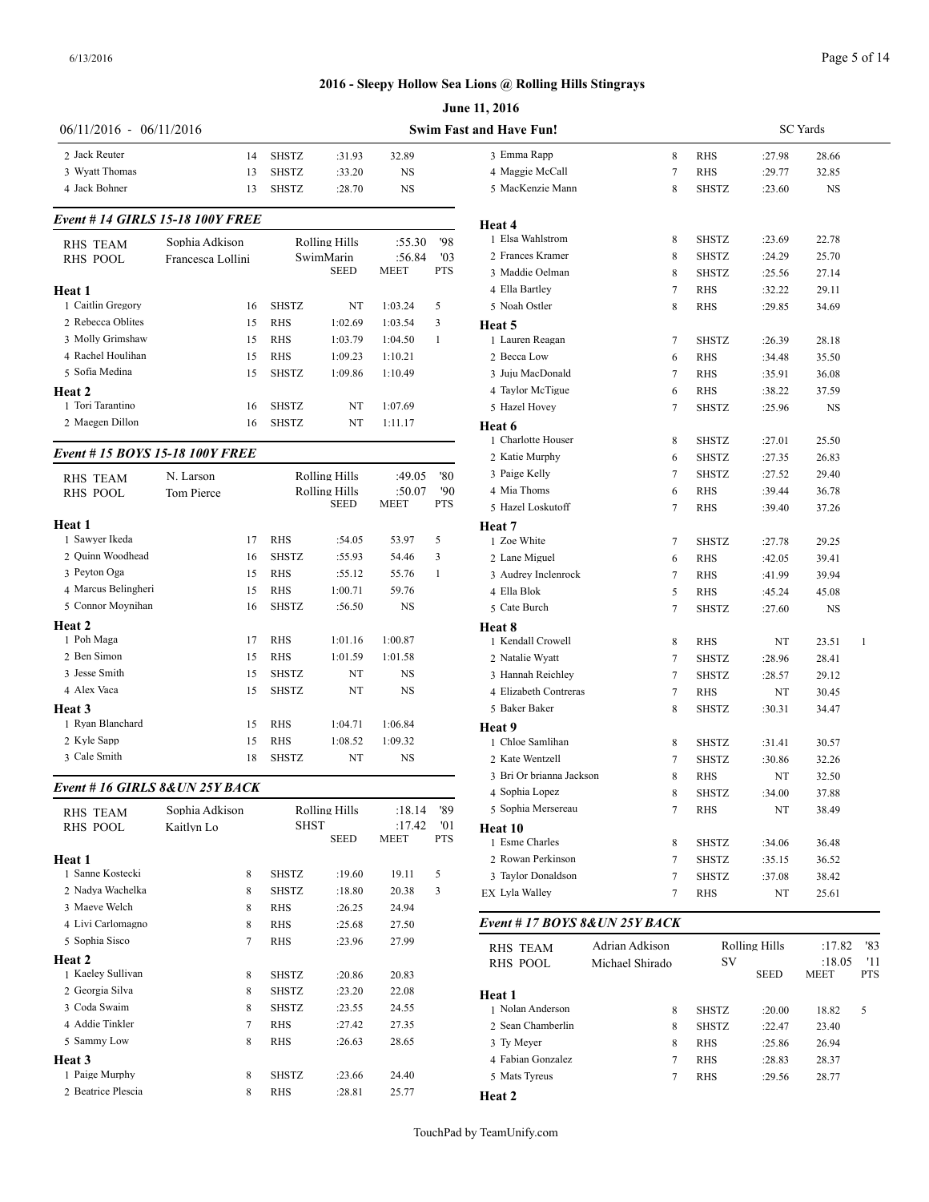|                                    |                   |              |                      |             |              | June 11, 2016                              |
|------------------------------------|-------------------|--------------|----------------------|-------------|--------------|--------------------------------------------|
| 06/11/2016 - 06/11/2016            |                   |              |                      |             |              | <b>Swim Fast and Have Fun!</b>             |
| 2 Jack Reuter                      | 14                | <b>SHSTZ</b> | :31.93               | 32.89       |              | 3 Emma Rapp                                |
| 3 Wyatt Thomas                     | 13                | <b>SHSTZ</b> | :33.20               | NS          |              | 4 Maggie McCall                            |
| 4 Jack Bohner                      | 13                | <b>SHSTZ</b> | :28.70               | NS          |              | 5 MacKenzie Mann                           |
| Event # 14 GIRLS 15-18 100Y FREE   |                   |              |                      |             |              | Heat 4                                     |
| <b>RHS TEAM</b>                    | Sophia Adkison    |              | Rolling Hills        | :55.30      | '98          | 1 Elsa Wahlstrom                           |
| <b>RHS POOL</b>                    | Francesca Lollini |              | SwimMarin            | :56.84      | '03          | 2 Frances Kramer                           |
|                                    |                   |              | <b>SEED</b>          | <b>MEET</b> | <b>PTS</b>   | 3 Maddie Oelman                            |
| Heat 1                             |                   |              |                      |             |              | 4 Ella Bartley                             |
| 1 Caitlin Gregory                  | 16                | <b>SHSTZ</b> | NT                   | 1:03.24     | 5            | 5 Noah Ostler                              |
| 2 Rebecca Oblites                  | 15                | <b>RHS</b>   | 1:02.69              | 1:03.54     | 3            | Heat 5                                     |
| 3 Molly Grimshaw                   | 15                | <b>RHS</b>   | 1:03.79              | 1:04.50     | 1            | 1 Lauren Reagan                            |
| 4 Rachel Houlihan                  | 15                | <b>RHS</b>   | 1:09.23              | 1:10.21     |              | 2 Becca Low                                |
| 5 Sofia Medina                     | 15                | <b>SHSTZ</b> | 1:09.86              | 1:10.49     |              | 3 Juju MacDonald                           |
| Heat <sub>2</sub>                  |                   |              |                      |             |              | 4 Taylor McTigue                           |
| 1 Tori Tarantino                   | 16                | <b>SHSTZ</b> | NT                   | 1:07.69     |              | 5 Hazel Hovey                              |
| 2 Maegen Dillon                    | 16                | <b>SHSTZ</b> | NT                   | 1:11.17     |              | Heat 6                                     |
| Event #15 BOYS 15-18 100Y FREE     |                   |              |                      |             |              | 1 Charlotte Houser<br>2 Katie Murphy       |
|                                    | N. Larson         |              | Rolling Hills        | :49.05      | '80          | 3 Paige Kelly                              |
| <b>RHS TEAM</b><br><b>RHS POOL</b> | <b>Tom Pierce</b> |              | Rolling Hills        | :50.07      | '90          | 4 Mia Thoms                                |
|                                    |                   |              | <b>SEED</b>          | MEET        | PTS          | 5 Hazel Loskutoff                          |
| Heat 1                             |                   |              |                      |             |              | Heat 7                                     |
| 1 Sawyer Ikeda                     | 17                | <b>RHS</b>   | :54.05               | 53.97       | 5            | 1 Zoe White                                |
| 2 Ouinn Woodhead                   | 16                | <b>SHSTZ</b> | :55.93               | 54.46       | 3            | 2 Lane Miguel                              |
| 3 Peyton Oga                       | 15                | <b>RHS</b>   | :55.12               | 55.76       | $\mathbf{1}$ | 3 Audrey Inclenrock                        |
| 4 Marcus Belingheri                | 15                | <b>RHS</b>   | 1:00.71              | 59.76       |              | 4 Ella Blok                                |
| 5 Connor Moynihan                  | 16                | <b>SHSTZ</b> | :56.50               | NS          |              | 5 Cate Burch                               |
| Heat 2                             |                   |              |                      |             |              | Heat 8                                     |
| 1 Poh Maga                         | 17                | RHS          | 1:01.16              | 1:00.87     |              | 1 Kendall Crowell                          |
| 2 Ben Simon                        | 15                | <b>RHS</b>   | 1:01.59              | 1:01.58     |              | 2 Natalie Wyatt                            |
| 3 Jesse Smith                      | 15                | <b>SHSTZ</b> | NT                   | NS          |              | 3 Hannah Reichley                          |
| 4 Alex Vaca                        | 15                | <b>SHSTZ</b> | NT                   | NS          |              | 4 Elizabeth Contreras                      |
| Heat 3                             |                   |              |                      |             |              | 5 Baker Baker                              |
| 1 Ryan Blanchard                   | 15                | RHS          | 1:04.71              | 1:06.84     |              | Heat 9                                     |
| 2 Kyle Sapp<br>3 Cale Smith        | 15                | <b>RHS</b>   | 1:08.52              | 1:09.32     |              | 1 Chloe Samlihan                           |
|                                    | 18                | <b>SHSTZ</b> | NT                   | NS          |              | 2 Kate Wentzell                            |
| Event # 16 GIRLS 8& UN 25Y BACK    |                   |              |                      |             |              | 3 Bri Or brianna Jackson<br>4 Sophia Lopez |
| RHS TEAM                           | Sophia Adkison    |              | <b>Rolling Hills</b> | :18.14      | '89          | 5 Sophia Mersereau                         |
| <b>RHS POOL</b>                    | Kaitlyn Lo        | <b>SHST</b>  |                      | :17.42      | '01          | Heat 10                                    |
|                                    |                   |              | <b>SEED</b>          | MEET        | <b>PTS</b>   | 1 Esme Charles                             |
| Heat 1                             |                   |              |                      |             |              | 2 Rowan Perkinson                          |
| 1 Sanne Kostecki                   | 8                 | SHSTZ        | :19.60               | 19.11       | 5            | 3 Taylor Donaldson                         |
| 2 Nadya Wachelka                   | 8                 | SHSTZ        | :18.80               | 20.38       | 3            | EX Lyla Walley                             |
| 3 Maeve Welch                      | 8                 | RHS          | :26.25               | 24.94       |              |                                            |
| 4 Livi Carlomagno                  | 8                 | RHS          | :25.68               | 27.50       |              | Event #17 BOYS 8& UN 25Y                   |
| 5 Sophia Sisco                     | 7                 | RHS          | :23.96               | 27.99       |              | Adrian Ad<br><b>RHS TEAM</b>               |
| Heat 2                             |                   |              |                      |             |              | RHS POOL<br>Michael S.                     |
| 1 Kaeley Sullivan                  | 8                 | SHSTZ        | :20.86               | 20.83       |              |                                            |
| 2 Georgia Silva                    | 8                 | SHSTZ        | :23.20               | 22.08       |              | Heat 1                                     |
| 3 Coda Swaim<br>4 Addie Tinkler    | 8                 | SHSTZ        | :23.55               | 24.55       |              | 1 Nolan Anderson                           |
| 5 Sammy Low                        | 7                 | RHS          | :27.42               | 27.35       |              | 2 Sean Chamberlin                          |
|                                    | 8                 | RHS          | :26.63               | 28.65       |              | 3 Ty Meyer<br>4 Fabian Gonzalez            |
| Heat 3<br>1 Paige Murphy           | 8                 | SHSTZ        | :23.66               | 24.40       |              | 5 Mats Tyreus                              |
|                                    |                   |              |                      |             |              |                                            |

2 Beatrice Plescia 8 RHS :28.81 25.77

| and Have Fun!<br>3 Emma Rapp<br>4 Maggie McCall |                 |              |               |                |                   |  |
|-------------------------------------------------|-----------------|--------------|---------------|----------------|-------------------|--|
|                                                 |                 |              | SC Yards      |                |                   |  |
|                                                 | 8               | RHS          | :27.98        | 28.66          |                   |  |
|                                                 | 7               | RHS          | :29.77        | 32.85          |                   |  |
| 5 MacKenzie Mann                                | 8               | SHSTZ        | :23.60        | NS             |                   |  |
| Heat 4                                          |                 |              |               |                |                   |  |
| 1 Elsa Wahlstrom                                | 8               | SHSTZ        | :23.69        | 22.78          |                   |  |
| 2 Frances Kramer                                | 8               | SHSTZ        | :24.29        | 25.70          |                   |  |
| 3 Maddie Oelman                                 | 8               | <b>SHSTZ</b> | :25.56        | 27.14          |                   |  |
| 4 Ella Bartley                                  | 7               | RHS          | :32.22        | 29.11          |                   |  |
| 5 Noah Ostler                                   | 8               | RHS          | :29.85        | 34.69          |                   |  |
| Heat 5                                          |                 |              |               |                |                   |  |
| 1 Lauren Reagan                                 | 7               | SHSTZ        | :26.39        | 28.18          |                   |  |
| 2 Becca Low                                     | 6               | RHS          | :34.48        | 35.50          |                   |  |
| 3 Juju MacDonald                                | 7               | RHS          | :35.91        | 36.08          |                   |  |
| 4 Taylor McTigue                                | 6               | RHS          | :38.22        | 37.59          |                   |  |
| 5 Hazel Hovey                                   | 7               | SHSTZ        | :25.96        | NS             |                   |  |
| Heat 6                                          |                 |              |               |                |                   |  |
| 1 Charlotte Houser                              | 8               | SHSTZ        | :27.01        | 25.50          |                   |  |
| 2 Katie Murphy                                  | 6               | SHSTZ        | :27.35        | 26.83          |                   |  |
| 3 Paige Kelly                                   | 7               | SHSTZ        | :27.52        | 29.40          |                   |  |
| 4 Mia Thoms                                     | 6               | RHS          | :39.44        | 36.78          |                   |  |
| 5 Hazel Loskutoff                               | 7               | RHS          | :39.40        | 37.26          |                   |  |
| Heat 7                                          |                 |              |               |                |                   |  |
| 1 Zoe White                                     | 7               | SHSTZ        | :27.78        | 29.25          |                   |  |
| 2 Lane Miguel                                   | 6               | RHS          | :42.05        | 39.41          |                   |  |
| 3 Audrey Inclenrock                             | 7               | RHS          | :41.99        | 39.94          |                   |  |
| 4 Ella Blok                                     | 5               | RHS          | :45.24        | 45.08          |                   |  |
| 5 Cate Burch                                    | 7               | SHSTZ        | :27.60        | NS             |                   |  |
| Heat 8                                          |                 |              |               |                |                   |  |
| 1 Kendall Crowell                               | 8               | RHS          | NT            | 23.51          | 1                 |  |
| 2 Natalie Wyatt                                 | 7               | SHSTZ        | :28.96        | 28.41          |                   |  |
| 3 Hannah Reichley                               | 7               | SHSTZ        | :28.57        | 29.12          |                   |  |
| 4 Elizabeth Contreras                           | 7               | RHS          | NT            | 30.45          |                   |  |
| 5 Baker Baker                                   | 8               | SHSTZ        | :30.31        | 34.47          |                   |  |
| Heat 9                                          |                 |              |               |                |                   |  |
| 1 Chloe Samlihan                                | 8               | SHSTZ        | :31.41        | 30.57          |                   |  |
| 2 Kate Wentzell                                 | 7               | SHSTZ        | :30.86        | 32.26          |                   |  |
| 3 Bri Or brianna Jackson                        | 8               | RHS          | NT            | 32.50          |                   |  |
| 4 Sophia Lopez                                  | 8               | SHSTZ        | :34.00        | 37.88          |                   |  |
| 5 Sophia Mersereau                              | 7               | <b>RHS</b>   | NT            | 38.49          |                   |  |
| Heat 10                                         |                 |              |               |                |                   |  |
| 1 Esme Charles                                  | 8               | SHSTZ        | :34.06        | 36.48          |                   |  |
| 2 Rowan Perkinson                               | 7               | SHSTZ        | :35.15        | 36.52          |                   |  |
| 3 Taylor Donaldson                              | 7               | SHSTZ        | :37.08        | 38.42          |                   |  |
| EX Lyla Walley                                  | 7               | RHS          | NT            | 25.61          |                   |  |
| Event #17 BOYS 8&UN 25Y BACK                    |                 |              |               |                |                   |  |
| <b>RHS TEAM</b>                                 | Adrian Adkison  |              | Rolling Hills | :17.82         | '83               |  |
| RHS POOL                                        | Michael Shirado | SV           | SEED          | :18.05<br>MEET | '11<br><b>PTS</b> |  |
|                                                 |                 |              |               |                |                   |  |
|                                                 |                 | SHSTZ        | :20.00        | 18.82          | 5                 |  |
| Heat 1<br>1 Nolan Anderson                      | 8               |              |               |                |                   |  |
| 2 Sean Chamberlin                               | 8               | <b>SHSTZ</b> | :22.47        | 23.40          |                   |  |
| 3 Ty Meyer                                      | 8               | RHS          | :25.86        | 26.94          |                   |  |
| 4 Fabian Gonzalez                               | 7               | RHS          | :28.83        | 28.37          |                   |  |
| 5 Mats Tyreus                                   | 7               | RHS          | :29.56        | 28.77          |                   |  |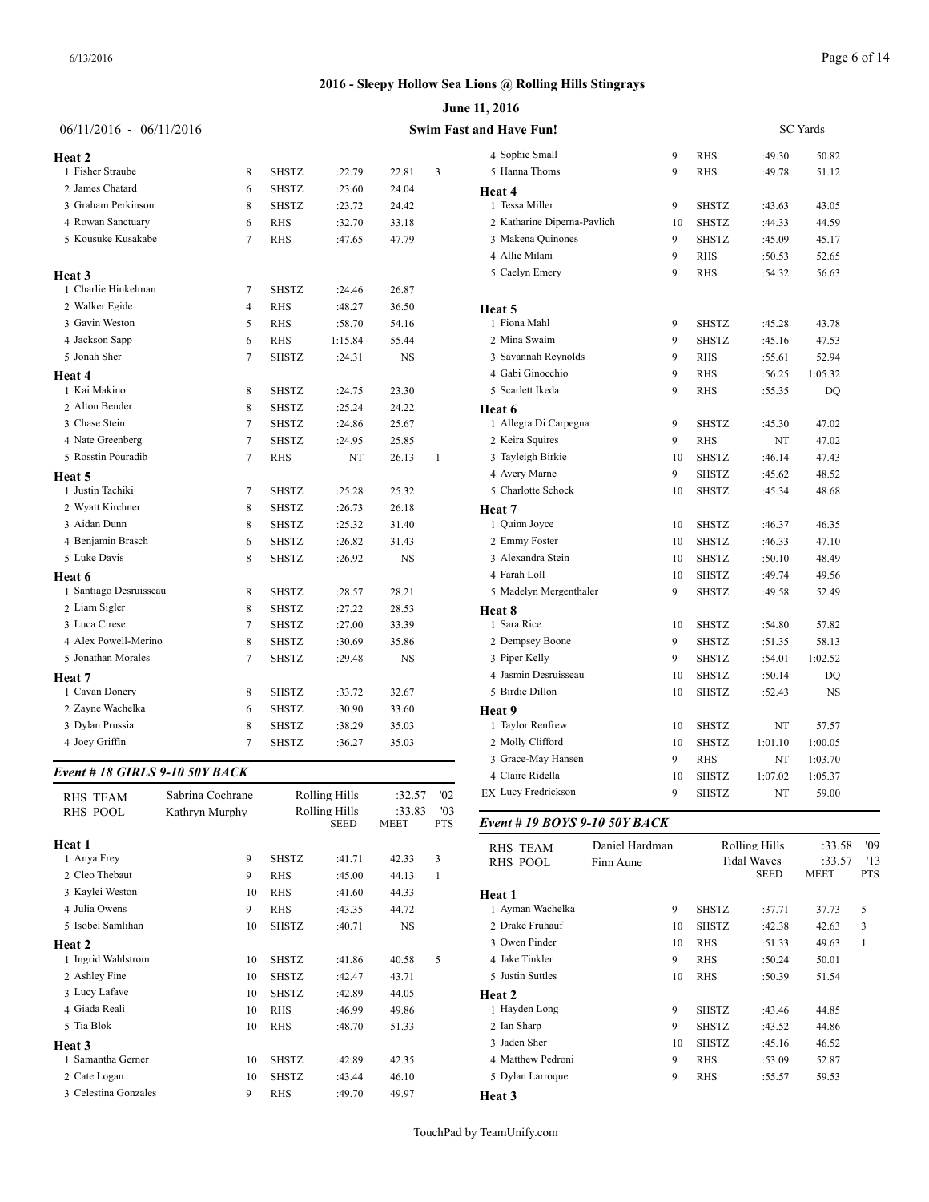|                                |                  |              |                              |                       |                                | June 11, 2016                 |    |              |         |           |
|--------------------------------|------------------|--------------|------------------------------|-----------------------|--------------------------------|-------------------------------|----|--------------|---------|-----------|
| $06/11/2016 - 06/11/2016$      |                  |              |                              |                       | <b>Swim Fast and Have Fun!</b> | <b>SC</b> Yards               |    |              |         |           |
| <b>Heat 2</b>                  |                  |              |                              |                       |                                | 4 Sophie Small                | 9  | <b>RHS</b>   | :49.30  | 50.82     |
| 1 Fisher Straube               | 8                | <b>SHSTZ</b> | :22.79                       | 22.81                 | 3                              | 5 Hanna Thoms                 | 9  | <b>RHS</b>   | :49.78  | 51.12     |
| 2 James Chatard                | 6                | <b>SHSTZ</b> | :23.60                       | 24.04                 |                                | Heat 4                        |    |              |         |           |
| 3 Graham Perkinson             | 8                | <b>SHSTZ</b> | :23.72                       | 24.42                 |                                | 1 Tessa Miller                | 9  | <b>SHSTZ</b> | :43.63  | 43.05     |
| 4 Rowan Sanctuary              | 6                | <b>RHS</b>   | :32.70                       | 33.18                 |                                | 2 Katharine Diperna-Pavlich   | 10 | <b>SHSTZ</b> | :44.33  | 44.59     |
| 5 Kousuke Kusakabe             | $\overline{7}$   | <b>RHS</b>   | :47.65                       | 47.79                 |                                | 3 Makena Quinones             | 9  | <b>SHSTZ</b> | :45.09  | 45.17     |
|                                |                  |              |                              |                       |                                | 4 Allie Milani                | 9  | <b>RHS</b>   | :50.53  | 52.65     |
| Heat 3                         |                  |              |                              |                       |                                | 5 Caelyn Emery                | 9  | <b>RHS</b>   | :54.32  | 56.63     |
| 1 Charlie Hinkelman            | 7                | <b>SHSTZ</b> | :24.46                       | 26.87                 |                                |                               |    |              |         |           |
| 2 Walker Egide                 | $\overline{4}$   | RHS          | :48.27                       | 36.50                 |                                | Heat 5                        |    |              |         |           |
| 3 Gavin Weston                 | 5                | <b>RHS</b>   | :58.70                       | 54.16                 |                                | 1 Fiona Mahl                  | 9  | <b>SHSTZ</b> | :45.28  | 43.78     |
| 4 Jackson Sapp                 | 6                | <b>RHS</b>   | 1:15.84                      | 55.44                 |                                | 2 Mina Swaim                  | 9  | <b>SHSTZ</b> | :45.16  | 47.53     |
| 5 Jonah Sher                   | $\overline{7}$   | <b>SHSTZ</b> | :24.31                       | NS                    |                                | 3 Savannah Reynolds           | 9  | <b>RHS</b>   | :55.61  | 52.94     |
| Heat 4                         |                  |              |                              |                       |                                | 4 Gabi Ginocchio              | 9  | <b>RHS</b>   | :56.25  | 1:05.32   |
| 1 Kai Makino                   | 8                | <b>SHSTZ</b> | :24.75                       | 23.30                 |                                | 5 Scarlett Ikeda              | 9  | <b>RHS</b>   | :55.35  | DQ        |
| 2 Alton Bender                 | 8                | <b>SHSTZ</b> | :25.24                       | 24.22                 |                                | Heat 6                        |    |              |         |           |
| 3 Chase Stein                  | $\overline{7}$   | <b>SHSTZ</b> | :24.86                       | 25.67                 |                                | 1 Allegra Di Carpegna         | 9  | <b>SHSTZ</b> | :45.30  | 47.02     |
| 4 Nate Greenberg               | $\overline{7}$   | <b>SHSTZ</b> | :24.95                       | 25.85                 |                                | 2 Keira Squires               | 9  | <b>RHS</b>   | NT      | 47.02     |
| 5 Rosstin Pouradib             | $\overline{7}$   | <b>RHS</b>   | NT                           | 26.13                 | $\overline{1}$                 | 3 Tayleigh Birkie             | 10 | <b>SHSTZ</b> | :46.14  | 47.43     |
| Heat 5                         |                  |              |                              |                       |                                | 4 Avery Marne                 | 9  | <b>SHSTZ</b> | :45.62  | 48.52     |
| 1 Justin Tachiki               | $\overline{7}$   | <b>SHSTZ</b> | :25.28                       | 25.32                 |                                | 5 Charlotte Schock            | 10 | <b>SHSTZ</b> | :45.34  | 48.68     |
| 2 Wyatt Kirchner               | 8                | <b>SHSTZ</b> | :26.73                       | 26.18                 |                                | Heat 7                        |    |              |         |           |
| 3 Aidan Dunn                   | 8                | <b>SHSTZ</b> | :25.32                       | 31.40                 |                                | 1 Quinn Joyce                 | 10 | <b>SHSTZ</b> | :46.37  | 46.35     |
| 4 Benjamin Brasch              | 6                | <b>SHSTZ</b> | :26.82                       | 31.43                 |                                | 2 Emmy Foster                 | 10 | <b>SHSTZ</b> | :46.33  | 47.10     |
| 5 Luke Davis                   | 8                | <b>SHSTZ</b> | :26.92                       | NS                    |                                | 3 Alexandra Stein             | 10 | <b>SHSTZ</b> | :50.10  | 48.49     |
| Heat 6                         |                  |              |                              |                       |                                | 4 Farah Loll                  | 10 | <b>SHSTZ</b> | :49.74  | 49.56     |
| 1 Santiago Desruisseau         | 8                | <b>SHSTZ</b> | :28.57                       | 28.21                 |                                | 5 Madelyn Mergenthaler        | 9  | <b>SHSTZ</b> | :49.58  | 52.49     |
| 2 Liam Sigler                  | 8                | <b>SHSTZ</b> | :27.22                       | 28.53                 |                                | Heat 8                        |    |              |         |           |
| 3 Luca Cirese                  | $\overline{7}$   | <b>SHSTZ</b> | :27.00                       | 33.39                 |                                | 1 Sara Rice                   | 10 | <b>SHSTZ</b> | :54.80  | 57.82     |
| 4 Alex Powell-Merino           | 8                | SHSTZ        | :30.69                       | 35.86                 |                                | 2 Dempsey Boone               | 9  | <b>SHSTZ</b> | :51.35  | 58.13     |
| 5 Jonathan Morales             | $\overline{7}$   | SHSTZ        | :29.48                       | NS                    |                                | 3 Piper Kelly                 | 9  | <b>SHSTZ</b> | :54.01  | 1:02.52   |
| Heat 7                         |                  |              |                              |                       |                                | 4 Jasmin Desruisseau          | 10 | <b>SHSTZ</b> | :50.14  | DQ        |
| 1 Cavan Donery                 | 8                | SHSTZ        | :33.72                       | 32.67                 |                                | 5 Birdie Dillon               | 10 | <b>SHSTZ</b> | :52.43  | <b>NS</b> |
| 2 Zayne Wachelka               | 6                | <b>SHSTZ</b> | :30.90                       | 33.60                 |                                | Heat 9                        |    |              |         |           |
| 3 Dylan Prussia                | 8                | SHSTZ        | :38.29                       | 35.03                 |                                | 1 Taylor Renfrew              | 10 | <b>SHSTZ</b> | NT      | 57.57     |
| 4 Joey Griffin                 | $\tau$           | SHSTZ        | :36.27                       | 35.03                 |                                | 2 Molly Clifford              | 10 | <b>SHSTZ</b> | 1:01.10 | 1:00.05   |
|                                |                  |              |                              |                       |                                | 3 Grace-May Hansen            | 9  | <b>RHS</b>   | NT      | 1:03.70   |
| Event # 18 GIRLS 9-10 50Y BACK |                  |              |                              |                       |                                | 4 Claire Ridella              | 10 | SHSTZ        | 1:07.02 | 1:05.37   |
| RHS TEAM                       | Sabrina Cochrane |              | <b>Rolling Hills</b>         | :32.57                | '02                            | <b>EX Lucy Fredrickson</b>    | 9  | <b>SHSTZ</b> | NT      | 59.00     |
| <b>RHS POOL</b>                | Kathryn Murphy   |              | Rolling Hills<br><b>SEED</b> | :33.83<br><b>MEET</b> | '03<br><b>PTS</b>              | Event # 19 BOYS 9-10 50Y BACK |    |              |         |           |

|                      |    |              | <b>SEED</b> | MEET      | <b>PTS</b> | Event #19      |
|----------------------|----|--------------|-------------|-----------|------------|----------------|
| Heat 1               |    |              |             |           |            | <b>RHS TEA</b> |
| 1 Anya Frey          | 9  | <b>SHSTZ</b> | :41.71      | 42.33     | 3          | <b>RHS POO</b> |
| 2 Cleo Thebaut       | 9  | <b>RHS</b>   | :45.00      | 44.13     | 1          |                |
| 3 Kaylei Weston      | 10 | <b>RHS</b>   | :41.60      | 44.33     |            | Heat 1         |
| 4 Julia Owens        | 9  | <b>RHS</b>   | :43.35      | 44.72     |            | 1 Ayman W      |
| 5 Isobel Samlihan    | 10 | <b>SHSTZ</b> | :40.71      | <b>NS</b> |            | 2 Drake Fru    |
| Heat 2               |    |              |             |           |            | 3 Owen Pin     |
| 1 Ingrid Wahlstrom   | 10 | <b>SHSTZ</b> | :41.86      | 40.58     | 5          | 4 Jake Tink    |
| 2 Ashley Fine        | 10 | <b>SHSTZ</b> | :42.47      | 43.71     |            | 5 Justin Sut   |
| 3 Lucy Lafave        | 10 | <b>SHSTZ</b> | :42.89      | 44.05     |            | Heat 2         |
| 4 Giada Reali        | 10 | RHS          | :46.99      | 49.86     |            | 1 Hayden L     |
| 5 Tia Blok           | 10 | <b>RHS</b>   | :48.70      | 51.33     |            | 2 Ian Sharp    |
| Heat 3               |    |              |             |           |            | 3 Jaden She    |
| 1 Samantha Gerner    | 10 | <b>SHSTZ</b> | :42.89      | 42.35     |            | 4 Matthew      |
| 2 Cate Logan         | 10 | <b>SHSTZ</b> | :43.44      | 46.10     |            | 5 Dylan Lar    |
| 3 Celestina Gonzales | 9  | <b>RHS</b>   | :49.70      | 49.97     |            | Heat 3         |
|                      |    |              |             |           |            |                |

| <b>RHS TEAM</b>   | Daniel Hardman |  |                                   | Rolling Hills | :33.58                | '09               |
|-------------------|----------------|--|-----------------------------------|---------------|-----------------------|-------------------|
| <b>RHS POOL</b>   | Finn Aune      |  | <b>Tidal Waves</b><br><b>SEED</b> |               | :33.57<br><b>MEET</b> | '13<br><b>PTS</b> |
| Heat 1            |                |  |                                   |               |                       |                   |
| 1 Ayman Wachelka  | 9              |  | <b>SHSTZ</b>                      | :37.71        | 37.73                 | 5                 |
| 2 Drake Fruhauf   | 10             |  | <b>SHSTZ</b>                      | :42.38        | 42.63                 | 3                 |
| 3 Owen Pinder     | 10             |  | <b>RHS</b>                        | :51.33        | 49.63                 | 1                 |
| 4 Jake Tinkler    | 9              |  | <b>RHS</b>                        | :50.24        | 50.01                 |                   |
| 5 Justin Suttles  | 10             |  | <b>RHS</b>                        | :50.39        | 51.54                 |                   |
| Heat 2            |                |  |                                   |               |                       |                   |
| 1 Hayden Long     | 9              |  | <b>SHSTZ</b>                      | :43.46        | 44.85                 |                   |
| 2 Ian Sharp       | 9              |  | <b>SHSTZ</b>                      | :43.52        | 44.86                 |                   |
| 3 Jaden Sher      | 10             |  | <b>SHSTZ</b>                      | :45.16        | 46.52                 |                   |
| 4 Matthew Pedroni | 9              |  | <b>RHS</b>                        | :53.09        | 52.87                 |                   |
| 5 Dylan Larroque  | 9              |  | <b>RHS</b>                        | :55.57        | 59.53                 |                   |
| Heat 3            |                |  |                                   |               |                       |                   |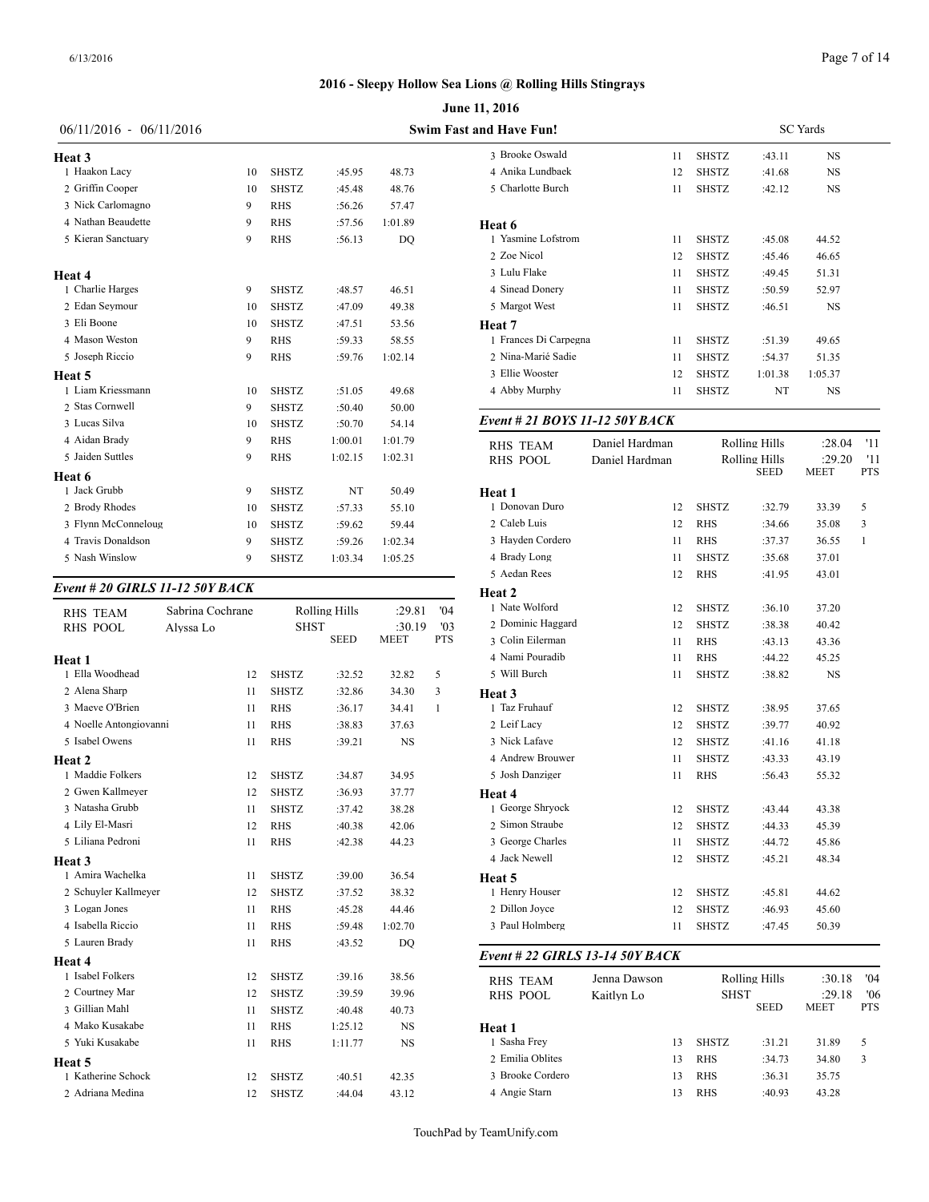|                           |    |              |         |         | <b>June 11, 2016</b>           |
|---------------------------|----|--------------|---------|---------|--------------------------------|
| $06/11/2016 - 06/11/2016$ |    |              |         |         | <b>Swim Fast and Have Fun!</b> |
| <b>Heat 3</b>             |    |              |         |         | 3 Brooke Oswal                 |
| 1 Haakon Lacy             | 10 | <b>SHSTZ</b> | :45.95  | 48.73   | 4 Anika Lundba                 |
| 2 Griffin Cooper          | 10 | <b>SHSTZ</b> | :45.48  | 48.76   | 5 Charlotte Buro               |
| 3 Nick Carlomagno         | 9  | <b>RHS</b>   | :56.26  | 57.47   |                                |
| 4 Nathan Beaudette        | 9  | <b>RHS</b>   | :57.56  | 1:01.89 | Heat 6                         |
| 5 Kieran Sanctuary        | 9  | <b>RHS</b>   | :56.13  | DO      | 1 Yasmine Lofst                |
|                           |    |              |         |         | 2 Zoe Nicol                    |
| Heat 4                    |    |              |         |         | 3 Lulu Flake                   |
| 1 Charlie Harges          | 9  | <b>SHSTZ</b> | :48.57  | 46.51   | 4 Sinead Donery                |
| 2 Edan Seymour            | 10 | <b>SHSTZ</b> | :47.09  | 49.38   | 5 Margot West                  |
| 3 Eli Boone               | 10 | <b>SHSTZ</b> | :47.51  | 53.56   | Heat 7                         |
| 4 Mason Weston            | 9  | <b>RHS</b>   | :59.33  | 58.55   | 1 Frances Di Ca                |
| 5 Joseph Riccio           | 9  | <b>RHS</b>   | :59.76  | 1:02.14 | 2 Nina-Marié Sa                |
| Heat 5                    |    |              |         |         | 3 Ellie Wooster                |
| 1 Liam Kriessmann         | 10 | <b>SHSTZ</b> | :51.05  | 49.68   | 4 Abby Murphy                  |
| 2 Stas Cornwell           | 9  | <b>SHSTZ</b> | :50.40  | 50.00   |                                |
| 3 Lucas Silva             | 10 | <b>SHSTZ</b> | :50.70  | 54.14   | Event # 21 $BO$                |
| 4 Aidan Brady             | 9  | <b>RHS</b>   | 1:00.01 | 1:01.79 | <b>RHS TEAM</b>                |
| 5 Jaiden Suttles          | 9  | <b>RHS</b>   | 1:02.15 | 1:02.31 | <b>RHS POOL</b>                |
| Heat 6                    |    |              |         |         |                                |
| 1 Jack Grubb              | 9  | <b>SHSTZ</b> | NT      | 50.49   | Heat 1                         |
| 2 Brody Rhodes            | 10 | <b>SHSTZ</b> | :57.33  | 55.10   | 1 Donovan Duro                 |
| 3 Flynn McConneloug       | 10 | <b>SHSTZ</b> | :59.62  | 59.44   | 2 Caleb Luis                   |
| 4 Travis Donaldson        | 9  | <b>SHSTZ</b> | :59.26  | 1:02.34 | 3 Hayden Corde                 |
| 5 Nash Winslow            | 9  | <b>SHSTZ</b> | 1:03.34 | 1:05.25 | 4 Brady Long                   |

#### *Event # 20 GIRLS 11-12 50Y BACK*

| Sabrina Cochrane |                        |             | :29.81                              | '04          | 1 Nate Wolford   |
|------------------|------------------------|-------------|-------------------------------------|--------------|------------------|
| Alvssa Lo        |                        |             | :30.19                              | '03          | 2 Dominic Haggar |
|                  |                        | <b>SEED</b> | <b>MEET</b>                         | <b>PTS</b>   | 3 Colin Eilerman |
|                  |                        |             |                                     |              | 4 Nami Pouradib  |
| 12               | <b>SHSTZ</b>           | :32.52      | 32.82                               | 5            | 5 Will Burch     |
| 11               | <b>SHSTZ</b>           | :32.86      | 34.30                               | 3            | Heat 3           |
| 11               | <b>RHS</b>             | :36.17      | 34.41                               | $\mathbf{1}$ | 1 Taz Fruhauf    |
| 11               | <b>RHS</b>             | :38.83      | 37.63                               |              | 2 Leif Lacy      |
| 11               | <b>RHS</b>             | :39.21      | <b>NS</b>                           |              | 3 Nick Lafave    |
|                  |                        |             |                                     |              | 4 Andrew Brouwe  |
| 12               | <b>SHSTZ</b>           | :34.87      | 34.95                               |              | 5 Josh Danziger  |
| 12               | <b>SHSTZ</b>           | :36.93      | 37.77                               |              | Heat 4           |
| 11               | <b>SHSTZ</b>           | :37.42      | 38.28                               |              | 1 George Shryock |
| 12               | <b>RHS</b>             | :40.38      | 42.06                               |              | 2 Simon Straube  |
| 11               | <b>RHS</b>             | :42.38      | 44.23                               |              | 3 George Charles |
|                  |                        |             |                                     |              | 4 Jack Newell    |
| 11               | <b>SHSTZ</b>           | :39.00      | 36.54                               |              | Heat 5           |
| 12               | <b>SHSTZ</b>           | :37.52      | 38.32                               |              | 1 Henry Houser   |
| 11               | <b>RHS</b>             | :45.28      | 44.46                               |              | 2 Dillon Joyce   |
| 11               | <b>RHS</b>             | :59.48      | 1:02.70                             |              | 3 Paul Holmberg  |
| 11               | <b>RHS</b>             | :43.52      | DQ                                  |              |                  |
|                  |                        |             |                                     |              | Event # 22 GIRI  |
| 12               | <b>SHSTZ</b>           | :39.16      | 38.56                               |              | <b>RHS TEAM</b>  |
| 12               | <b>SHSTZ</b>           | :39.59      | 39.96                               |              | <b>RHS POOL</b>  |
| 11               | <b>SHSTZ</b>           | :40.48      | 40.73                               |              |                  |
| 11               | <b>RHS</b>             | 1:25.12     | <b>NS</b>                           |              | Heat 1           |
| 11               | <b>RHS</b>             | 1:11.77     | <b>NS</b>                           |              | 1 Sasha Frey     |
|                  |                        |             |                                     |              | 2 Emilia Oblites |
| 12               | <b>SHSTZ</b>           | :40.51      | 42.35                               |              | 3 Brooke Cordero |
| 12               | <b>SHSTZ</b>           | :44.04      | 43.12                               |              | 4 Angie Starn    |
|                  | 4 Noelle Antongiovanni |             | <b>Rolling Hills</b><br><b>SHST</b> |              |                  |

| 3 Brooke Oswald                 |                | 11       | SHSTZ                        | :43.11               | NS               |            |
|---------------------------------|----------------|----------|------------------------------|----------------------|------------------|------------|
| 4 Anika Lundbaek                |                | 12       | SHSTZ                        | :41.68               | NS               |            |
| 5 Charlotte Burch               |                | 11       | SHSTZ                        | :42.12               | NS               |            |
|                                 |                |          |                              |                      |                  |            |
| Heat 6                          |                |          |                              |                      |                  |            |
| 1 Yasmine Lofstrom              |                | 11       | SHSTZ                        | :45.08               | 44.52            |            |
| 2 Zoe Nicol                     |                | 12       | <b>SHSTZ</b>                 | :45.46               | 46.65            |            |
| 3 Lulu Flake                    |                | 11       | <b>SHSTZ</b>                 | :49.45               | 51.31            |            |
| 4 Sinead Donery                 |                | 11       | SHSTZ                        | :50.59               | 52.97            |            |
| 5 Margot West                   |                | 11       | SHSTZ                        | :46.51               | NS               |            |
| Heat 7                          |                |          |                              |                      |                  |            |
| 1 Frances Di Carpegna           |                | 11       | SHSTZ                        | :51.39               | 49.65            |            |
| 2 Nina-Marié Sadie              |                | 11       | SHSTZ                        | :54.37               | 51.35            |            |
| 3 Ellie Wooster                 |                | 12       | SHSTZ                        | 1:01.38              | 1:05.37          |            |
| 4 Abby Murphy                   |                | 11       | SHSTZ                        | NT                   | NS               |            |
| Event # 21 BOYS 11-12 50Y BACK  |                |          |                              |                      |                  |            |
| <b>RHS TEAM</b>                 | Daniel Hardman |          |                              | Rolling Hills        | :28.04           | '11        |
| <b>RHS POOL</b>                 | Daniel Hardman |          |                              | <b>Rolling Hills</b> | :29.20           | '11        |
|                                 |                |          |                              | <b>SEED</b>          | MEET             | <b>PTS</b> |
| <b>Heat 1</b>                   |                |          |                              |                      |                  |            |
| 1 Donovan Duro                  |                | 12       | <b>SHSTZ</b>                 | :32.79               | 33.39            | 5          |
| 2 Caleb Luis                    |                | 12       | <b>RHS</b>                   | :34.66               | 35.08            | 3          |
| 3 Hayden Cordero                |                | 11       | <b>RHS</b>                   | :37.37               | 36.55            | 1          |
| 4 Brady Long                    |                | 11       | <b>SHSTZ</b>                 | :35.68               | 37.01            |            |
| 5 Aedan Rees                    |                | 12       | <b>RHS</b>                   | :41.95               | 43.01            |            |
| Heat 2<br>1 Nate Wolford        |                |          |                              |                      |                  |            |
| 2 Dominic Haggard               |                | 12<br>12 | <b>SHSTZ</b><br><b>SHSTZ</b> | :36.10               | 37.20            |            |
| 3 Colin Eilerman                |                | 11       | <b>RHS</b>                   | :38.38               | 40.42<br>43.36   |            |
| 4 Nami Pouradib                 |                | 11       | <b>RHS</b>                   | :43.13               | 45.25            |            |
| 5 Will Burch                    |                | 11       | <b>SHSTZ</b>                 | :44.22<br>:38.82     | NS               |            |
|                                 |                |          |                              |                      |                  |            |
| Heat 3<br>1 Taz Fruhauf         |                | 12       | <b>SHSTZ</b>                 | :38.95               | 37.65            |            |
| 2 Leif Lacy                     |                | 12       | <b>SHSTZ</b>                 | :39.77               | 40.92            |            |
| 3 Nick Lafave                   |                | 12       | SHSTZ                        | :41.16               | 41.18            |            |
| 4 Andrew Brouwer                |                | 11       | <b>SHSTZ</b>                 | :43.33               | 43.19            |            |
| 5 Josh Danziger                 |                | 11       | RHS                          | :56.43               | 55.32            |            |
|                                 |                |          |                              |                      |                  |            |
| Heat 4<br>1 George Shryock      |                | 12       | <b>SHSTZ</b>                 | :43.44               | 43.38            |            |
| 2 Simon Straube                 |                | 12       | SHSTZ                        | :44.33               | 45.39            |            |
| 3 George Charles                |                | 11       | <b>SHSTZ</b>                 | :44.72               | 45.86            |            |
| 4 Jack Newell                   |                | 12       | <b>SHSTZ</b>                 | :45.21               | 48.34            |            |
| Heat 5                          |                |          |                              |                      |                  |            |
| 1 Henry Houser                  |                | 12       | SHSTZ                        | :45.81               | 44.62            |            |
| 2 Dillon Joyce                  |                | 12       | SHSTZ                        | :46.93               | 45.60            |            |
| 3 Paul Holmberg                 |                | 11       | SHSTZ                        | :47.45               | 50.39            |            |
| Event # 22 GIRLS 13-14 50Y BACK |                |          |                              |                      |                  |            |
|                                 |                |          |                              |                      |                  |            |
| <b>RHS TEAM</b>                 | Jenna Dawson   |          | SHST                         | Rolling Hills        | :30.18<br>:29.18 | '04<br>'06 |
| RHS POOL                        | Kaitlyn Lo     |          |                              | SEED                 | MEET             | <b>PTS</b> |
| Heat 1                          |                |          |                              |                      |                  |            |
| 1 Sasha Frey                    |                | 13       | <b>SHSTZ</b>                 | :31.21               | 31.89            | 5          |
| 2 Emilia Oblites                |                | 13       | RHS                          | :34.73               | 34.80            | 3          |
| 3 Brooke Cordero                |                | 13       | RHS                          | :36.31               | 35.75            |            |
|                                 |                |          |                              |                      |                  |            |

Angie Starn 13 RHS :40.93 43.28

TouchPad by TeamUnify.com

SC Yards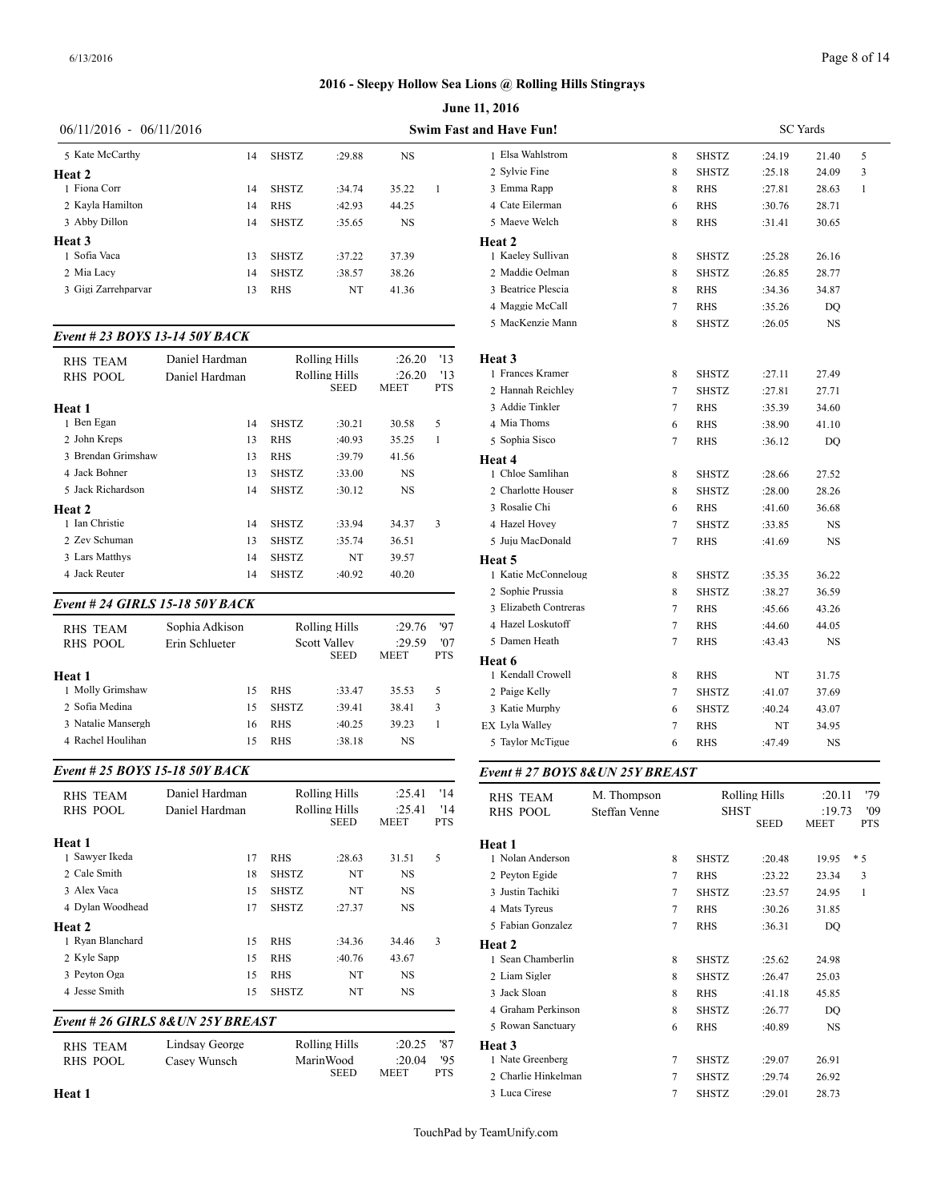| Page 8 of 14 |  |
|--------------|--|
|--------------|--|

|                                |                |              |                      |             |            | <b>June 11, 2016</b>           |  |  |  |
|--------------------------------|----------------|--------------|----------------------|-------------|------------|--------------------------------|--|--|--|
| $06/11/2016 - 06/11/2016$      |                |              |                      |             |            | <b>Swim Fast and Have Fun!</b> |  |  |  |
| 5 Kate McCarthy                | 14             | <b>SHSTZ</b> | :29.88               | <b>NS</b>   |            | 1 Elsa Wahlstrom               |  |  |  |
| Heat 2                         |                |              |                      |             |            | 2 Sylvie Fine                  |  |  |  |
| 1 Fiona Corr                   | 14             | <b>SHSTZ</b> | :34.74               | 35.22       | 1          | 3 Emma Rapp                    |  |  |  |
| 2 Kayla Hamilton               | 14             | <b>RHS</b>   | :42.93               | 44.25       |            | 4 Cate Eilerman                |  |  |  |
| 3 Abby Dillon                  | 14             | <b>SHSTZ</b> | :35.65               | NS          |            | 5 Maeve Welch                  |  |  |  |
| Heat 3                         |                |              |                      |             |            | Heat 2                         |  |  |  |
| 1 Sofia Vaca                   | 13             | <b>SHSTZ</b> | :37.22               | 37.39       |            | 1 Kaeley Sullivan              |  |  |  |
| 2 Mia Lacy                     | 14             | <b>SHSTZ</b> | :38.57               | 38.26       |            | 2 Maddie Oelman                |  |  |  |
| 3 Gigi Zarrehparvar            | 13             | <b>RHS</b>   | NT                   | 41.36       |            | 3 Beatrice Plescia             |  |  |  |
|                                |                |              |                      |             |            | 4 Maggie McCall                |  |  |  |
|                                |                |              |                      |             |            | 5 MacKenzie Mann               |  |  |  |
| Event # 23 BOYS 13-14 50Y BACK |                |              |                      |             |            |                                |  |  |  |
| <b>RHS TEAM</b>                | Daniel Hardman |              | Rolling Hills        | :26.20      | '13        | Heat 3                         |  |  |  |
| <b>RHS POOL</b>                | Daniel Hardman |              | <b>Rolling Hills</b> | :26.20      | '13        | 1 Frances Kramer               |  |  |  |
|                                |                |              | <b>SEED</b>          | <b>MEET</b> | <b>PTS</b> | 2 Hannah Reichley              |  |  |  |
| Heat 1                         |                |              |                      |             |            | 3 Addie Tinkler                |  |  |  |
| 1 Ben Egan                     | 14             | <b>SHSTZ</b> | :30.21               | 30.58       | 5          | 4 Mia Thoms                    |  |  |  |
| 2 John Kreps                   | 13             | <b>RHS</b>   | :40.93               | 35.25       | 1          | 5 Sophia Sisco                 |  |  |  |
| 3 Brendan Grimshaw             | 13             | <b>RHS</b>   | :39.79               | 41.56       |            | Heat 4                         |  |  |  |
| 4 Jack Bohner                  | 13             | <b>SHSTZ</b> | :33.00               | <b>NS</b>   |            | 1 Chloe Samlihan               |  |  |  |
| 5 Jack Richardson              | 14             | <b>SHSTZ</b> | :30.12               | <b>NS</b>   |            | 2 Charlotte Houser             |  |  |  |

| <b>RHS TEAM</b>    | Daniel Hardman |              | Rolling Hills | :26.20      | '13 | Heat 3       |
|--------------------|----------------|--------------|---------------|-------------|-----|--------------|
| <b>RHS POOL</b>    | Daniel Hardman |              | Rolling Hills | :26.20      | '13 | 1 Frances K  |
|                    |                |              | SEED          | <b>MEET</b> | PTS | 2 Hannah R   |
| Heat 1             |                |              |               |             |     | 3 Addie Tir  |
| 1 Ben Egan         | 14             | <b>SHSTZ</b> | :30.21        | 30.58       | 5   | 4 Mia Thon   |
| 2 John Kreps       | 13             | <b>RHS</b>   | :40.93        | 35.25       | 1   | 5 Sophia Si  |
| 3 Brendan Grimshaw | 13             | <b>RHS</b>   | :39.79        | 41.56       |     | Heat 4       |
| 4 Jack Bohner      | 13             | <b>SHSTZ</b> | :33.00        | <b>NS</b>   |     | 1 Chloe Sar  |
| 5 Jack Richardson  | 14             | <b>SHSTZ</b> | :30.12        | NS          |     | 2 Charlotte  |
| Heat 2             |                |              |               |             |     | 3 Rosalie C  |
| 1 Ian Christie     | 14             | <b>SHSTZ</b> | :33.94        | 34.37       | 3   | 4 Hazel Ho   |
| 2 Zev Schuman      | 13             | <b>SHSTZ</b> | :35.74        | 36.51       |     | 5 Juju Macl  |
| 3 Lars Matthys     | 14             | <b>SHSTZ</b> | NT            | 39.57       |     | Heat 5       |
| 4 Jack Reuter      | 14             | <b>SHSTZ</b> | :40.92        | 40.20       |     | 1 Katie Mc   |
|                    |                |              |               |             |     | 2. Sophie Pr |

#### *Event # 24 GIRLS 15-18 50Y BACK*

| <b>RHS TEAM</b>    | Sophia Adkison |    | Rolling Hills | :29.76              | '97           | 4 Hazel Loskutoff |                             |  |
|--------------------|----------------|----|---------------|---------------------|---------------|-------------------|-----------------------------|--|
| RHS POOL           | Erin Schlueter |    |               | <b>Scott Valley</b> | '07<br>:29.59 |                   | 5 Damen Heath               |  |
| Heat 1             |                |    |               | <b>SEED</b>         | <b>MEET</b>   | <b>PTS</b>        | Heat 6<br>1 Kendall Crowell |  |
| 1 Molly Grimshaw   |                | 15 | <b>RHS</b>    | :33.47              | 35.53         | 5                 | 2 Paige Kelly               |  |
| 2 Sofia Medina     |                | 15 | <b>SHSTZ</b>  | :39.41              | 38.41         | 3                 | 3 Katie Murphy              |  |
| 3 Natalie Mansergh |                | 16 | <b>RHS</b>    | :40.25              | 39.23         |                   | <b>EX Lyla Walley</b>       |  |
| 4 Rachel Houlihan  |                | 15 | <b>RHS</b>    | :38.18              | NS            |                   | 5 Taylor McTigue            |  |
|                    |                |    |               |                     |               |                   |                             |  |

# *Event # 25 BOYS 15-18 50Y BACK*

| <b>RHS TEAM</b>  | Daniel Hardman |                              | Rolling Hills | :25.41         | '14               | RHS TEAM          |  |
|------------------|----------------|------------------------------|---------------|----------------|-------------------|-------------------|--|
| RHS POOL         | Daniel Hardman | Rolling Hills<br><b>SEED</b> |               | :25.41<br>MEET | '14<br><b>PTS</b> | <b>RHS POOL</b>   |  |
| Heat 1           |                |                              |               |                |                   | Heat 1            |  |
| 1 Sawyer Ikeda   | 17             | <b>RHS</b>                   | :28.63        | 31.51          | 5                 | 1 Nolan Anderson  |  |
| 2 Cale Smith     | 18             | <b>SHSTZ</b>                 | NT            | NS             |                   | 2 Peyton Egide    |  |
| 3 Alex Vaca      | 15             | <b>SHSTZ</b>                 | NT            | NS             |                   | 3 Justin Tachiki  |  |
| 4 Dylan Woodhead | 17             | <b>SHSTZ</b>                 | :27.37        | NS             |                   | 4 Mats Tyreus     |  |
| Heat 2           |                |                              |               |                |                   | 5 Fabian Gonzalez |  |
| 1 Ryan Blanchard | 15             | <b>RHS</b>                   | :34.36        | 34.46          | 3                 | Heat 2            |  |
| 2 Kyle Sapp      | 15             | <b>RHS</b>                   | :40.76        | 43.67          |                   | 1 Sean Chamberli  |  |
| 3 Peyton Oga     | 15             | <b>RHS</b>                   | NT            | NS             |                   | 2 Liam Sigler     |  |
| 4 Jesse Smith    | 15             | <b>SHSTZ</b>                 | NT            | NS             |                   | 3 Jack Sloan      |  |
|                  |                |                              |               |                |                   | 4 Graham Perkins  |  |

# *Event # 26 GIRLS 8&UN 25Y BREAST*

| RHS TEAM | Lindsay George | Rolling Hills | :20.25       | '87        | Heat 3            |
|----------|----------------|---------------|--------------|------------|-------------------|
| RHS POOL | Casey Wunsch   | MarinWood     | $:20.04$ '95 |            | 1 Nate Greenberg  |
|          |                | <b>SEED</b>   | MEET         | <b>PTS</b> | 2 Charlie Hinkelm |

| nd Have Fun!          |                | <b>SC</b> Yards |        |           |              |  |  |  |
|-----------------------|----------------|-----------------|--------|-----------|--------------|--|--|--|
| 1 Elsa Wahlstrom      | 8              | <b>SHSTZ</b>    | :24.19 | 21.40     | 5            |  |  |  |
| 2 Sylvie Fine         | 8              | <b>SHSTZ</b>    | :25.18 | 24.09     | 3            |  |  |  |
| 3 Emma Rapp           | 8              | <b>RHS</b>      | :27.81 | 28.63     | $\mathbf{1}$ |  |  |  |
| 4 Cate Eilerman       | 6              | <b>RHS</b>      | :30.76 | 28.71     |              |  |  |  |
| 5 Maeve Welch         | 8              | <b>RHS</b>      | :31.41 | 30.65     |              |  |  |  |
| Heat 2                |                |                 |        |           |              |  |  |  |
| 1 Kaeley Sullivan     | 8              | <b>SHSTZ</b>    | :25.28 | 26.16     |              |  |  |  |
| 2 Maddie Oelman       | 8              | <b>SHSTZ</b>    | :26.85 | 28.77     |              |  |  |  |
| 3 Beatrice Plescia    | 8              | <b>RHS</b>      | :34.36 | 34.87     |              |  |  |  |
| 4 Maggie McCall       | $\tau$         | <b>RHS</b>      | :35.26 | DQ        |              |  |  |  |
| 5 MacKenzie Mann      | 8              | <b>SHSTZ</b>    | :26.05 | NS        |              |  |  |  |
| Heat 3                |                |                 |        |           |              |  |  |  |
| 1 Frances Kramer      | 8              | <b>SHSTZ</b>    | :27.11 | 27.49     |              |  |  |  |
| 2 Hannah Reichley     | $\overline{7}$ | <b>SHSTZ</b>    | :27.81 | 27.71     |              |  |  |  |
| 3 Addie Tinkler       | 7              | <b>RHS</b>      | :35.39 | 34.60     |              |  |  |  |
| 4 Mia Thoms           | 6              | <b>RHS</b>      | :38.90 | 41.10     |              |  |  |  |
| 5 Sophia Sisco        | $\tau$         | <b>RHS</b>      | :36.12 | DQ        |              |  |  |  |
| Heat 4                |                |                 |        |           |              |  |  |  |
| 1 Chloe Samlihan      | 8              | <b>SHSTZ</b>    | :28.66 | 27.52     |              |  |  |  |
| 2 Charlotte Houser    | 8              | <b>SHSTZ</b>    | :28.00 | 28.26     |              |  |  |  |
| 3 Rosalie Chi         | 6              | <b>RHS</b>      | :41.60 | 36.68     |              |  |  |  |
| 4 Hazel Hovey         | $\overline{7}$ | <b>SHSTZ</b>    | :33.85 | <b>NS</b> |              |  |  |  |
| 5 Juju MacDonald      | $\tau$         | <b>RHS</b>      | :41.69 | NS        |              |  |  |  |
| Heat 5                |                |                 |        |           |              |  |  |  |
| 1 Katie McConneloug   | 8              | <b>SHSTZ</b>    | :35.35 | 36.22     |              |  |  |  |
| 2 Sophie Prussia      | 8              | <b>SHSTZ</b>    | :38.27 | 36.59     |              |  |  |  |
| 3 Elizabeth Contreras | 7              | <b>RHS</b>      | :45.66 | 43.26     |              |  |  |  |
| 4 Hazel Loskutoff     | 7              | RHS             | :44.60 | 44.05     |              |  |  |  |
| 5 Damen Heath         | $\tau$         | <b>RHS</b>      | :43.43 | <b>NS</b> |              |  |  |  |
| Heat 6                |                |                 |        |           |              |  |  |  |
| 1 Kendall Crowell     | 8              | <b>RHS</b>      | NT     | 31.75     |              |  |  |  |
| 2 Paige Kelly         | 7              | SHSTZ           | :41.07 | 37.69     |              |  |  |  |
| 3 Katie Murphy        | 6              | <b>SHSTZ</b>    | :40.24 | 43.07     |              |  |  |  |
| EX Lyla Walley        | $\overline{7}$ | <b>RHS</b>      | NT     | 34.95     |              |  |  |  |
| 5 Taylor McTigue      | 6              | <b>RHS</b>      | :47.49 | NS        |              |  |  |  |

#### *Event # 27 BOYS 8&UN 25Y BREAST*

| <b>RHS TEAM</b>     | M. Thompson<br><b>RHS POOL</b><br>Steffan Venne |        | Rolling Hills<br><b>SHST</b> |             |             | '79<br>:20.11<br>'09<br>:19.73 |  |  |
|---------------------|-------------------------------------------------|--------|------------------------------|-------------|-------------|--------------------------------|--|--|
|                     |                                                 |        |                              | <b>SEED</b> | <b>MEET</b> | <b>PTS</b>                     |  |  |
| Heat 1              |                                                 |        |                              |             |             |                                |  |  |
| 1 Nolan Anderson    |                                                 | 8      | <b>SHSTZ</b>                 | :20.48      | 19.95       | $*5$                           |  |  |
| 2 Peyton Egide      |                                                 | $\tau$ | <b>RHS</b>                   | :23.22      | 23.34       | 3                              |  |  |
| 3 Justin Tachiki    |                                                 | $\tau$ | <b>SHSTZ</b>                 | :23.57      | 24.95       | 1                              |  |  |
| 4 Mats Tyreus       |                                                 | $\tau$ | <b>RHS</b>                   | :30.26      | 31.85       |                                |  |  |
| 5 Fabian Gonzalez   |                                                 | 7      | <b>RHS</b>                   | :36.31      | DQ          |                                |  |  |
| Heat 2              |                                                 |        |                              |             |             |                                |  |  |
| 1 Sean Chamberlin   |                                                 | 8      | <b>SHSTZ</b>                 | :25.62      | 24.98       |                                |  |  |
| 2 Liam Sigler       |                                                 | 8      | <b>SHSTZ</b>                 | :26.47      | 25.03       |                                |  |  |
| 3 Jack Sloan        |                                                 | 8      | <b>RHS</b>                   | :41.18      | 45.85       |                                |  |  |
| 4 Graham Perkinson  |                                                 | 8      | <b>SHSTZ</b>                 | :26.77      | DQ          |                                |  |  |
| 5 Rowan Sanctuary   |                                                 | 6      | <b>RHS</b>                   | :40.89      | <b>NS</b>   |                                |  |  |
| <b>Heat 3</b>       |                                                 |        |                              |             |             |                                |  |  |
| 1 Nate Greenberg    |                                                 | 7      | <b>SHSTZ</b>                 | :29.07      | 26.91       |                                |  |  |
| 2 Charlie Hinkelman |                                                 | 7      | <b>SHSTZ</b>                 | :29.74      | 26.92       |                                |  |  |
| 3 Luca Cirese       |                                                 | 7      | <b>SHSTZ</b>                 | :29.01      | 28.73       |                                |  |  |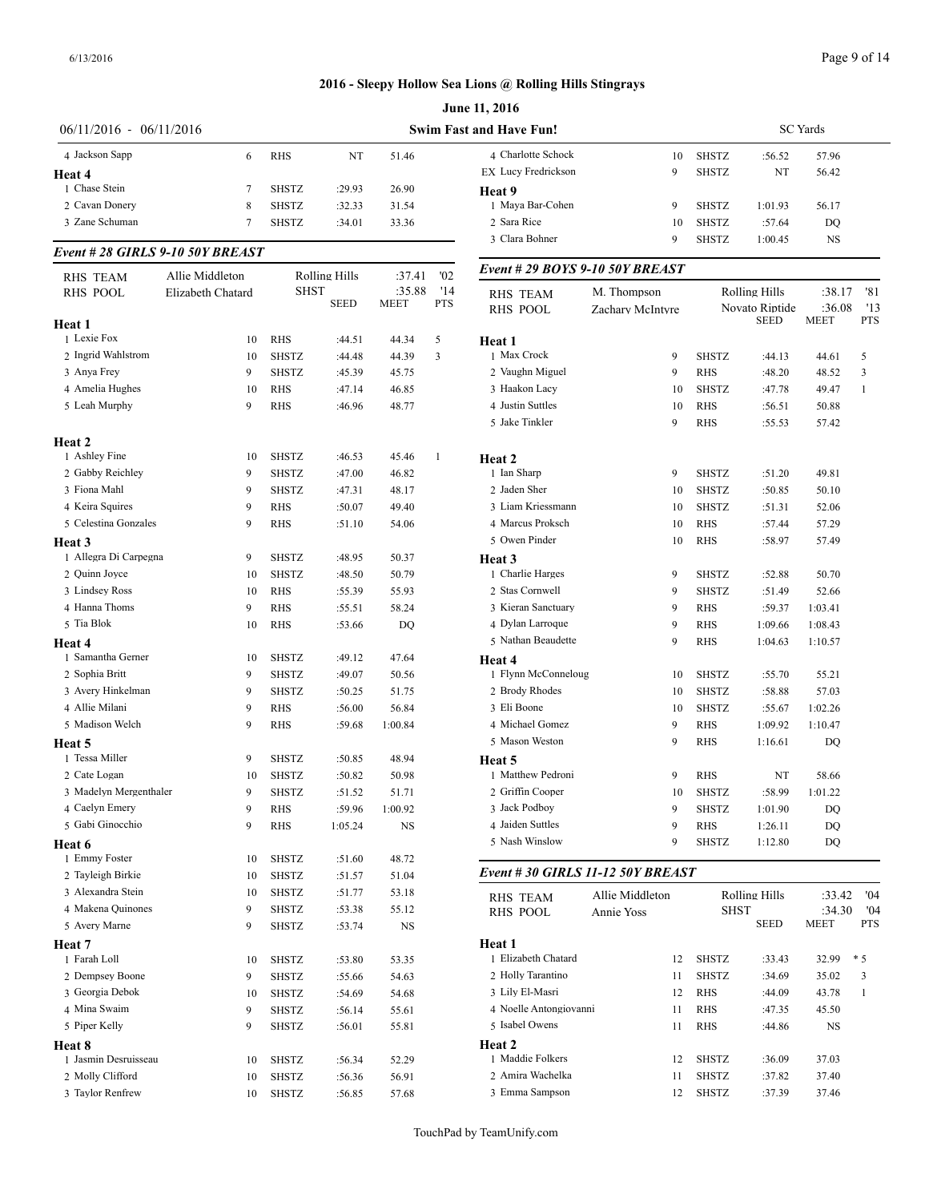| $06/11/2016 - 06/11/2016$ |                                 |              |                      |                |                   | <b>Swim Fast and Have Fun!</b>    |                  |              |                               |                       |                   |
|---------------------------|---------------------------------|--------------|----------------------|----------------|-------------------|-----------------------------------|------------------|--------------|-------------------------------|-----------------------|-------------------|
|                           |                                 |              |                      |                |                   |                                   |                  |              | <b>SC</b> Yards               |                       |                   |
| 4 Jackson Sapp            | 6                               | <b>RHS</b>   | NT                   | 51.46          |                   | 4 Charlotte Schock                | 10               | <b>SHSTZ</b> | :56.52                        | 57.96                 |                   |
| Heat 4                    |                                 |              |                      |                |                   | EX Lucy Fredrickson               | 9                | <b>SHSTZ</b> | NT                            | 56.42                 |                   |
| 1 Chase Stein             | 7                               | <b>SHSTZ</b> | :29.93               | 26.90          |                   | Heat 9                            |                  |              |                               |                       |                   |
| 2 Cavan Donery            | 8                               | <b>SHSTZ</b> | :32.33               | 31.54          |                   | 1 Maya Bar-Cohen                  | 9                | <b>SHSTZ</b> | 1:01.93                       | 56.17                 |                   |
| 3 Zane Schuman            | 7                               | <b>SHSTZ</b> | :34.01               | 33.36          |                   | 2 Sara Rice                       | 10               | <b>SHSTZ</b> | :57.64                        | DQ                    |                   |
|                           | Event #28 GIRLS 9-10 50Y BREAST |              |                      |                |                   | 3 Clara Bohner                    | 9                | <b>SHSTZ</b> | 1:00.45                       | NS                    |                   |
| <b>RHS TEAM</b>           | Allie Middleton                 |              | <b>Rolling Hills</b> | :37.41         | '02               | Event # 29 BOYS 9-10 50Y BREAST   |                  |              |                               |                       |                   |
| <b>RHS POOL</b>           | Elizabeth Chatard               | <b>SHST</b>  | <b>SEED</b>          | :35.88<br>MEET | '14<br><b>PTS</b> | RHS TEAM                          | M. Thompson      |              | <b>Rolling Hills</b>          | :38.17                | '81               |
|                           |                                 |              |                      |                |                   | <b>RHS POOL</b>                   | Zachary McIntyre |              | Novato Riptide<br><b>SEED</b> | :36.08<br><b>MEET</b> | '13<br><b>PTS</b> |
| Heat 1<br>1 Lexie Fox     | 10                              | <b>RHS</b>   |                      |                |                   |                                   |                  |              |                               |                       |                   |
| 2 Ingrid Wahlstrom        | 10                              | SHSTZ        | :44.51<br>:44.48     | 44.34<br>44.39 | 5<br>3            | Heat 1<br>1 Max Crock             | 9                | <b>SHSTZ</b> | :44.13                        | 44.61                 | 5                 |
| 3 Anya Frey               | 9                               | <b>SHSTZ</b> |                      |                |                   | 2 Vaughn Miguel                   | 9                | RHS          | :48.20                        |                       | 3                 |
| 4 Amelia Hughes           | 10                              | <b>RHS</b>   | :45.39<br>:47.14     | 45.75<br>46.85 |                   | 3 Haakon Lacy                     | 10               | <b>SHSTZ</b> | :47.78                        | 48.52<br>49.47        | -1                |
| 5 Leah Murphy             | 9                               | <b>RHS</b>   |                      |                |                   | 4 Justin Suttles                  | 10               | <b>RHS</b>   |                               |                       |                   |
|                           |                                 |              | :46.96               | 48.77          |                   | 5 Jake Tinkler                    | 9                | <b>RHS</b>   | :56.51<br>:55.53              | 50.88<br>57.42        |                   |
| Heat 2                    |                                 |              |                      |                |                   |                                   |                  |              |                               |                       |                   |
| 1 Ashley Fine             | 10                              | <b>SHSTZ</b> | :46.53               | 45.46          | $\mathbf{1}$      | Heat 2                            |                  |              |                               |                       |                   |
| 2 Gabby Reichley          | 9                               | <b>SHSTZ</b> | :47.00               | 46.82          |                   | 1 Ian Sharp                       | 9                | <b>SHSTZ</b> | :51.20                        | 49.81                 |                   |
| 3 Fiona Mahl              | 9                               | <b>SHSTZ</b> | :47.31               | 48.17          |                   | 2 Jaden Sher                      | 10               | <b>SHSTZ</b> | :50.85                        | 50.10                 |                   |
| 4 Keira Squires           | 9                               | <b>RHS</b>   | :50.07               | 49.40          |                   | 3 Liam Kriessmann                 | 10               | <b>SHSTZ</b> | :51.31                        | 52.06                 |                   |
| 5 Celestina Gonzales      | 9                               | RHS          | :51.10               | 54.06          |                   | 4 Marcus Proksch                  | 10               | <b>RHS</b>   | :57.44                        | 57.29                 |                   |
| Heat 3                    |                                 |              |                      |                |                   | 5 Owen Pinder                     | 10               | <b>RHS</b>   | :58.97                        | 57.49                 |                   |
| 1 Allegra Di Carpegna     | 9                               | SHSTZ        | :48.95               | 50.37          |                   | Heat 3                            |                  |              |                               |                       |                   |
| 2 Quinn Joyce             | 10                              | SHSTZ        | :48.50               | 50.79          |                   | 1 Charlie Harges                  | 9                | <b>SHSTZ</b> | :52.88                        | 50.70                 |                   |
| 3 Lindsey Ross            | 10                              | <b>RHS</b>   | :55.39               | 55.93          |                   | 2 Stas Cornwell                   | 9                | <b>SHSTZ</b> | :51.49                        | 52.66                 |                   |
| 4 Hanna Thoms             | 9                               | <b>RHS</b>   | :55.51               | 58.24          |                   | 3 Kieran Sanctuary                | 9                | <b>RHS</b>   | :59.37                        | 1:03.41               |                   |
| 5 Tia Blok                | 10                              | <b>RHS</b>   | :53.66               | DQ             |                   | 4 Dylan Larroque                  | 9                | <b>RHS</b>   | 1:09.66                       | 1:08.43               |                   |
| Heat 4                    |                                 |              |                      |                |                   | 5 Nathan Beaudette                | 9                | RHS          | 1:04.63                       | 1:10.57               |                   |
| 1 Samantha Gerner         | 10                              | SHSTZ        | :49.12               | 47.64          |                   | Heat 4                            |                  |              |                               |                       |                   |
| 2 Sophia Britt            | 9                               | <b>SHSTZ</b> | :49.07               | 50.56          |                   | 1 Flynn McConneloug               | 10               | <b>SHSTZ</b> | :55.70                        | 55.21                 |                   |
| 3 Avery Hinkelman         | 9                               | <b>SHSTZ</b> | :50.25               | 51.75          |                   | 2 Brody Rhodes                    | 10               | <b>SHSTZ</b> | :58.88                        | 57.03                 |                   |
| 4 Allie Milani            | 9                               | RHS          | :56.00               | 56.84          |                   | 3 Eli Boone                       | 10               | <b>SHSTZ</b> | :55.67                        | 1:02.26               |                   |
| 5 Madison Welch           | 9                               | <b>RHS</b>   | :59.68               | 1:00.84        |                   | 4 Michael Gomez                   | 9                | RHS          | 1:09.92                       | 1:10.47               |                   |
| Heat 5                    |                                 |              |                      |                |                   | 5 Mason Weston                    | 9                | RHS          | 1:16.61                       | DQ                    |                   |
| 1 Tessa Miller            | 9                               | SHSTZ        | :50.85               | 48.94          |                   | Heat 5                            |                  |              |                               |                       |                   |
| 2 Cate Logan              | 10                              | SHSTZ        | :50.82               | 50.98          |                   | 1 Matthew Pedroni                 | 9                | RHS          | NT                            | 58.66                 |                   |
| 3 Madelyn Mergenthaler    | 9                               | <b>SHSTZ</b> | :51.52               | 51.71          |                   | 2 Griffin Cooper                  | 10               | SHSTZ        | :58.99                        | 1:01.22               |                   |
| 4 Caelyn Emery            | 9                               | <b>RHS</b>   | :59.96               | 1:00.92        |                   | 3 Jack Podboy                     | 9                | <b>SHSTZ</b> | 1:01.90                       | DQ                    |                   |
| 5 Gabi Ginocchio          | 9                               | <b>RHS</b>   | 1:05.24              | $_{\rm NS}$    |                   | 4 Jaiden Suttles                  | 9                | RHS          | 1:26.11                       | DQ                    |                   |
| Heat 6                    |                                 |              |                      |                |                   | 5 Nash Winslow                    | 9                | <b>SHSTZ</b> | 1:12.80                       | DQ                    |                   |
| 1 Emmy Foster             | 10                              | SHSTZ        | :51.60               | 48.72          |                   | Event # 30 GIRLS 11-12 50Y BREAST |                  |              |                               |                       |                   |
| 2 Tayleigh Birkie         | 10                              | SHSTZ        | :51.57               | 51.04          |                   |                                   |                  |              |                               |                       |                   |
| 3 Alexandra Stein         | 10                              | <b>SHSTZ</b> | :51.77               | 53.18          |                   | <b>RHS TEAM</b>                   | Allie Middleton  |              | <b>Rolling Hills</b>          | :33.42                | '04               |
| 4 Makena Quinones         | 9                               | <b>SHSTZ</b> | :53.38               | 55.12          |                   | <b>RHS POOL</b>                   | Annie Yoss       |              | <b>SHST</b>                   | :34.30                | '04               |
| 5 Avery Marne             | 9                               | SHSTZ        | :53.74               | NS             |                   |                                   |                  |              | <b>SEED</b>                   | <b>MEET</b>           | PTS               |
| Heat 7                    |                                 |              |                      |                |                   | Heat 1                            |                  |              |                               |                       |                   |
| 1 Farah Loll              | 10                              | SHSTZ        | :53.80               | 53.35          |                   | 1 Elizabeth Chatard               | 12               | SHSTZ        | :33.43                        | 32.99                 | $*5$              |
| 2 Dempsey Boone           | 9                               | SHSTZ        | :55.66               | 54.63          |                   | 2 Holly Tarantino                 | 11               | <b>SHSTZ</b> | :34.69                        | 35.02                 | 3                 |
| 3 Georgia Debok           | 10                              | SHSTZ        | :54.69               | 54.68          |                   | 3 Lily El-Masri                   | 12               | <b>RHS</b>   | :44.09                        | 43.78                 | -1                |
| 4 Mina Swaim              | 9                               | <b>SHSTZ</b> | :56.14               | 55.61          |                   | 4 Noelle Antongiovanni            | 11               | <b>RHS</b>   | :47.35                        | 45.50                 |                   |
| 5 Piper Kelly             | 9                               | <b>SHSTZ</b> | :56.01               | 55.81          |                   | 5 Isabel Owens                    | 11               | <b>RHS</b>   | :44.86                        | NS                    |                   |
| Heat 8                    |                                 |              |                      |                |                   | Heat 2                            |                  |              |                               |                       |                   |
| 1 Jasmin Desruisseau      | 10                              | SHSTZ        | :56.34               | 52.29          |                   | 1 Maddie Folkers                  | 12               | SHSTZ        | :36.09                        | 37.03                 |                   |
| 2 Molly Clifford          | 10                              | SHSTZ        | :56.36               | 56.91          |                   | 2 Amira Wachelka                  | 11               | SHSTZ        | :37.82                        | 37.40                 |                   |
| 3 Taylor Renfrew          |                                 | 10 SHSTZ     | :56.85               | 57.68          |                   | 3 Emma Sampson                    |                  | 12 SHSTZ     | :37.39                        | 37.46                 |                   |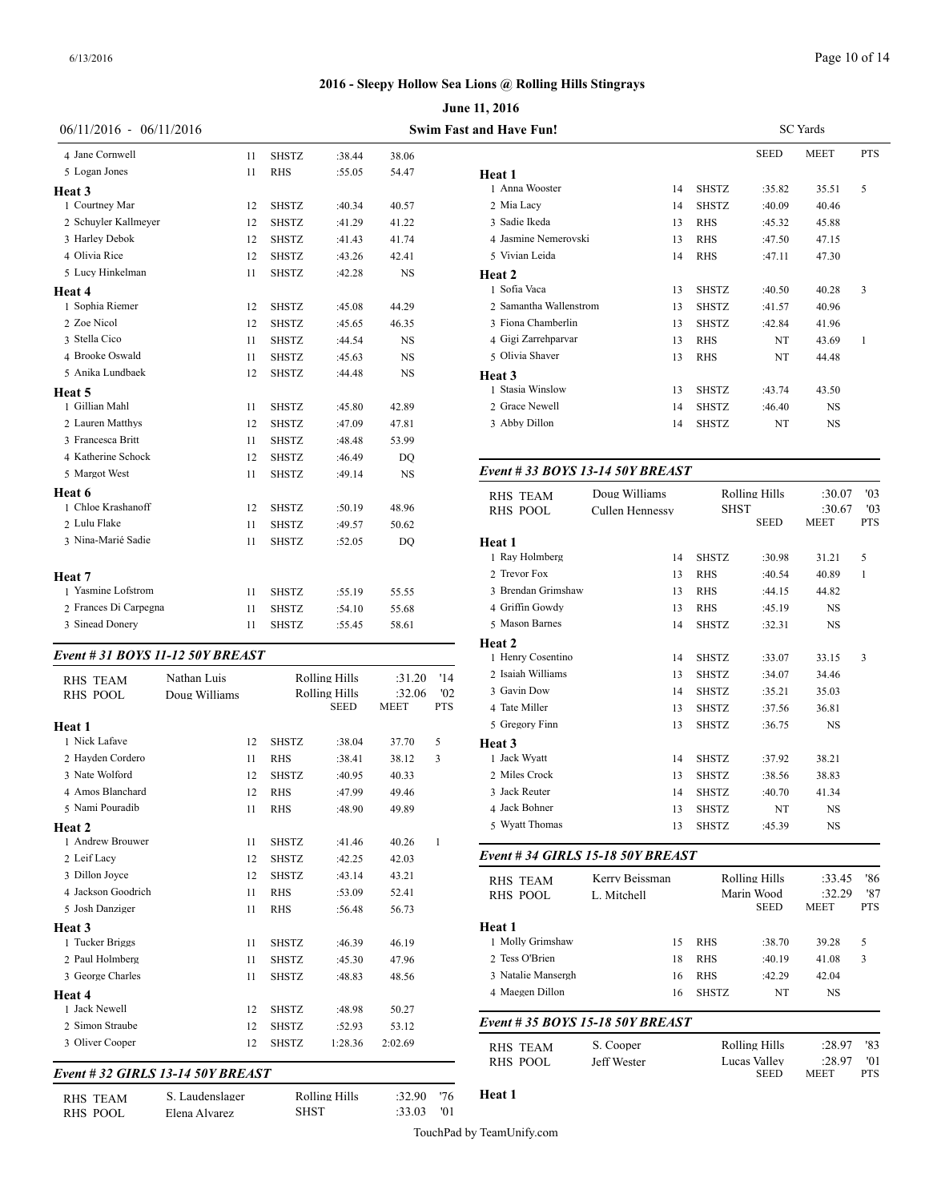|                                  |               |              | June 11, 2016        |             |            |                                |  |  |
|----------------------------------|---------------|--------------|----------------------|-------------|------------|--------------------------------|--|--|
| $06/11/2016 - 06/11/2016$        |               |              |                      |             |            | <b>Swim Fast and Have Fun!</b> |  |  |
| 4 Jane Cornwell                  | 11            | <b>SHSTZ</b> | :38.44               | 38.06       |            |                                |  |  |
| 5 Logan Jones                    | 11            | <b>RHS</b>   | :55.05               | 54.47       |            | Heat 1                         |  |  |
| Heat 3                           |               |              |                      |             |            | 1 Anna Wooster                 |  |  |
| 1 Courtney Mar                   | 12            | <b>SHSTZ</b> | :40.34               | 40.57       |            | 2 Mia Lacy                     |  |  |
| 2 Schuyler Kallmeyer             | 12            | <b>SHSTZ</b> | :41.29               | 41.22       |            | 3 Sadie Ikeda                  |  |  |
| 3 Harley Debok                   | 12            | <b>SHSTZ</b> | :41.43               | 41.74       |            | 4 Jasmine Nemerovski           |  |  |
| 4 Olivia Rice                    | 12            | <b>SHSTZ</b> | :43.26               | 42.41       |            | 5 Vivian Leida                 |  |  |
| 5 Lucy Hinkelman                 | 11            | <b>SHSTZ</b> | :42.28               | <b>NS</b>   |            | Heat 2                         |  |  |
| Heat 4                           |               |              |                      |             |            | 1 Sofia Vaca                   |  |  |
| 1 Sophia Riemer                  | 12            | <b>SHSTZ</b> | :45.08               | 44.29       |            | 2 Samantha Wallenstrom         |  |  |
| 2 Zoe Nicol                      | 12            | <b>SHSTZ</b> | :45.65               | 46.35       |            | 3 Fiona Chamberlin             |  |  |
| 3 Stella Cico                    | 11            | <b>SHSTZ</b> | :44.54               | NS          |            | 4 Gigi Zarrehparvar            |  |  |
| 4 Brooke Oswald                  | 11            | <b>SHSTZ</b> | :45.63               | <b>NS</b>   |            | 5 Olivia Shaver                |  |  |
| 5 Anika Lundbaek                 | 12            | <b>SHSTZ</b> | :44.48               | NS          |            | Heat 3                         |  |  |
| Heat 5                           |               |              |                      |             |            | 1 Stasia Winslow               |  |  |
| 1 Gillian Mahl                   | 11            | <b>SHSTZ</b> | :45.80               | 42.89       |            | 2 Grace Newell                 |  |  |
| 2 Lauren Matthys                 | 12            | <b>SHSTZ</b> | :47.09               | 47.81       |            | 3 Abby Dillon                  |  |  |
| 3 Francesca Britt                | 11            | <b>SHSTZ</b> | :48.48               | 53.99       |            |                                |  |  |
| 4 Katherine Schock               | 12            | <b>SHSTZ</b> | :46.49               | DQ          |            |                                |  |  |
| 5 Margot West                    | 11            | <b>SHSTZ</b> | :49.14               | <b>NS</b>   |            | Event # 33 BOYS 13-14 50Y      |  |  |
| Heat 6                           |               |              |                      |             |            | Doug Will<br><b>RHS TEAM</b>   |  |  |
| 1 Chloe Krashanoff               | 12            | <b>SHSTZ</b> | :50.19               | 48.96       |            | <b>RHS POOL</b><br>Cullen He   |  |  |
| 2 Lulu Flake                     | 11            | <b>SHSTZ</b> | :49.57               | 50.62       |            |                                |  |  |
| 3 Nina-Marié Sadie               | 11            | <b>SHSTZ</b> | :52.05               | DO          |            | Heat 1                         |  |  |
|                                  |               |              |                      |             |            | 1 Ray Holmberg                 |  |  |
| Heat 7                           |               |              |                      |             |            | 2 Trevor Fox                   |  |  |
| 1 Yasmine Lofstrom               | 11            | <b>SHSTZ</b> | :55.19               | 55.55       |            | 3 Brendan Grimshaw             |  |  |
| 2 Frances Di Carpegna            | 11            | <b>SHSTZ</b> | :54.10               | 55.68       |            | 4 Griffin Gowdy                |  |  |
| 3 Sinead Donery                  | 11            | <b>SHSTZ</b> | :55.45               | 58.61       |            | 5 Mason Barnes                 |  |  |
|                                  |               |              |                      |             |            | Heat 2                         |  |  |
| Event # 31 BOYS 11-12 50Y BREAST |               |              |                      |             |            | 1 Henry Cosentino              |  |  |
| <b>RHS TEAM</b>                  | Nathan Luis   |              | <b>Rolling Hills</b> | :31.20      | '14        | 2 Isaiah Williams              |  |  |
| <b>RHS POOL</b>                  | Doug Williams |              | <b>Rolling Hills</b> | :32.06      | '02        | 3 Gavin Dow                    |  |  |
|                                  |               |              | <b>SEED</b>          | <b>MEET</b> | <b>PTS</b> | 4 Tate Miller                  |  |  |

| <b>RHS POOL</b><br>Doug Williams |    |              | Rolling Hills<br><b>SEED</b> |             | '02<br><b>PTS</b> | 3 Gavin Dow                        |
|----------------------------------|----|--------------|------------------------------|-------------|-------------------|------------------------------------|
|                                  |    |              |                              | <b>MEET</b> |                   | 4 Tate Miller                      |
| Heat 1                           |    |              |                              |             |                   | 5 Gregory Finn                     |
| 1 Nick Lafave                    | 12 | <b>SHSTZ</b> | :38.04                       | 37.70       | 5                 | Heat 3                             |
| 2 Hayden Cordero                 | 11 | <b>RHS</b>   | :38.41                       | 38.12       | 3                 | 1 Jack Wyatt                       |
| 3 Nate Wolford                   | 12 | <b>SHSTZ</b> | :40.95                       | 40.33       |                   | 2 Miles Crock                      |
| 4 Amos Blanchard                 | 12 | <b>RHS</b>   | :47.99                       | 49.46       |                   | 3 Jack Reuter                      |
| 5 Nami Pouradib                  | 11 | <b>RHS</b>   | :48.90                       | 49.89       |                   | 4 Jack Bohner                      |
| Heat 2                           |    |              |                              |             |                   | 5 Wyatt Thomas                     |
| 1 Andrew Brouwer                 | 11 | <b>SHSTZ</b> | :41.46                       | 40.26       | $\mathbf{1}$      |                                    |
| 2 Leif Lacy                      | 12 | <b>SHSTZ</b> | :42.25                       | 42.03       |                   | Event #34 GIRI                     |
| 3 Dillon Joyce                   | 12 | <b>SHSTZ</b> | :43.14                       | 43.21       |                   | <b>RHS TEAM</b>                    |
| 4 Jackson Goodrich               | 11 | <b>RHS</b>   | :53.09                       | 52.41       |                   | <b>RHS POOL</b>                    |
| 5 Josh Danziger                  | 11 | <b>RHS</b>   | :56.48                       | 56.73       |                   |                                    |
| Heat 3                           |    |              |                              |             |                   | Heat 1                             |
| 1 Tucker Briggs                  | 11 | <b>SHSTZ</b> | :46.39                       | 46.19       |                   | 1 Molly Grimshav                   |
| 2 Paul Holmberg                  | 11 | <b>SHSTZ</b> | :45.30                       | 47.96       |                   | 2 Tess O'Brien                     |
| 3 George Charles                 | 11 | <b>SHSTZ</b> | :48.83                       | 48.56       |                   | 3 Natalie Manserg                  |
| Heat 4                           |    |              |                              |             |                   | 4 Maegen Dillon                    |
| 1 Jack Newell                    | 12 | <b>SHSTZ</b> | :48.98                       | 50.27       |                   |                                    |
| 2 Simon Straube                  | 12 | <b>SHSTZ</b> | :52.93                       | 53.12       |                   | Event # 35 $BOY$                   |
| 3 Oliver Cooper                  | 12 | <b>SHSTZ</b> | 1:28.36                      | 2:02.69     |                   | <b>RHS TEAM</b><br><b>RHS POOL</b> |

# *Event # 32 GIRLS 13-14 50Y BREAST*

RHS TEAM S. Laudenslager Rolling Hills :32.90 '76<br>RHS POOL Elena Alvarez SHST :33.03 '01 RHS\_POOL Elena Alvarez

| and Have Fun!          |    |              |             | <b>SC</b> Yards |            |
|------------------------|----|--------------|-------------|-----------------|------------|
|                        |    |              | <b>SEED</b> | <b>MEET</b>     | <b>PTS</b> |
| Heat 1                 |    |              |             |                 |            |
| 1 Anna Wooster         | 14 | <b>SHSTZ</b> | :35.82      | 35.51           | 5          |
| 2 Mia Lacy             | 14 | <b>SHSTZ</b> | :40.09      | 40.46           |            |
| 3 Sadie Ikeda          | 13 | <b>RHS</b>   | :45.32      | 45.88           |            |
| 4 Jasmine Nemerovski   | 13 | <b>RHS</b>   | :47.50      | 47.15           |            |
| 5 Vivian Leida         | 14 | <b>RHS</b>   | :47.11      | 47.30           |            |
| Heat 2                 |    |              |             |                 |            |
| 1 Sofia Vaca           | 13 | <b>SHSTZ</b> | :40.50      | 40.28           | 3          |
| 2 Samantha Wallenstrom | 13 | <b>SHSTZ</b> | :41.57      | 40.96           |            |
| 3 Fiona Chamberlin     | 13 | <b>SHSTZ</b> | :42.84      | 41.96           |            |
| 4 Gigi Zarrehparvar    | 13 | <b>RHS</b>   | NT          | 43.69           | 1          |
| 5 Olivia Shaver        | 13 | <b>RHS</b>   | NT          | 44.48           |            |
| Heat 3                 |    |              |             |                 |            |
| 1 Stasia Winslow       | 13 | <b>SHSTZ</b> | :43.74      | 43.50           |            |
| 2 Grace Newell         | 14 | <b>SHSTZ</b> | :46.40      | NS              |            |
| 3 Abby Dillon          | 14 | <b>SHSTZ</b> | NT          | <b>NS</b>       |            |
|                        |    |              |             |                 |            |

#### *Event # 33 BOYS 13-14 50Y BREAST*

| <b>RHS TEAM</b>                   | Doug Williams   | <b>SHST</b>  | <b>Rolling Hills</b>      | :30.07<br>:30.67      | '03<br>'03        |
|-----------------------------------|-----------------|--------------|---------------------------|-----------------------|-------------------|
| <b>RHS POOL</b>                   | Cullen Hennessy |              | <b>SEED</b>               | MEET                  | <b>PTS</b>        |
| Heat 1                            |                 |              |                           |                       |                   |
| 1 Ray Holmberg                    | 14              | <b>SHSTZ</b> | :30.98                    | 31.21                 | 5                 |
| 2 Trevor Fox                      | 13              | <b>RHS</b>   | :40.54                    | 40.89                 | $\mathbf{1}$      |
| 3 Brendan Grimshaw                | 13              | <b>RHS</b>   | :44.15                    | 44.82                 |                   |
| 4 Griffin Gowdy                   | 13              | <b>RHS</b>   | :45.19                    | NS                    |                   |
| 5 Mason Barnes                    | 14              | <b>SHSTZ</b> | :32.31                    | NS                    |                   |
| <b>Heat 2</b>                     |                 |              |                           |                       |                   |
| 1 Henry Cosentino                 | 14              | <b>SHSTZ</b> | :33.07                    | 33.15                 | 3                 |
| 2 Isaiah Williams                 | 13              | <b>SHSTZ</b> | :34.07                    | 34.46                 |                   |
| 3 Gavin Dow                       | 14              | <b>SHSTZ</b> | :35.21                    | 35.03                 |                   |
| 4 Tate Miller                     | 13              | <b>SHSTZ</b> | :37.56                    | 36.81                 |                   |
| 5 Gregory Finn                    | 13              | <b>SHSTZ</b> | :36.75                    | NS                    |                   |
| <b>Heat 3</b>                     |                 |              |                           |                       |                   |
| 1 Jack Wyatt                      | 14              | <b>SHSTZ</b> | :37.92                    | 38.21                 |                   |
| 2 Miles Crock                     | 13              | <b>SHSTZ</b> | :38.56                    | 38.83                 |                   |
| 3 Jack Reuter                     | 14              | <b>SHSTZ</b> | :40.70                    | 41.34                 |                   |
| 4 Jack Bohner                     | 13              | <b>SHSTZ</b> | NT                        | NS                    |                   |
| 5 Wyatt Thomas                    | 13              | <b>SHSTZ</b> | :45.39                    | NS                    |                   |
| Event # 34 GIRLS 15-18 50Y BREAST |                 |              |                           |                       |                   |
| <b>RHS TEAM</b>                   | Kerry Beissman  |              | <b>Rolling Hills</b>      | :33.45                | '86               |
| <b>RHS POOL</b>                   | L. Mitchell     |              | Marin Wood<br><b>SEED</b> | :32.29<br>MEET        | '87<br><b>PTS</b> |
| Heat 1                            |                 |              |                           |                       |                   |
| 1 Molly Grimshaw                  | 15              | <b>RHS</b>   | :38.70                    | 39.28                 | 5                 |
| 2 Tess O'Brien                    | 18              | <b>RHS</b>   | :40.19                    | 41.08                 | 3                 |
| 3 Natalie Mansergh                | 16              | <b>RHS</b>   | :42.29                    | 42.04                 |                   |
| 4 Maegen Dillon                   | 16              | <b>SHSTZ</b> | NT                        | NS                    |                   |
| Event # 35 BOYS 15-18 50Y BREAST  |                 |              |                           |                       |                   |
| <b>RHS TEAM</b>                   | S. Cooper       |              | <b>Rolling Hills</b>      | :28.97                | '83               |
| <b>RHS POOL</b>                   | Jeff Wester     |              | Lucas Valley<br>SEED      | :28.97<br><b>MEET</b> | '01<br><b>PTS</b> |

**Heat 1**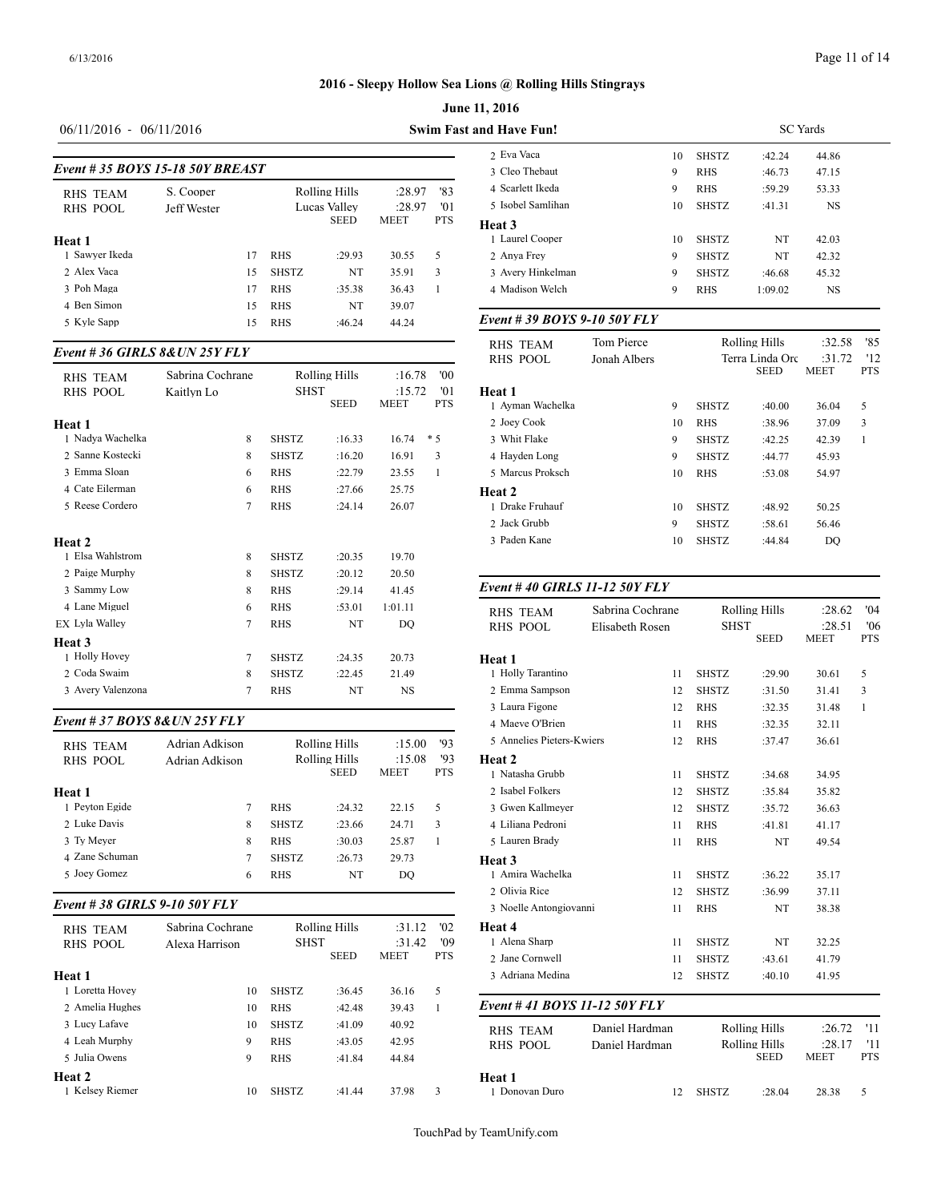# **June 11, 2016 2016 - Sleepy Hollow Sea Lions @ Rolling Hills Stingrays**

#### 06/11/2016 - 06/11/2016 **Swim Fast**

| Event #35 BOYS 15-18 50Y BREAST    |                          | 2 Eva Vaca<br>3 Cleo Thebaut |              |                                              |                                 |                          |                                                 |
|------------------------------------|--------------------------|------------------------------|--------------|----------------------------------------------|---------------------------------|--------------------------|-------------------------------------------------|
| <b>RHS TEAM</b><br><b>RHS POOL</b> | S. Cooper<br>Jeff Wester |                              |              | Rolling Hills<br>Lucas Valley<br><b>SEED</b> | :28.97<br>:28.97<br><b>MEET</b> | '83<br>'01<br><b>PTS</b> | 4 Scarlett Ikeda<br>5 Isobel Samlihan<br>Heat 3 |
| Heat 1                             |                          |                              |              |                                              |                                 |                          | 1 Laurel Cooper                                 |
| 1 Sawyer Ikeda                     |                          | 17                           | <b>RHS</b>   | :29.93                                       | 30.55                           | 5                        | 2 Anya Frey                                     |
| 2 Alex Vaca                        |                          | 15                           | <b>SHSTZ</b> | NT                                           | 35.91                           | 3                        | 3 Avery Hinkelma                                |
| 3 Poh Maga                         |                          | 17                           | <b>RHS</b>   | :35.38                                       | 36.43                           |                          | 4 Madison Welch                                 |
| 4 Ben Simon                        |                          | 15                           | <b>RHS</b>   | NT                                           | 39.07                           |                          |                                                 |
| 5 Kyle Sapp                        |                          | 15                           | <b>RHS</b>   | :46.24                                       | 44.24                           |                          | Event # 39 BOY                                  |

#### *Event # 36 GIRLS 8&UN 25Y FLY*

|                               |                  |              |               |                       |                   | RHS POOL                  |
|-------------------------------|------------------|--------------|---------------|-----------------------|-------------------|---------------------------|
| <b>RHS TEAM</b>               | Sabrina Cochrane |              | Rolling Hills | :16.78                | 00'               |                           |
| <b>RHS POOL</b>               | Kaitlyn Lo       | <b>SHST</b>  | <b>SEED</b>   | :15.72<br><b>MEET</b> | '01<br><b>PTS</b> | Heat 1<br>1 Ayman Wachelk |
| Heat 1                        |                  |              |               |                       |                   | 2 Joey Cook               |
| 1 Nadva Wachelka              | 8                | <b>SHSTZ</b> | :16.33        | 16.74                 | $*5$              | 3 Whit Flake              |
| 2 Sanne Kostecki              | 8                | <b>SHSTZ</b> | :16.20        | 16.91                 | 3                 | 4 Hayden Long             |
| 3 Emma Sloan                  | 6                | <b>RHS</b>   | :22.79        | 23.55                 | 1                 | 5 Marcus Proksch          |
| 4 Cate Eilerman               | 6                | <b>RHS</b>   | :27.66        | 25.75                 |                   | Heat 2                    |
| 5 Reese Cordero               | 7                | <b>RHS</b>   | :24.14        | 26.07                 |                   | 1 Drake Fruhauf           |
|                               |                  |              |               |                       |                   | 2 Jack Grubb              |
| Heat 2                        |                  |              |               |                       |                   | 3 Paden Kane              |
| 1 Elsa Wahlstrom              | 8                | <b>SHSTZ</b> | :20.35        | 19.70                 |                   |                           |
| 2 Paige Murphy                | 8                | <b>SHSTZ</b> | :20.12        | 20.50                 |                   |                           |
| 3 Sammy Low                   | 8                | <b>RHS</b>   | :29.14        | 41.45                 |                   | Event #40 GIRI            |
| 4 Lane Miguel                 | 6                | <b>RHS</b>   | :53.01        | 1:01.11               |                   | <b>RHS TEAM</b>           |
| EX Lyla Walley                | 7                | <b>RHS</b>   | NT            | DO                    |                   | <b>RHS POOL</b>           |
| Heat 3                        |                  |              |               |                       |                   |                           |
| 1 Holly Hovey                 | $\overline{7}$   | <b>SHSTZ</b> | :24.35        | 20.73                 |                   | Heat 1                    |
| 2 Coda Swaim                  | 8                | <b>SHSTZ</b> | :22.45        | 21.49                 |                   | 1 Holly Tarantino         |
| 3 Avery Valenzona             | 7                | <b>RHS</b>   | NT            | <b>NS</b>             |                   | 2 Emma Sampson            |
|                               |                  |              |               |                       |                   | 3 Laura Figone            |
| Event # 37 BOYS 8& UN 25Y FLY |                  |              |               |                       |                   | 4 Maeve O'Brien           |
| <b>RHS TEAM</b>               | Adrian Adkison   |              | Rolling Hills | :15.00                | 93                | 5 Annelies Pieters        |

| <b>RHS POOL</b> | Adrian Adkison | Rolling Hills<br><b>SEED</b> |        | :15.08<br><b>MEET</b> | '93<br><b>PTS</b> | Heat 2<br>1 Natasha Grubb |
|-----------------|----------------|------------------------------|--------|-----------------------|-------------------|---------------------------|
| Heat 1          |                |                              |        |                       |                   | 2 Isabel Folkers          |
| 1 Pevton Egide  |                | <b>RHS</b>                   | :24.32 | 22.15                 | 5                 | 3 Gwen Kallmeye           |
| 2 Luke Davis    | 8              | <b>SHSTZ</b>                 | :23.66 | 24.71                 | 3                 | 4 Liliana Pedroni         |
| 3 Ty Meyer      | 8              | <b>RHS</b>                   | :30.03 | 25.87                 |                   | 5 Lauren Brady            |
| 4 Zane Schuman  |                | <b>SHSTZ</b>                 | :26.73 | 29.73                 |                   | Heat 3                    |
| 5 Joev Gomez    | 6              | <b>RHS</b>                   | NT     | DO                    |                   | 1 Amira Wachelka          |
|                 |                |                              |        |                       |                   |                           |

# *Event # 38 GIRLS 9-10 50Y FLY*

| <b>RHS TEAM</b><br>RHS POOL | Sabrina Cochrane<br>Alexa Harrison | <b>SHST</b>  | Rolling Hills<br><b>SEED</b> | :31.12<br>:31.42<br><b>MEET</b> | '02<br>'09<br><b>PTS</b> | <b>Heat 4</b><br>1 Alena Sharp<br>2 Jane Cornwell |
|-----------------------------|------------------------------------|--------------|------------------------------|---------------------------------|--------------------------|---------------------------------------------------|
| Heat 1                      |                                    |              |                              |                                 |                          | 3 Adriana Medina                                  |
| 1 Loretta Hovey             | 10                                 | <b>SHSTZ</b> | :36.45                       | 36.16                           | 5                        |                                                   |
| 2 Amelia Hughes             | 10                                 | <b>RHS</b>   | :42.48                       | 39.43                           |                          | Event #41 BOY                                     |
| 3 Lucy Lafave               | 10                                 | <b>SHSTZ</b> | :41.09                       | 40.92                           |                          | <b>RHS TEAM</b>                                   |
| 4 Leah Murphy               | 9                                  | <b>RHS</b>   | :43.05                       | 42.95                           |                          | RHS POOL                                          |
| 5 Julia Owens               | 9                                  | <b>RHS</b>   | :41.84                       | 44.84                           |                          |                                                   |
| Heat 2                      |                                    |              |                              |                                 |                          | Heat 1                                            |
| 1 Kelsey Riemer             | 10                                 | <b>SHSTZ</b> | :41.44                       | 37.98                           | 3                        | 1 Donovan Duro                                    |

| and Have Fun!               |              |    |               |                 | <b>SC</b> Yards |            |  |
|-----------------------------|--------------|----|---------------|-----------------|-----------------|------------|--|
| 2 Eva Vaca                  |              | 10 | <b>SHSTZ</b>  | :42.24          | 44.86           |            |  |
| 3 Cleo Thebaut              |              | 9  | <b>RHS</b>    | :46.73          | 47.15           |            |  |
| 4 Scarlett Ikeda            |              | 9  | <b>RHS</b>    | :59.29          | 53.33           |            |  |
| 5 Isobel Samlihan           |              | 10 | <b>SHSTZ</b>  | :41.31          | <b>NS</b>       |            |  |
| Heat 3                      |              |    |               |                 |                 |            |  |
| 1 Laurel Cooper             |              | 10 | <b>SHSTZ</b>  | NT              | 42.03           |            |  |
| 2 Anya Frey                 |              | 9  | <b>SHSTZ</b>  | NT              | 42.32           |            |  |
| 3 Avery Hinkelman           |              | 9  | <b>SHSTZ</b>  | :46.68          | 45.32           |            |  |
| 4 Madison Welch             |              | 9  | <b>RHS</b>    | 1:09.02         | <b>NS</b>       |            |  |
| Event #39 BOYS 9-10 50Y FLY |              |    |               |                 |                 |            |  |
| <b>RHS TEAM</b>             | Tom Pierce   |    | Rolling Hills |                 | :32.58          | '85        |  |
| <b>RHS POOL</b>             | Jonah Albers |    |               | Terra Linda Orc | :31.72          | '12        |  |
|                             |              |    |               | <b>SEED</b>     | <b>MEET</b>     | <b>PTS</b> |  |
| Heat 1                      |              |    |               |                 |                 |            |  |
| 1 Ayman Wachelka            |              | 9  | <b>SHSTZ</b>  | :40.00          | 36.04           | 5          |  |
| 2 Joey Cook                 |              | 10 | <b>RHS</b>    | :38.96          | 37.09           | 3          |  |
| 3 Whit Flake                |              | 9  | <b>SHSTZ</b>  | :42.25          | 42.39           | 1          |  |
| 4 Hayden Long               |              | 9  | <b>SHSTZ</b>  | :44.77          | 45.93           |            |  |
| 5 Marcus Proksch            |              | 10 | <b>RHS</b>    | :53.08          | 54.97           |            |  |
| Heat <sub>2</sub>           |              |    |               |                 |                 |            |  |
| 1 Drake Fruhauf             |              | 10 | <b>SHSTZ</b>  | :48.92          | 50.25           |            |  |
| 2 Jack Grubb                |              | 9  | <b>SHSTZ</b>  | :58.61          | 56.46           |            |  |
| 3 Paden Kane                |              | 10 | <b>SHSTZ</b>  | :44.84          | DQ              |            |  |

#### *Event # 40 GIRLS 11-12 50Y FLY*

| <b>RHS TEAM</b><br><b>RHS POOL</b> | Sabrina Cochrane<br>Elisabeth Rosen | <b>SHST</b>  | <b>Rolling Hills</b><br><b>SEED</b> | :28.62<br>:28.51<br><b>MEET</b> | '04<br>'06<br><b>PTS</b> |
|------------------------------------|-------------------------------------|--------------|-------------------------------------|---------------------------------|--------------------------|
| Heat 1                             |                                     |              |                                     |                                 |                          |
| 1 Holly Tarantino                  | 11                                  | <b>SHSTZ</b> | :29.90                              | 30.61                           | 5                        |
| 2 Emma Sampson                     | 12                                  | <b>SHSTZ</b> | :31.50                              | 31.41                           | 3                        |
| 3 Laura Figone                     | 12                                  | <b>RHS</b>   | :32.35                              | 31.48                           | 1                        |
| 4 Maeve O'Brien                    | 11                                  | <b>RHS</b>   | :32.35                              | 32.11                           |                          |
| 5 Annelies Pieters-Kwiers          | 12                                  | <b>RHS</b>   | :37.47                              | 36.61                           |                          |
| Heat 2                             |                                     |              |                                     |                                 |                          |
| 1 Natasha Grubb                    | 11                                  | <b>SHSTZ</b> | :34.68                              | 34.95                           |                          |
| 2 Isabel Folkers                   | 12                                  | <b>SHSTZ</b> | :35.84                              | 35.82                           |                          |
| 3 Gwen Kallmeyer                   | 12                                  | <b>SHSTZ</b> | :35.72                              | 36.63                           |                          |
| 4 Liliana Pedroni                  | 11                                  | <b>RHS</b>   | :41.81                              | 41.17                           |                          |
| 5 Lauren Brady                     | 11                                  | <b>RHS</b>   | NT                                  | 49.54                           |                          |
| Heat <sub>3</sub>                  |                                     |              |                                     |                                 |                          |
| 1 Amira Wachelka                   | 11                                  | <b>SHSTZ</b> | :36.22                              | 35.17                           |                          |
| 2 Olivia Rice                      | 12                                  | <b>SHSTZ</b> | :36.99                              | 37.11                           |                          |
| 3 Noelle Antongiovanni             | 11                                  | <b>RHS</b>   | NT                                  | 38.38                           |                          |
| Heat 4                             |                                     |              |                                     |                                 |                          |
| 1 Alena Sharp                      | 11                                  | <b>SHSTZ</b> | NT                                  | 32.25                           |                          |
| 2 Jane Cornwell                    | 11                                  | <b>SHSTZ</b> | :43.61                              | 41.79                           |                          |
| 3 Adriana Medina                   | 12                                  | <b>SHSTZ</b> | :40.10                              | 41.95                           |                          |
| Event #41 BOYS 11-12 50Y FLY       |                                     |              |                                     |                                 |                          |
| <b>RHS TEAM</b>                    | Daniel Hardman                      |              | <b>Rolling Hills</b>                | :26.72                          | '11                      |
| <b>RHS POOL</b>                    | Daniel Hardman                      |              | Rolling Hills                       | :28.17                          | '11                      |
|                                    |                                     |              | <b>SEED</b>                         | <b>MEET</b>                     | <b>PTS</b>               |
| Heat 1                             |                                     |              |                                     |                                 |                          |
| 1 Donovan Duro                     | 12                                  | <b>SHSTZ</b> | :28.04                              | 28.38                           | 5                        |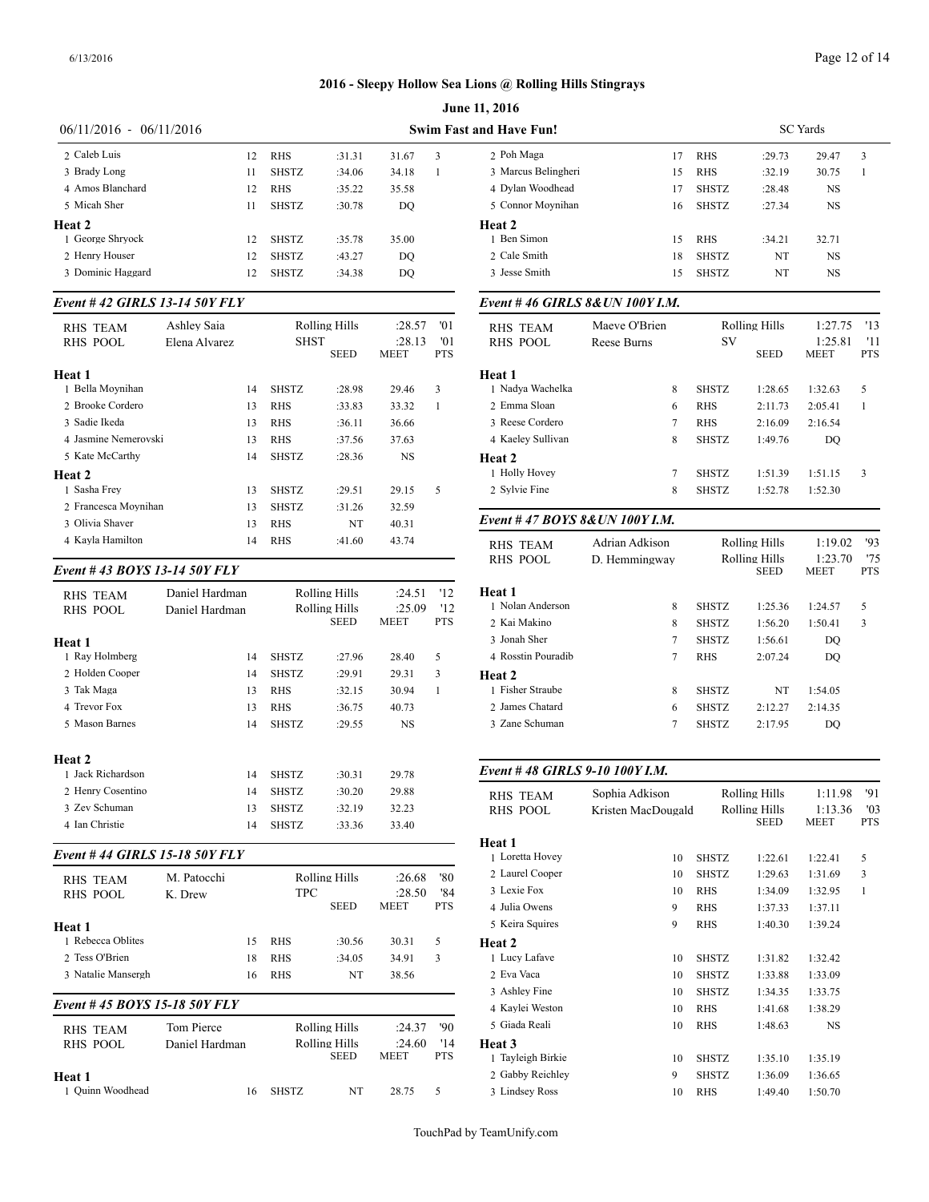|                           |    |              |        |       |    | <b>June 11, 2016</b>           |
|---------------------------|----|--------------|--------|-------|----|--------------------------------|
| $06/11/2016 - 06/11/2016$ |    |              |        |       |    | <b>Swim Fast and Have Fun!</b> |
| 2 Caleb Luis              | 12 | <b>RHS</b>   | :31.31 | 31.67 | 3  | 2 Poh Maga                     |
| 3 Brady Long              | 11 | <b>SHSTZ</b> | :34.06 | 34.18 | -1 | 3 Marcus Belingheri            |
| 4 Amos Blanchard          | 12 | <b>RHS</b>   | :35.22 | 35.58 |    | 4 Dylan Woodhead               |
| 5 Micah Sher              | 11 | <b>SHSTZ</b> | :30.78 | DO    |    | 5 Connor Moynihan              |
| Heat 2                    |    |              |        |       |    | Heat 2                         |
| 1 George Shrvock          | 12 | <b>SHSTZ</b> | :35.78 | 35.00 |    | 1 Ben Simon                    |
| 2 Henry Houser            | 12 | <b>SHSTZ</b> | :43.27 | DO    |    | 2 Cale Smith                   |
| 3 Dominic Haggard         | 12 | <b>SHSTZ</b> | :34.38 | DO    |    | 3 Jesse Smith                  |

#### *Event # 42 GIRLS 13-14 50Y FLY*

| <b>RHS TEAM</b><br>RHS POOL | Ashley Saia<br>Elena Alvarez |    | <b>SHST</b>  | Rolling Hills<br><b>SEED</b> | :28.57<br>: 28.13<br><b>MEET</b> | 01<br>'01<br>PTS | <b>RHS TEAM</b><br>RHS POOL |
|-----------------------------|------------------------------|----|--------------|------------------------------|----------------------------------|------------------|-----------------------------|
| Heat 1                      |                              |    |              |                              |                                  |                  | Heat 1                      |
| 1 Bella Movnihan            |                              | 14 | <b>SHSTZ</b> | :28.98                       | 29.46                            | 3                | 1 Nadva Wachelka            |
| 2 Brooke Cordero            |                              | 13 | <b>RHS</b>   | :33.83                       | 33.32                            | 1                | 2 Emma Sloan                |
| 3 Sadie Ikeda               |                              | 13 | <b>RHS</b>   | :36.11                       | 36.66                            |                  | 3 Reese Cordero             |
| 4 Jasmine Nemerovski        |                              | 13 | <b>RHS</b>   | :37.56                       | 37.63                            |                  | 4 Kaeley Sullivan           |
| 5 Kate McCarthy             |                              | 14 | <b>SHSTZ</b> | :28.36                       | NS                               |                  | Heat 2                      |
| Heat 2                      |                              |    |              |                              |                                  |                  | 1 Holly Hovey               |
| 1 Sasha Frey                |                              | 13 | <b>SHSTZ</b> | :29.51                       | 29.15                            | 5                | 2 Sylvie Fine               |
| 2 Francesca Movnihan        |                              | 13 | <b>SHSTZ</b> | :31.26                       | 32.59                            |                  |                             |
| 3 Olivia Shaver             |                              | 13 | <b>RHS</b>   | NT                           | 40.31                            |                  | Event #47 $BOY$             |
| 4 Kayla Hamilton            |                              | 14 | <b>RHS</b>   | :41.60                       | 43.74                            |                  | <b>RHS TEAM</b>             |

#### *Event # 43 BOYS 13-14 50Y FLY*

| <b>RHS TEAM</b><br><b>RHS POOL</b> | Daniel Hardman<br>Daniel Hardman |    |              | Rolling Hills<br><b>Rolling Hills</b><br><b>SEED</b> | :24.51<br>:25.09<br><b>MEET</b> | '12<br>'12<br><b>PTS</b> | Heat 1<br>1 Nolan Anderson<br>2 Kai Makino | 8<br>8             | <b>SHSTZ</b><br><b>SHSTZ</b> | 1:25.36<br>1:56.20   | 1:24.57<br>1:50.41 | 5<br>3       |
|------------------------------------|----------------------------------|----|--------------|------------------------------------------------------|---------------------------------|--------------------------|--------------------------------------------|--------------------|------------------------------|----------------------|--------------------|--------------|
|                                    |                                  |    |              |                                                      |                                 |                          | 3 Jonah Sher                               | $\overline{7}$     | <b>SHSTZ</b>                 | 1:56.61              | DQ                 |              |
| Heat 1<br>1 Ray Holmberg           |                                  | 14 | <b>SHSTZ</b> | :27.96                                               | 28.40                           | 5                        | 4 Rosstin Pouradib                         | $\overline{7}$     | <b>RHS</b>                   | 2:07.24              | DQ                 |              |
| 2 Holden Cooper                    |                                  | 14 | <b>SHSTZ</b> | :29.91                                               | 29.31                           | 3                        |                                            |                    |                              |                      |                    |              |
| 3 Tak Maga                         |                                  | 13 | <b>RHS</b>   | :32.15                                               | 30.94                           | 1                        | Heat 2<br>1 Fisher Straube                 | 8                  | <b>SHSTZ</b>                 | NT                   | 1:54.05            |              |
| 4 Trevor Fox                       |                                  | 13 | <b>RHS</b>   | :36.75                                               | 40.73                           |                          | 2 James Chatard                            | 6                  | <b>SHSTZ</b>                 | 2:12.27              | 2:14.35            |              |
| 5 Mason Barnes                     |                                  | 14 | <b>SHSTZ</b> | :29.55                                               | <b>NS</b>                       |                          | 3 Zane Schuman                             | $\overline{7}$     | <b>SHSTZ</b>                 | 2:17.95              | DO.                |              |
| Heat 2                             |                                  |    |              |                                                      |                                 |                          |                                            |                    |                              |                      |                    |              |
| 1 Jack Richardson                  |                                  | 14 | <b>SHSTZ</b> | :30.31                                               | 29.78                           |                          | Event #48 GIRLS 9-10 100Y I.M.             |                    |                              |                      |                    |              |
| 2 Henry Cosentino                  |                                  | 14 | <b>SHSTZ</b> | :30.20                                               | 29.88                           |                          | <b>RHS TEAM</b>                            | Sophia Adkison     |                              | Rolling Hills        | 1:11.98            | '91          |
| 3 Zev Schuman                      |                                  | 13 | <b>SHSTZ</b> | :32.19                                               | 32.23                           |                          | <b>RHS POOL</b>                            | Kristen MacDougald |                              | <b>Rolling Hills</b> | 1:13.36            | '03          |
| 4 Ian Christie                     |                                  | 14 | <b>SHSTZ</b> | :33.36                                               | 33.40                           |                          |                                            |                    |                              | <b>SEED</b>          | <b>MEET</b>        | <b>PTS</b>   |
| Event #44 GIRLS 15-18 50Y FLY      |                                  |    |              |                                                      |                                 |                          | Heat 1                                     |                    |                              |                      |                    |              |
|                                    |                                  |    |              |                                                      |                                 |                          | 1 Loretta Hovey                            | 10                 | <b>SHSTZ</b>                 | 1:22.61              | 1:22.41            | 5            |
| <b>RHS TEAM</b>                    | M. Patocchi                      |    |              | Rolling Hills                                        | :26.68                          | '80                      | 2 Laurel Cooper                            | 10                 | <b>SHSTZ</b>                 | 1:29.63              | 1:31.69            | 3            |
| <b>RHS POOL</b>                    | K. Drew                          |    | <b>TPC</b>   |                                                      | :28.50                          | '84                      | 3 Lexie Fox                                | 10                 | <b>RHS</b>                   | 1:34.09              | 1:32.95            | $\mathbf{1}$ |
|                                    |                                  |    |              | <b>SEED</b>                                          | <b>MEET</b>                     | <b>PTS</b>               | 4 Julia Owens                              | 9                  | <b>RHS</b>                   | 1:37.33              | 1:37.11            |              |
| Heat 1                             |                                  |    |              |                                                      |                                 |                          | 5 Keira Squires                            | 9                  | <b>RHS</b>                   | 1:40.30              | 1:39.24            |              |
| 1 Rebecca Oblites                  |                                  | 15 | <b>RHS</b>   | :30.56                                               | 30.31                           | 5                        | Heat 2                                     |                    |                              |                      |                    |              |
| 2 Tess O'Brien                     |                                  | 18 | <b>RHS</b>   | :34.05                                               | 34.91                           | 3                        | 1 Lucy Lafave                              | 10                 | <b>SHSTZ</b>                 | 1:31.82              | 1:32.42            |              |
| 3 Natalie Mansergh                 |                                  | 16 | <b>RHS</b>   | NT                                                   | 38.56                           |                          | 2 Eva Vaca                                 | 10                 | <b>SHSTZ</b>                 | 1:33.88              | 1:33.09            |              |
| Event #45 BOYS 15-18 50Y FLY       |                                  |    |              |                                                      |                                 |                          | 3 Ashley Fine                              | 10                 | <b>SHSTZ</b>                 | 1:34.35              | 1:33.75            |              |
|                                    |                                  |    |              |                                                      |                                 |                          | 4 Kaylei Weston                            | 10                 | <b>RHS</b>                   | 1:41.68              | 1:38.29            |              |
| <b>RHS TEAM</b>                    | Tom Pierce                       |    |              | Rolling Hills                                        | :24.37                          | $90^{\circ}$             | 5 Giada Reali                              | 10                 | <b>RHS</b>                   | 1:48.63              | <b>NS</b>          |              |
| <b>RHS POOL</b>                    | Daniel Hardman                   |    |              | <b>Rolling Hills</b><br><b>SEED</b>                  | :24.60<br><b>MEET</b>           | '14<br><b>PTS</b>        | Heat 3<br>1 Tayleigh Birkie                | 10                 | <b>SHSTZ</b>                 | 1:35.10              | 1:35.19            |              |
| Heat 1                             |                                  |    |              |                                                      |                                 |                          | 2 Gabby Reichlev                           | 9                  | <b>SHSTZ</b>                 | 1:36.09              | 1:36.65            |              |
| 1 Ouinn Woodhead                   |                                  | 16 | <b>SHSTZ</b> | NT                                                   | 28.75                           | 5                        | 3 Lindsey Ross                             | 10                 | <b>RHS</b>                   | 1:49.40              | 1:50.70            |              |

| and Have Fun!                   |                    |    |                      |                                     | <b>SC</b> Yards        |                   |  |
|---------------------------------|--------------------|----|----------------------|-------------------------------------|------------------------|-------------------|--|
| 2 Poh Maga                      |                    | 17 | <b>RHS</b>           | :29.73                              | 29.47                  | 3                 |  |
| 3 Marcus Belingheri             |                    | 15 | <b>RHS</b>           | :32.19                              | 30.75                  | $\mathbf{1}$      |  |
| 4 Dylan Woodhead                |                    | 17 | <b>SHSTZ</b>         | :28.48                              | NS                     |                   |  |
| 5 Connor Moynihan               |                    | 16 | <b>SHSTZ</b>         | :27.34                              | <b>NS</b>              |                   |  |
| Heat 2                          |                    |    |                      |                                     |                        |                   |  |
| 1 Ben Simon                     |                    | 15 | <b>RHS</b>           | :34.21                              | 32.71                  |                   |  |
| 2 Cale Smith                    |                    | 18 | <b>SHSTZ</b>         | NT                                  | NS                     |                   |  |
| 3 Jesse Smith                   |                    | 15 | <b>SHSTZ</b>         | NT                                  | NS                     |                   |  |
| Event #46 GIRLS 8& UN 100Y I.M. |                    |    |                      |                                     |                        |                   |  |
| <b>RHS TEAM</b>                 | Maeve O'Brien      |    |                      | <b>Rolling Hills</b>                | 1:27.75                | '13               |  |
| <b>RHS POOL</b>                 | Reese Burns        |    | SV                   | SEED                                | 1:25.81<br>MEET        | '11<br><b>PTS</b> |  |
| Heat 1                          |                    |    |                      |                                     |                        |                   |  |
| 1 Nadya Wachelka                | 8                  |    | <b>SHSTZ</b>         | 1:28.65                             | 1:32.63                | 5                 |  |
| 2 Emma Sloan                    | 6                  |    | <b>RHS</b>           | 2:11.73                             | 2:05.41                | 1                 |  |
| 3 Reese Cordero                 | 7                  |    | <b>RHS</b>           | 2:16.09                             | 2:16.54                |                   |  |
| 4 Kaeley Sullivan               | 8                  |    | <b>SHSTZ</b>         | 1:49.76                             | DO                     |                   |  |
| Heat 2                          |                    |    |                      |                                     |                        |                   |  |
| 1 Holly Hovey                   | 7                  |    | <b>SHSTZ</b>         | 1:51.39                             | 1:51.15                | 3                 |  |
| 2 Sylvie Fine                   | 8                  |    | <b>SHSTZ</b>         | 1:52.78                             | 1:52.30                |                   |  |
| Event #47 BOYS 8& UN 100Y I.M.  |                    |    |                      |                                     |                        |                   |  |
| <b>RHS TEAM</b>                 | Adrian Adkison     |    | Rolling Hills        |                                     | 1:19.02                | '93               |  |
| <b>RHS POOL</b>                 | D. Hemmingway      |    | <b>Rolling Hills</b> |                                     | 1:23.70                | '75               |  |
|                                 |                    |    |                      | <b>SEED</b>                         | MEET                   | <b>PTS</b>        |  |
| Heat 1                          |                    |    |                      |                                     |                        |                   |  |
| 1 Nolan Anderson                | 8                  |    | <b>SHSTZ</b>         | 1:25.36                             | 1:24.57                | 5                 |  |
| 2 Kai Makino                    | 8                  |    | <b>SHSTZ</b>         | 1:56.20                             | 1:50.41                | 3                 |  |
| 3 Jonah Sher                    | $\overline{7}$     |    | <b>SHSTZ</b>         | 1:56.61                             | DO                     |                   |  |
| 4 Rosstin Pouradib              | 7                  |    | <b>RHS</b>           | 2:07.24                             | DO                     |                   |  |
| Heat 2                          |                    |    |                      |                                     |                        |                   |  |
| 1 Fisher Straube                | 8                  |    | <b>SHSTZ</b>         | NT                                  | 1:54.05                |                   |  |
| 2 James Chatard                 | 6                  |    | <b>SHSTZ</b>         | 2:12.27                             | 2:14.35                |                   |  |
| 3 Zane Schuman                  | 7                  |    | <b>SHSTZ</b>         | 2:17.95                             | DQ                     |                   |  |
| Event #48 GIRLS 9-10 100Y I.M.  |                    |    |                      |                                     |                        |                   |  |
|                                 |                    |    |                      |                                     |                        |                   |  |
| <b>RHS TEAM</b>                 | Sophia Adkison     |    |                      | Rolling Hills                       | 1:11.98                | '91               |  |
| <b>RHS POOL</b>                 | Kristen MacDougald |    |                      | <b>Rolling Hills</b><br><b>SEED</b> | 1:13.36<br><b>MEET</b> | '03<br>PTS        |  |
| <b>Heat 1</b>                   |                    |    |                      |                                     |                        |                   |  |
| 1 Loretta Hovey                 |                    | 10 | <b>SHSTZ</b>         | 1:22.61                             | 1:22.41                | 5                 |  |
| 2 Laurel Cooper                 |                    | 10 | <b>SHSTZ</b>         | 1:29.63                             | 1:31.69                | 3                 |  |

3 Lexie Fox 10 RHS 1:34.09 1:32.95 1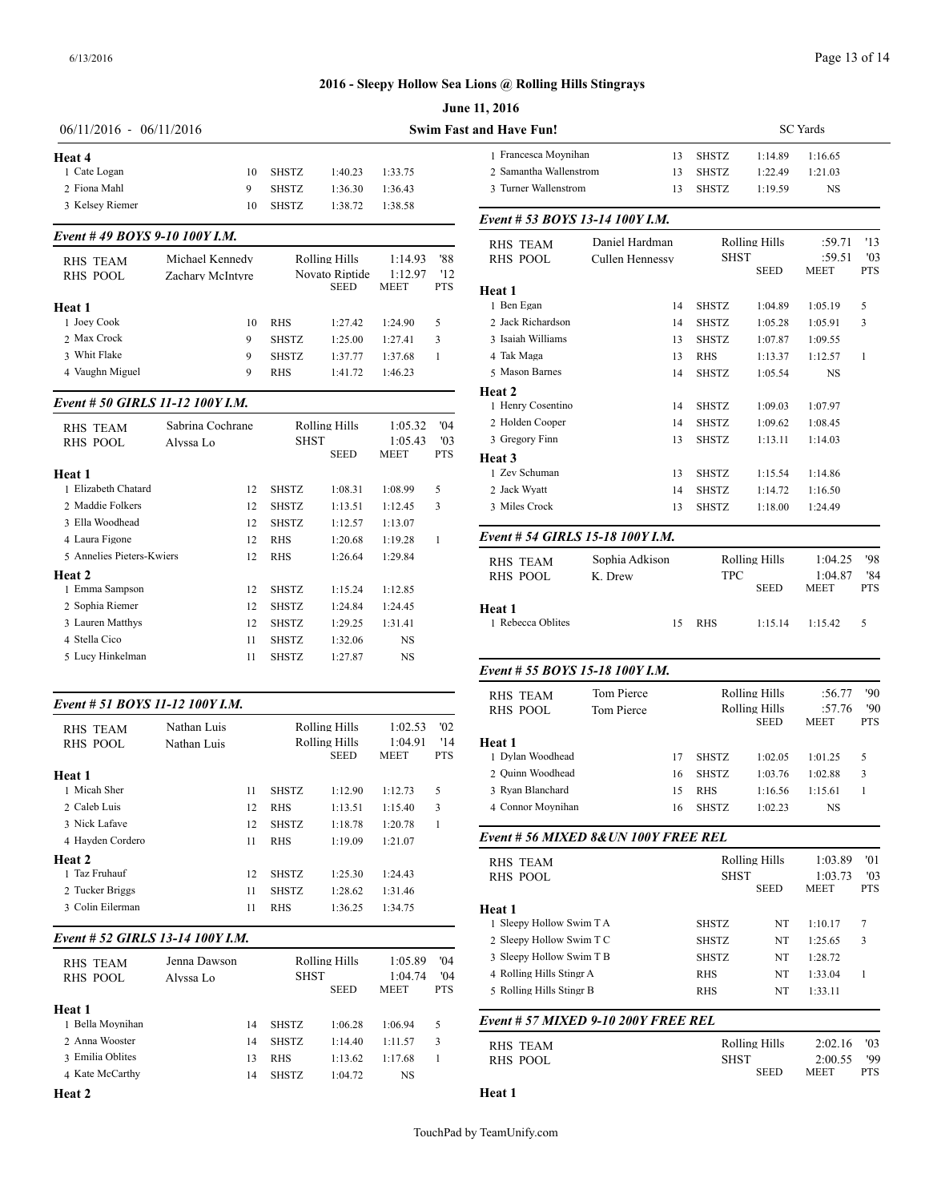#### Page 13 of 14

#### **2016 - Sleepy Hollow Sea Lions @ Rolling Hills Stingrays**

| $06/11/2016 - 06/11/2016$                                 |                                     |                                              |                                                |                                   |                          | <b>Swim Fast and Have Fun!</b>                                         |           |
|-----------------------------------------------------------|-------------------------------------|----------------------------------------------|------------------------------------------------|-----------------------------------|--------------------------|------------------------------------------------------------------------|-----------|
| Heat 4<br>1 Cate Logan<br>2 Fiona Mahl<br>3 Kelsey Riemer | 10<br>9                             | <b>SHSTZ</b><br><b>SHSTZ</b><br><b>SHSTZ</b> | 1:40.23<br>1:36.30<br>1:38.72                  | 1:33.75<br>1:36.43<br>1:38.58     |                          | 1 Francesca Movnihan<br>2 Samantha Wallenstrom<br>3 Turner Wallenstrom |           |
|                                                           | 10                                  |                                              |                                                |                                   |                          | Event # 53 BOYS 13-14 100Y                                             |           |
| Event #49 BOYS 9-10 100Y I.M.                             |                                     |                                              |                                                |                                   |                          | <b>RHS TEAM</b>                                                        | Daniel Ha |
| <b>RHS TEAM</b><br>RHS POOL                               | Michael Kennedy<br>Zachary McIntyre |                                              | Rolling Hills<br>Novato Riptide<br><b>SEED</b> | 1:14.93<br>1:12.97<br><b>MEET</b> | '88<br>'12<br><b>PTS</b> | RHS POOL<br>Heat 1                                                     | Cullen He |
| Heat 1                                                    |                                     |                                              |                                                |                                   |                          | 1 Ben Egan                                                             |           |
| 1 Joev Cook                                               | 10                                  | <b>RHS</b>                                   | 1:27.42                                        | 1:24.90                           | 5                        | 2 Jack Richardson                                                      |           |

2 Max Crock 9 SHSTZ 1:25.00 1:27.41 3 3 Whit Flake 9 SHSTZ 1:37.77 1:37.68 1 4 Vaughn Miguel 9 RHS 1:41.72 1:46.23

# *Event # 50 GIRLS 11-12 100Y I.M.*

| RHS TEAM                  | Sabrina Cochrane |              | Rolling Hills | 1:05.32     | 04'            | 2 Holden Cooper                |
|---------------------------|------------------|--------------|---------------|-------------|----------------|--------------------------------|
| <b>RHS POOL</b>           | Alvssa Lo        | SHST         |               | 1:05.43     | $^{\prime}$ 03 | 3 Gregory Finn                 |
| Heat 1                    |                  |              | <b>SEED</b>   | <b>MEET</b> | <b>PTS</b>     | Heat 3<br>1 Zev Schuman        |
| 1 Elizabeth Chatard       | 12               | <b>SHSTZ</b> | 1:08.31       | 1:08.99     | 5              | 2 Jack Wyatt                   |
| 2. Maddie Folkers         | 12               | <b>SHSTZ</b> | 1:13.51       | 1:12.45     | 3              | 3 Miles Crock                  |
| 3 Ella Woodhead           | 12               | <b>SHSTZ</b> | 1:12.57       | 1:13.07     |                |                                |
| 4 Laura Figone            | 12               | <b>RHS</b>   | 1:20.68       | 1:19.28     | 1              | Event # 54 GIRI                |
| 5 Annelies Pieters-Kwiers | 12               | <b>RHS</b>   | 1:26.64       | 1:29.84     |                | RHS TEAM                       |
| Heat 2                    |                  |              |               |             |                | <b>RHS POOL</b>                |
| 1 Emma Sampson            | 12               | <b>SHSTZ</b> | 1:15.24       | 1:12.85     |                |                                |
| 2 Sophia Riemer           | 12               | <b>SHSTZ</b> | 1:24.84       | 1:24.45     |                | Heat 1                         |
| 3 Lauren Matthys          | 12               | <b>SHSTZ</b> | 1:29.25       | 1:31.41     |                | 1 Rebecca Oblites              |
| 4 Stella Cico             | 11               | <b>SHSTZ</b> | 1:32.06       | <b>NS</b>   |                |                                |
| 5 Lucy Hinkelman          | 11               | <b>SHSTZ</b> | 1:27.87       | <b>NS</b>   |                |                                |
|                           |                  |              |               |             |                | $F_{\nu \rho n \tau}$ # 55 ROV |

# *Event # 51 BOYS 11-12 100Y I.M.*

| <b>RHS TEAM</b>  | Nathan Luis |    |              | Rolling Hills | 1:02.53     | '02        |                  |
|------------------|-------------|----|--------------|---------------|-------------|------------|------------------|
| <b>RHS POOL</b>  | Nathan Luis |    |              | Rolling Hills | 1:04.91     | '14        | Heat 1           |
|                  |             |    |              | <b>SEED</b>   | <b>MEET</b> | <b>PTS</b> | 1 Dylan Woodhea  |
| Heat 1           |             |    |              |               |             |            | 2 Ouinn Woodhea  |
| 1 Micah Sher     |             | 11 | <b>SHSTZ</b> | 1:12.90       | 1:12.73     | 5          | 3 Ryan Blanchard |
| 2 Caleb Luis     |             | 12 | <b>RHS</b>   | 1:13.51       | 1:15.40     | 3          | 4 Connor Movnih  |
| 3 Nick Lafave    |             | 12 | <b>SHSTZ</b> | 1:18.78       | 1:20.78     | 1          |                  |
| 4 Havden Cordero |             | 11 | <b>RHS</b>   | 1:19.09       | 1:21.07     |            | Event # 56 MIX   |
| Heat 2           |             |    |              |               |             |            | <b>RHS TEAM</b>  |
| 1 Taz Fruhauf    |             | 12 | <b>SHSTZ</b> | 1:25.30       | 1:24.43     |            | RHS POOL         |
| 2 Tucker Briggs  |             | 11 | <b>SHSTZ</b> | 1:28.62       | 1:31.46     |            |                  |
| 3 Colin Eilerman |             | 11 | <b>RHS</b>   | 1:36.25       | 1:34.75     |            | Heat 1           |
|                  |             |    |              |               |             |            |                  |

#### *Event # 52 GIRLS 13-14 100Y I.M.*

| RHS TEAM<br>RHS POOL       | Jenna Dawson<br>Alvssa Lo |    | <b>SHST</b>  | Rolling Hills<br><b>SEED</b> | 1:05.89<br>1:04.74<br><b>MEET</b> | '04<br>04'<br><b>PTS</b> | 3 Sleepy Hollow S<br>4 Rolling Hills Sti<br>5 Rolling Hills Sti |
|----------------------------|---------------------------|----|--------------|------------------------------|-----------------------------------|--------------------------|-----------------------------------------------------------------|
| Heat 1<br>1 Bella Moynihan |                           | 14 | <b>SHSTZ</b> | 1:06.28                      | 1:06.94                           | 5                        | Event # $57$ MIX                                                |
| 2 Anna Wooster             |                           | 14 | <b>SHSTZ</b> | 1:14.40                      | 1:11.57                           | 3                        | <b>RHS TEAM</b>                                                 |
| 3 Emilia Oblites           |                           | 13 | <b>RHS</b>   | 1:13.62                      | 1:17.68                           |                          | <b>RHS POOL</b>                                                 |
| 4 Kate McCarthy            |                           | 14 | <b>SHSTZ</b> | 1:04.72                      | NS.                               |                          |                                                                 |
|                            |                           |    |              |                              |                                   |                          |                                                                 |

**Heat 2**

| <b>June 11, 2016</b>      |    |              |         |          |
|---------------------------|----|--------------|---------|----------|
| <b>Fast and Have Fun!</b> |    |              |         | SC Yards |
| 1 Francesca Movnihan      | 13 | <b>SHSTZ</b> | 1:14.89 | 1:16.65  |
| 2 Samantha Wallenstrom    | 13 | <b>SHSTZ</b> | 1:22.49 | 1:21.03  |
| 3 Turner Wallenstrom      | 13 | <b>SHSTZ</b> | 1:19.59 | NS       |
|                           |    |              |         |          |

# *Event # 53 BOYS 13-14 100Y I.M.*

| <b>RHS TEAM</b>                  | Daniel Hardman  |                                     | <b>Rolling Hills</b> |                        | '13               |
|----------------------------------|-----------------|-------------------------------------|----------------------|------------------------|-------------------|
| <b>RHS POOL</b>                  | Cullen Hennessy | <b>SHST</b>                         | <b>SEED</b>          | :59.51<br>MEET         | '03<br><b>PTS</b> |
| Heat 1                           |                 |                                     |                      |                        |                   |
| 1 Ben Egan                       | 14              | <b>SHSTZ</b>                        | 1:04.89              | 1:05.19                | 5                 |
| 2 Jack Richardson                | 14              | <b>SHSTZ</b>                        | 1:05.28              | 1:05.91                | 3                 |
| 3 Isaiah Williams                | 13              | <b>SHSTZ</b>                        | 1:07.87              | 1:09.55                |                   |
| 4 Tak Maga                       | 13              | <b>RHS</b>                          | 1:13.37              | 1:12.57                | $\mathbf{1}$      |
| 5 Mason Barnes                   | 14              | <b>SHSTZ</b>                        | 1:05.54              | NS                     |                   |
| Heat 2                           |                 |                                     |                      |                        |                   |
| 1 Henry Cosentino                | 14              | <b>SHSTZ</b>                        | 1:09.03              | 1:07.97                |                   |
| 2 Holden Cooper                  | 14              | <b>SHSTZ</b>                        | 1:09.62              | 1:08.45                |                   |
| 3 Gregory Finn                   | 13              | <b>SHSTZ</b>                        | 1:13.11              | 1:14.03                |                   |
| Heat 3                           |                 |                                     |                      |                        |                   |
| 1 Zev Schuman                    | 13              | <b>SHSTZ</b>                        | 1:15.54              | 1:14.86                |                   |
| 2 Jack Wyatt                     | 14              | <b>SHSTZ</b>                        | 1:14.72              | 1:16.50                |                   |
| 3 Miles Crock                    | 13              | <b>SHSTZ</b>                        | 1:18.00              | 1:24.49                |                   |
| Event # 54 GIRLS 15-18 100Y I.M. |                 |                                     |                      |                        |                   |
| <b>RHS TEAM</b>                  | Sophia Adkison  |                                     | <b>Rolling Hills</b> | 1:04.25                | '98               |
| <b>RHS POOL</b>                  | K. Drew         | <b>TPC</b>                          | <b>SEED</b>          | 1:04.87<br><b>MEET</b> | '84<br><b>PTS</b> |
| Heat 1                           |                 |                                     |                      |                        |                   |
| 1 Rebecca Oblites                | 15              | <b>RHS</b>                          | 1:15.14              | 1:15.42                | 5                 |
| Event # 55 BOYS 15-18 100Y I.M.  |                 |                                     |                      |                        |                   |
| <b>RHS TEAM</b>                  | Tom Pierce      |                                     | <b>Rolling Hills</b> | :56.77                 | '90               |
| <b>RHS POOL</b>                  | Tom Pierce      | <b>Rolling Hills</b><br><b>SEED</b> |                      | :57.76<br>MEET         | '90<br><b>PTS</b> |
| Heat 1                           |                 |                                     |                      |                        |                   |
| 1 Dylan Woodhead                 | 17              | <b>SHSTZ</b>                        | 1:02.05              | 1:01.25                | 5                 |
| 2 Ouinn Woodhead                 | 16              | <b>SHSTZ</b>                        | 1:03.76              | 1:02.88                | 3                 |
| 3 Ryan Blanchard                 | 15              | <b>RHS</b>                          | 1:16.56              | 1:15.61                | 1                 |
| 4 Connor Movnihan                | 16              | <b>SHSTZ</b>                        | 1:02.23              | <b>NS</b>              |                   |

*Event # 56 MIXED 8&UN 100Y FREE REL*

| RHS TEAM<br><b>RHS POOL</b>         |              | Rolling Hills<br><b>SHST</b><br><b>SEED</b> |             | '01<br>'03<br><b>PTS</b> |
|-------------------------------------|--------------|---------------------------------------------|-------------|--------------------------|
| Heat 1                              |              |                                             |             |                          |
| 1 Sleepy Hollow Swim T A            | <b>SHSTZ</b> | NT                                          | 1:10.17     | 7                        |
| 2 Sleepy Hollow Swim T C            | <b>SHSTZ</b> | NT                                          | 1:25.65     | 3                        |
| 3 Sleepy Hollow Swim T B            | <b>SHSTZ</b> | NT                                          | 1:28.72     |                          |
| 4 Rolling Hills Stingr A            | <b>RHS</b>   | NT                                          | 1:33.04     | 1                        |
| 5 Rolling Hills Stingr B            | <b>RHS</b>   | NT                                          | 1:33.11     |                          |
| Event # 57 MIXED 9-10 200Y FREE REL |              |                                             |             |                          |
| RHS TEAM                            |              | Rolling Hills                               |             | '03                      |
| <b>RHS POOL</b>                     |              | <b>SHST</b>                                 |             | '99                      |
|                                     |              | <b>SEED</b>                                 | <b>MEET</b> | <b>PTS</b>               |

# **Heat 1**